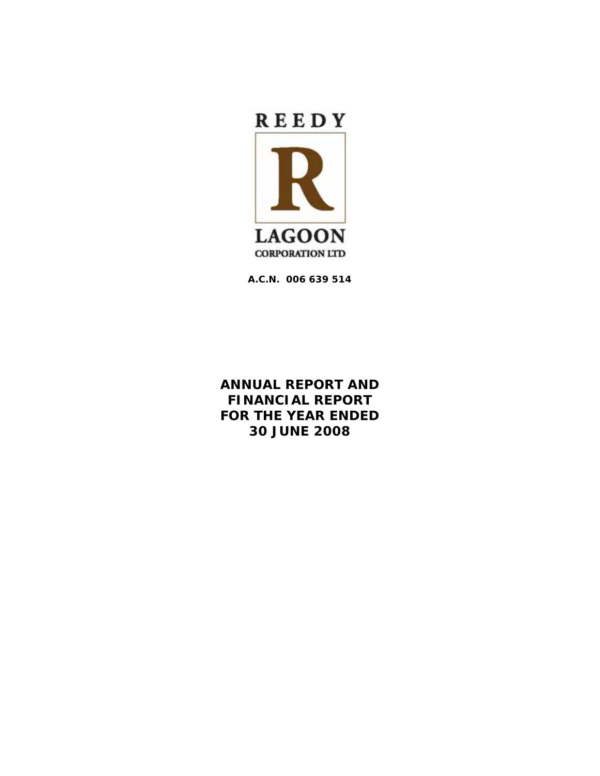

**A.C.N. 006 639 514** 

**ANNUAL REPORT AND FINANCIAL REPORT FOR THE YEAR ENDED 30 JUNE 2008**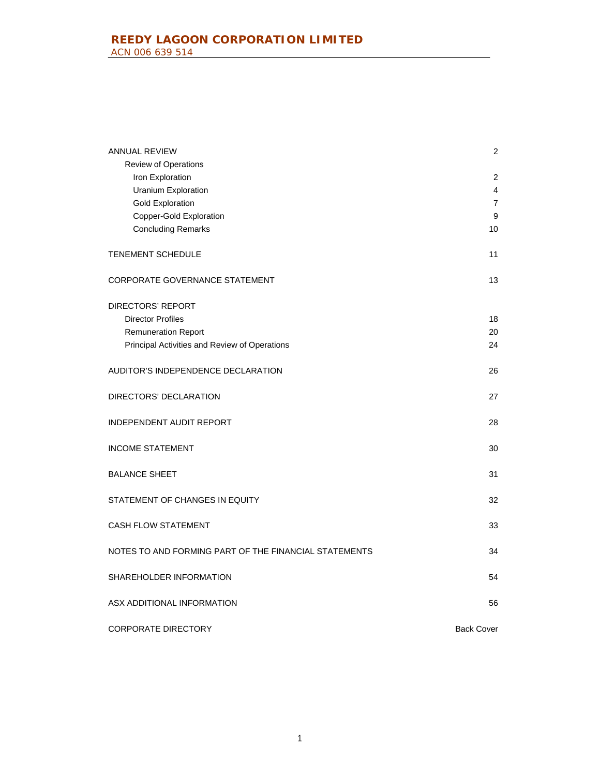| ANNUAL REVIEW                                         | 2                 |
|-------------------------------------------------------|-------------------|
| Review of Operations                                  |                   |
| Iron Exploration                                      | 2                 |
| Uranium Exploration                                   | 4                 |
| <b>Gold Exploration</b>                               | $\overline{7}$    |
| <b>Copper-Gold Exploration</b>                        | 9                 |
| <b>Concluding Remarks</b>                             | 10                |
| <b>TENEMENT SCHEDULE</b>                              | 11                |
| CORPORATE GOVERNANCE STATEMENT                        | 13                |
| <b>DIRECTORS' REPORT</b>                              |                   |
| <b>Director Profiles</b>                              | 18                |
| <b>Remuneration Report</b>                            | 20                |
| Principal Activities and Review of Operations         | 24                |
| AUDITOR'S INDEPENDENCE DECLARATION                    | 26                |
| DIRECTORS' DECLARATION                                | 27                |
| <b>INDEPENDENT AUDIT REPORT</b>                       | 28                |
| <b>INCOME STATEMENT</b>                               | 30                |
| <b>BALANCE SHEET</b>                                  | 31                |
| STATEMENT OF CHANGES IN EQUITY                        | 32                |
| <b>CASH FLOW STATEMENT</b>                            | 33                |
| NOTES TO AND FORMING PART OF THE FINANCIAL STATEMENTS | 34                |
| SHAREHOLDER INFORMATION                               | 54                |
| ASX ADDITIONAL INFORMATION                            | 56                |
| <b>CORPORATE DIRECTORY</b>                            | <b>Back Cover</b> |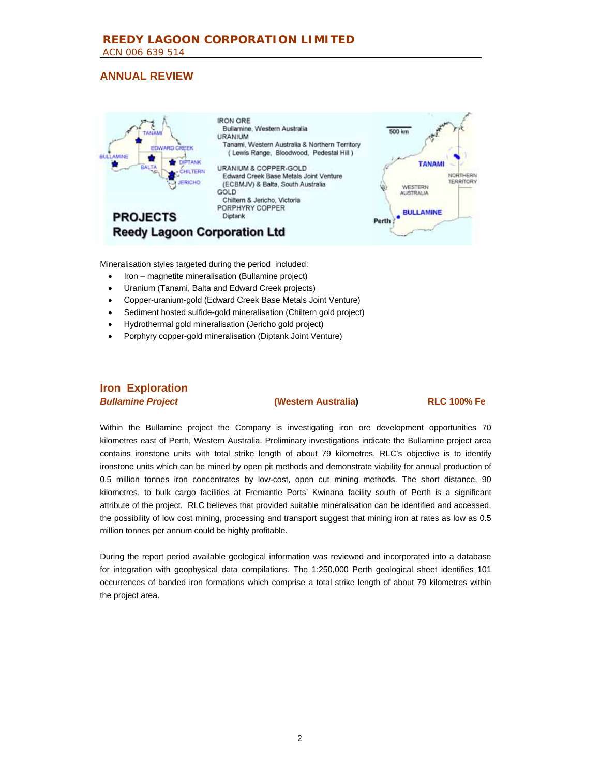

Mineralisation styles targeted during the period included:

- Iron magnetite mineralisation (Bullamine project)
- Uranium (Tanami, Balta and Edward Creek projects)
- Copper-uranium-gold (Edward Creek Base Metals Joint Venture)
- Sediment hosted sulfide-gold mineralisation (Chiltern gold project)
- Hydrothermal gold mineralisation (Jericho gold project)
- Porphyry copper-gold mineralisation (Diptank Joint Venture)

# **Iron Exploration**

*Bullamine Project* **(Western Australia) RLC 100% Fe**

Within the Bullamine project the Company is investigating iron ore development opportunities 70 kilometres east of Perth, Western Australia. Preliminary investigations indicate the Bullamine project area contains ironstone units with total strike length of about 79 kilometres. RLC's objective is to identify ironstone units which can be mined by open pit methods and demonstrate viability for annual production of 0.5 million tonnes iron concentrates by low-cost, open cut mining methods. The short distance, 90 kilometres, to bulk cargo facilities at Fremantle Ports' Kwinana facility south of Perth is a significant attribute of the project. RLC believes that provided suitable mineralisation can be identified and accessed, the possibility of low cost mining, processing and transport suggest that mining iron at rates as low as 0.5 million tonnes per annum could be highly profitable.

During the report period available geological information was reviewed and incorporated into a database for integration with geophysical data compilations. The 1:250,000 Perth geological sheet identifies 101 occurrences of banded iron formations which comprise a total strike length of about 79 kilometres within the project area.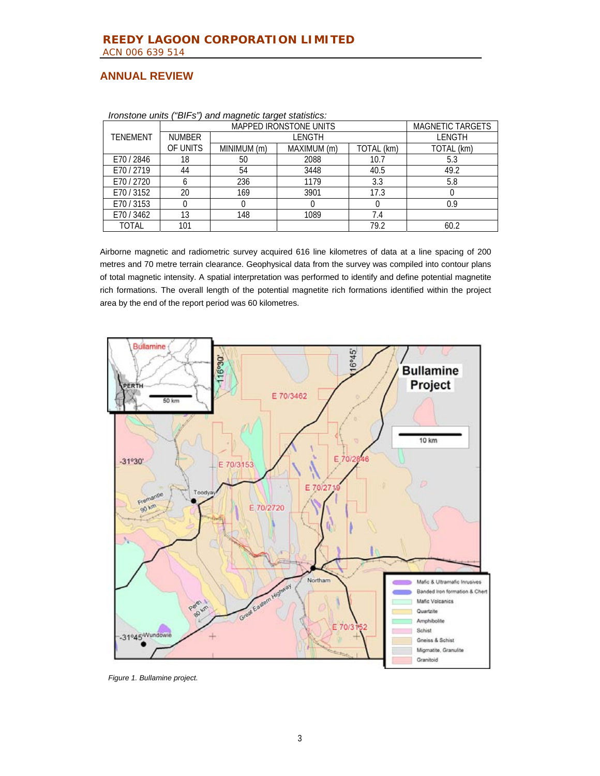|                 | -9. . <del>.</del> 9<br><b>MAPPED IRONSTONE UNITS</b> |             |               |            | <b>MAGNETIC TARGETS</b> |
|-----------------|-------------------------------------------------------|-------------|---------------|------------|-------------------------|
| <b>TENEMENT</b> | <b>NUMBER</b>                                         |             | <b>LENGTH</b> |            | <b>LENGTH</b>           |
|                 | OF UNITS                                              | MINIMUM (m) | MAXIMUM (m)   | TOTAL (km) | TOTAL (km)              |
| E70/2846        | 18                                                    | 50          | 2088          | 10.7       | 5.3                     |
| E70/2719        | 44                                                    | 54          | 3448          | 40.5       | 49.2                    |
| E70/2720        |                                                       | 236         | 1179          | 3.3        | 5.8                     |
| E70 / 3152      | 20                                                    | 169         | 3901          | 17.3       |                         |
| E70/3153        |                                                       |             |               |            | 0.9                     |
| E70 / 3462      | 13                                                    | 148         | 1089          | 7.4        |                         |
| TOTAL           | 101                                                   |             |               | 79.2       | 60.2                    |

*Ironstone units ("BIFs") and magnetic target statistics:* 

Airborne magnetic and radiometric survey acquired 616 line kilometres of data at a line spacing of 200 metres and 70 metre terrain clearance. Geophysical data from the survey was compiled into contour plans of total magnetic intensity. A spatial interpretation was performed to identify and define potential magnetite rich formations. The overall length of the potential magnetite rich formations identified within the project area by the end of the report period was 60 kilometres.



*Figure 1. Bullamine project.*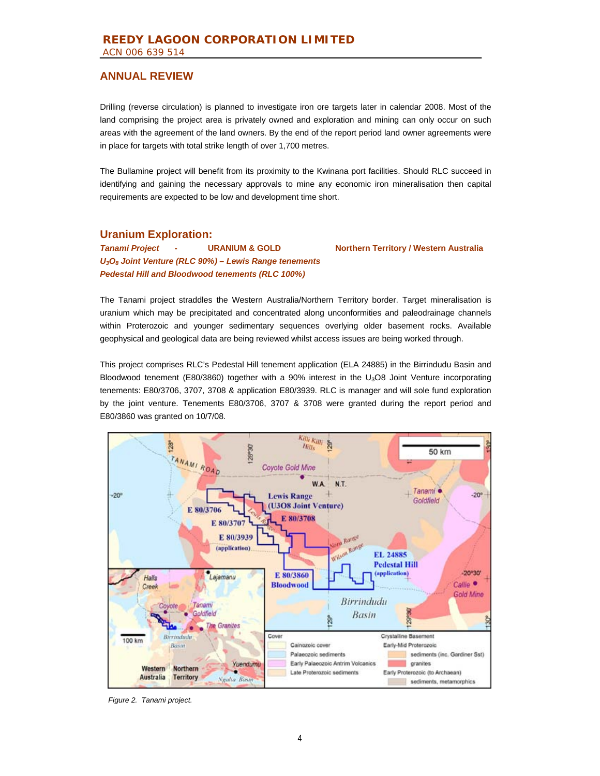Drilling (reverse circulation) is planned to investigate iron ore targets later in calendar 2008. Most of the land comprising the project area is privately owned and exploration and mining can only occur on such areas with the agreement of the land owners. By the end of the report period land owner agreements were in place for targets with total strike length of over 1,700 metres.

The Bullamine project will benefit from its proximity to the Kwinana port facilities. Should RLC succeed in identifying and gaining the necessary approvals to mine any economic iron mineralisation then capital requirements are expected to be low and development time short.

### **Uranium Exploration:**

*Tanami Project* **- URANIUM & GOLD Northern Territory / Western Australia**  *U3O8 Joint Venture (RLC 90%) – Lewis Range tenements Pedestal Hill and Bloodwood tenements (RLC 100%)*

The Tanami project straddles the Western Australia/Northern Territory border. Target mineralisation is uranium which may be precipitated and concentrated along unconformities and paleodrainage channels within Proterozoic and younger sedimentary sequences overlying older basement rocks. Available geophysical and geological data are being reviewed whilst access issues are being worked through.

This project comprises RLC's Pedestal Hill tenement application (ELA 24885) in the Birrindudu Basin and Bloodwood tenement (E80/3860) together with a 90% interest in the U<sub>3</sub>O8 Joint Venture incorporating tenements: E80/3706, 3707, 3708 & application E80/3939. RLC is manager and will sole fund exploration by the joint venture. Tenements E80/3706, 3707 & 3708 were granted during the report period and E80/3860 was granted on 10/7/08.



*Figure 2. Tanami project.*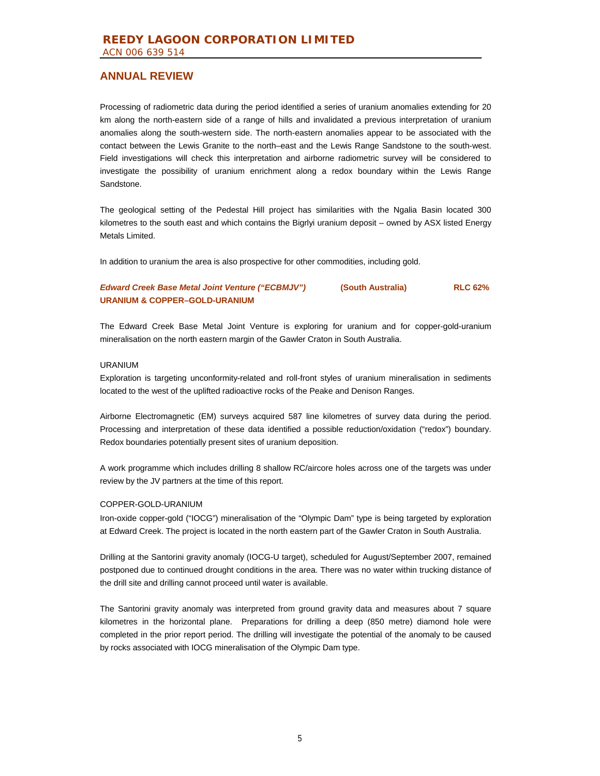Processing of radiometric data during the period identified a series of uranium anomalies extending for 20 km along the north-eastern side of a range of hills and invalidated a previous interpretation of uranium anomalies along the south-western side. The north-eastern anomalies appear to be associated with the contact between the Lewis Granite to the north–east and the Lewis Range Sandstone to the south-west. Field investigations will check this interpretation and airborne radiometric survey will be considered to investigate the possibility of uranium enrichment along a redox boundary within the Lewis Range Sandstone.

The geological setting of the Pedestal Hill project has similarities with the Ngalia Basin located 300 kilometres to the south east and which contains the Bigrlyi uranium deposit – owned by ASX listed Energy Metals Limited.

In addition to uranium the area is also prospective for other commodities, including gold.

### *Edward Creek Base Metal Joint Venture ("ECBMJV")* **(South Australia)****RLC 62% URANIUM & COPPER–GOLD-URANIUM**

The Edward Creek Base Metal Joint Venture is exploring for uranium and for copper-gold-uranium mineralisation on the north eastern margin of the Gawler Craton in South Australia.

#### URANIUM

Exploration is targeting unconformity-related and roll-front styles of uranium mineralisation in sediments located to the west of the uplifted radioactive rocks of the Peake and Denison Ranges.

Airborne Electromagnetic (EM) surveys acquired 587 line kilometres of survey data during the period. Processing and interpretation of these data identified a possible reduction/oxidation ("redox") boundary. Redox boundaries potentially present sites of uranium deposition.

A work programme which includes drilling 8 shallow RC/aircore holes across one of the targets was under review by the JV partners at the time of this report.

#### COPPER-GOLD-URANIUM

Iron-oxide copper-gold ("IOCG") mineralisation of the "Olympic Dam" type is being targeted by exploration at Edward Creek. The project is located in the north eastern part of the Gawler Craton in South Australia.

Drilling at the Santorini gravity anomaly (IOCG-U target), scheduled for August/September 2007, remained postponed due to continued drought conditions in the area. There was no water within trucking distance of the drill site and drilling cannot proceed until water is available.

The Santorini gravity anomaly was interpreted from ground gravity data and measures about 7 square kilometres in the horizontal plane. Preparations for drilling a deep (850 metre) diamond hole were completed in the prior report period. The drilling will investigate the potential of the anomaly to be caused by rocks associated with IOCG mineralisation of the Olympic Dam type.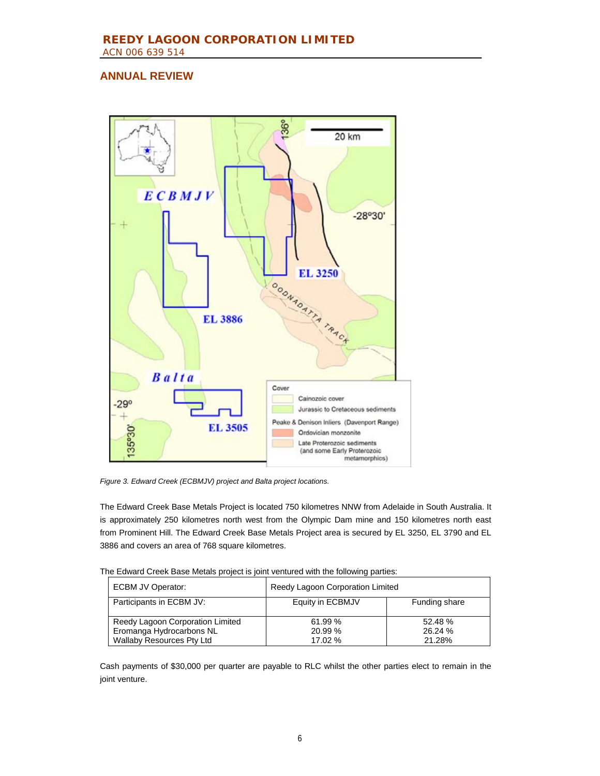

*Figure 3. Edward Creek (ECBMJV) project and Balta project locations.* 

The Edward Creek Base Metals Project is located 750 kilometres NNW from Adelaide in South Australia. It is approximately 250 kilometres north west from the Olympic Dam mine and 150 kilometres north east from Prominent Hill. The Edward Creek Base Metals Project area is secured by EL 3250, EL 3790 and EL 3886 and covers an area of 768 square kilometres.

| The Edward Creek Base Metals project is joint ventured with the following parties: |  |  |  |
|------------------------------------------------------------------------------------|--|--|--|
|                                                                                    |  |  |  |

| <b>ECBM JV Operator:</b>         | Reedy Lagoon Corporation Limited  |         |  |
|----------------------------------|-----------------------------------|---------|--|
| Participants in ECBM JV:         | Equity in ECBMJV<br>Funding share |         |  |
| Reedy Lagoon Corporation Limited | 61.99 %                           | 52.48%  |  |
| Eromanga Hydrocarbons NL         | 20.99 %                           | 26.24 % |  |
| <b>Wallaby Resources Pty Ltd</b> | 17.02%                            | 21.28%  |  |

Cash payments of \$30,000 per quarter are payable to RLC whilst the other parties elect to remain in the joint venture.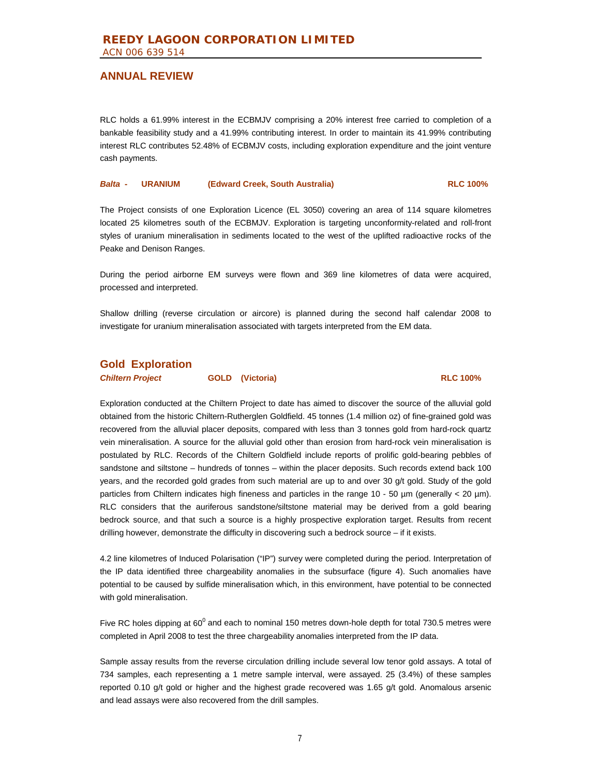RLC holds a 61.99% interest in the ECBMJV comprising a 20% interest free carried to completion of a bankable feasibility study and a 41.99% contributing interest. In order to maintain its 41.99% contributing interest RLC contributes 52.48% of ECBMJV costs, including exploration expenditure and the joint venture cash payments.

#### *Balta* **- URANIUM (Edward Creek, South Australia) RLC 100%**

The Project consists of one Exploration Licence (EL 3050) covering an area of 114 square kilometres located 25 kilometres south of the ECBMJV. Exploration is targeting unconformity-related and roll-front styles of uranium mineralisation in sediments located to the west of the uplifted radioactive rocks of the Peake and Denison Ranges.

During the period airborne EM surveys were flown and 369 line kilometres of data were acquired, processed and interpreted.

Shallow drilling (reverse circulation or aircore) is planned during the second half calendar 2008 to investigate for uranium mineralisation associated with targets interpreted from the EM data.

# **Gold Exploration**

*Chiltern Project* **GOLD (Victoria) RLC 100%**

Exploration conducted at the Chiltern Project to date has aimed to discover the source of the alluvial gold obtained from the historic Chiltern-Rutherglen Goldfield. 45 tonnes (1.4 million oz) of fine-grained gold was recovered from the alluvial placer deposits, compared with less than 3 tonnes gold from hard-rock quartz vein mineralisation. A source for the alluvial gold other than erosion from hard-rock vein mineralisation is postulated by RLC. Records of the Chiltern Goldfield include reports of prolific gold-bearing pebbles of sandstone and siltstone – hundreds of tonnes – within the placer deposits. Such records extend back 100 years, and the recorded gold grades from such material are up to and over 30 g/t gold. Study of the gold particles from Chiltern indicates high fineness and particles in the range 10 - 50 µm (generally < 20 µm). RLC considers that the auriferous sandstone/siltstone material may be derived from a gold bearing bedrock source, and that such a source is a highly prospective exploration target. Results from recent drilling however, demonstrate the difficulty in discovering such a bedrock source – if it exists.

4.2 line kilometres of Induced Polarisation ("IP") survey were completed during the period. Interpretation of the IP data identified three chargeability anomalies in the subsurface (figure 4). Such anomalies have potential to be caused by sulfide mineralisation which, in this environment, have potential to be connected with gold mineralisation.

Five RC holes dipping at 60<sup>0</sup> and each to nominal 150 metres down-hole depth for total 730.5 metres were completed in April 2008 to test the three chargeability anomalies interpreted from the IP data.

Sample assay results from the reverse circulation drilling include several low tenor gold assays. A total of 734 samples, each representing a 1 metre sample interval, were assayed. 25 (3.4%) of these samples reported 0.10 g/t gold or higher and the highest grade recovered was 1.65 g/t gold. Anomalous arsenic and lead assays were also recovered from the drill samples.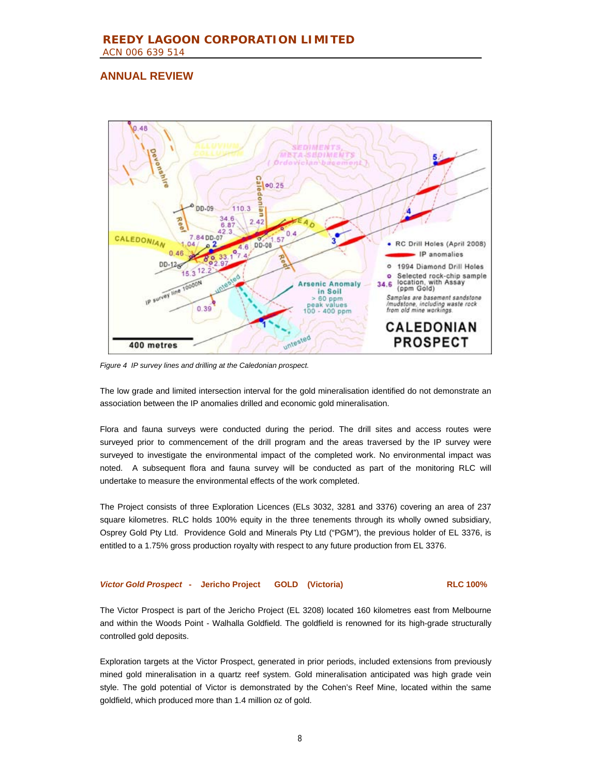

*Figure 4 IP survey lines and drilling at the Caledonian prospect.* 

The low grade and limited intersection interval for the gold mineralisation identified do not demonstrate an association between the IP anomalies drilled and economic gold mineralisation.

Flora and fauna surveys were conducted during the period. The drill sites and access routes were surveyed prior to commencement of the drill program and the areas traversed by the IP survey were surveyed to investigate the environmental impact of the completed work. No environmental impact was noted. A subsequent flora and fauna survey will be conducted as part of the monitoring RLC will undertake to measure the environmental effects of the work completed.

The Project consists of three Exploration Licences (ELs 3032, 3281 and 3376) covering an area of 237 square kilometres. RLC holds 100% equity in the three tenements through its wholly owned subsidiary, Osprey Gold Pty Ltd. Providence Gold and Minerals Pty Ltd ("PGM"), the previous holder of EL 3376, is entitled to a 1.75% gross production royalty with respect to any future production from EL 3376.

#### *Victor Gold Prospect* **- Jericho Project GOLD (Victoria) RLC 100%**

The Victor Prospect is part of the Jericho Project (EL 3208) located 160 kilometres east from Melbourne and within the Woods Point - Walhalla Goldfield. The goldfield is renowned for its high-grade structurally controlled gold deposits.

Exploration targets at the Victor Prospect, generated in prior periods, included extensions from previously mined gold mineralisation in a quartz reef system. Gold mineralisation anticipated was high grade vein style. The gold potential of Victor is demonstrated by the Cohen's Reef Mine, located within the same goldfield, which produced more than 1.4 million oz of gold.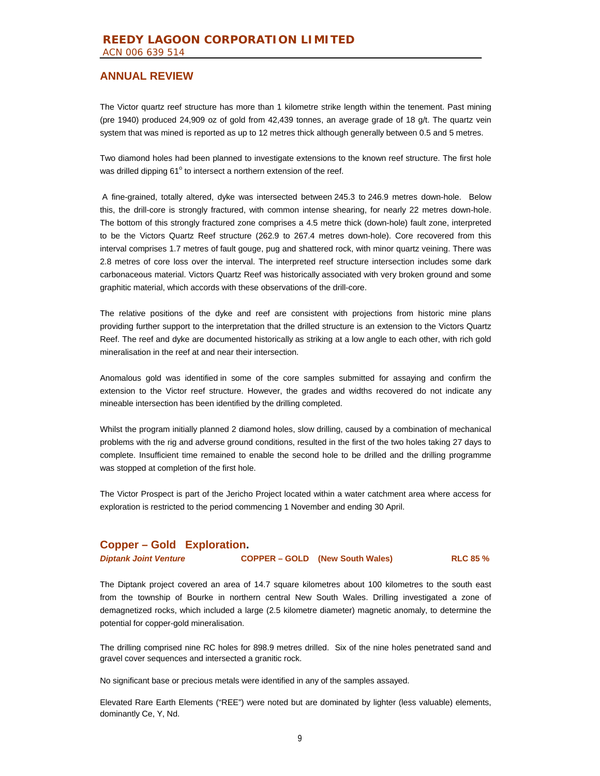The Victor quartz reef structure has more than 1 kilometre strike length within the tenement. Past mining (pre 1940) produced 24,909 oz of gold from 42,439 tonnes, an average grade of 18 g/t. The quartz vein system that was mined is reported as up to 12 metres thick although generally between 0.5 and 5 metres.

Two diamond holes had been planned to investigate extensions to the known reef structure. The first hole was drilled dipping 61° to intersect a northern extension of the reef.

 A fine-grained, totally altered, dyke was intersected between 245.3 to 246.9 metres down-hole. Below this, the drill-core is strongly fractured, with common intense shearing, for nearly 22 metres down-hole. The bottom of this strongly fractured zone comprises a 4.5 metre thick (down-hole) fault zone, interpreted to be the Victors Quartz Reef structure (262.9 to 267.4 metres down-hole). Core recovered from this interval comprises 1.7 metres of fault gouge, pug and shattered rock, with minor quartz veining. There was 2.8 metres of core loss over the interval. The interpreted reef structure intersection includes some dark carbonaceous material. Victors Quartz Reef was historically associated with very broken ground and some graphitic material, which accords with these observations of the drill-core.

The relative positions of the dyke and reef are consistent with projections from historic mine plans providing further support to the interpretation that the drilled structure is an extension to the Victors Quartz Reef. The reef and dyke are documented historically as striking at a low angle to each other, with rich gold mineralisation in the reef at and near their intersection.

Anomalous gold was identified in some of the core samples submitted for assaying and confirm the extension to the Victor reef structure. However, the grades and widths recovered do not indicate any mineable intersection has been identified by the drilling completed.

Whilst the program initially planned 2 diamond holes, slow drilling, caused by a combination of mechanical problems with the rig and adverse ground conditions, resulted in the first of the two holes taking 27 days to complete. Insufficient time remained to enable the second hole to be drilled and the drilling programme was stopped at completion of the first hole.

The Victor Prospect is part of the Jericho Project located within a water catchment area where access for exploration is restricted to the period commencing 1 November and ending 30 April.

### **Copper – Gold Exploration.**

*Diptank Joint Venture* **COPPER – GOLD (New South Wales) RLC 85 %** 

The Diptank project covered an area of 14.7 square kilometres about 100 kilometres to the south east from the township of Bourke in northern central New South Wales. Drilling investigated a zone of demagnetized rocks, which included a large (2.5 kilometre diameter) magnetic anomaly, to determine the potential for copper-gold mineralisation.

The drilling comprised nine RC holes for 898.9 metres drilled. Six of the nine holes penetrated sand and gravel cover sequences and intersected a granitic rock.

No significant base or precious metals were identified in any of the samples assayed.

Elevated Rare Earth Elements ("REE") were noted but are dominated by lighter (less valuable) elements, dominantly Ce, Y, Nd.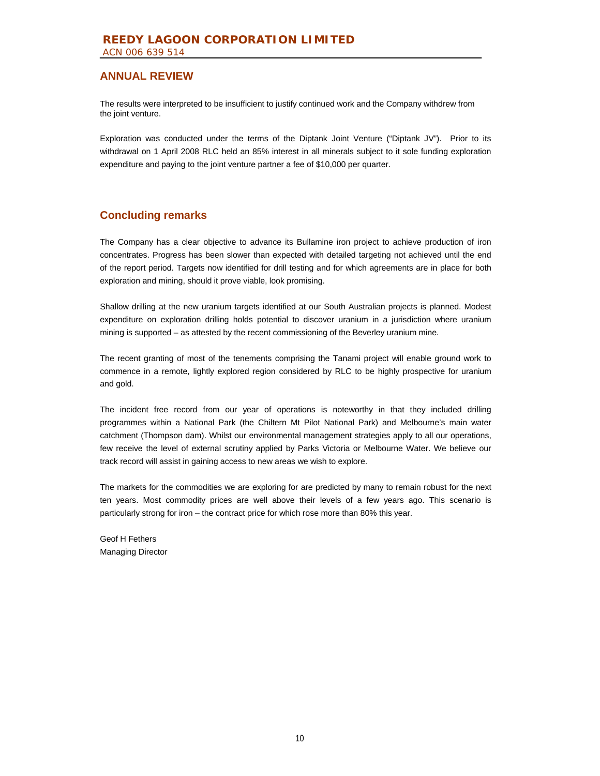The results were interpreted to be insufficient to justify continued work and the Company withdrew from the joint venture.

Exploration was conducted under the terms of the Diptank Joint Venture ("Diptank JV"). Prior to its withdrawal on 1 April 2008 RLC held an 85% interest in all minerals subject to it sole funding exploration expenditure and paying to the joint venture partner a fee of \$10,000 per quarter.

# **Concluding remarks**

The Company has a clear objective to advance its Bullamine iron project to achieve production of iron concentrates. Progress has been slower than expected with detailed targeting not achieved until the end of the report period. Targets now identified for drill testing and for which agreements are in place for both exploration and mining, should it prove viable, look promising.

Shallow drilling at the new uranium targets identified at our South Australian projects is planned. Modest expenditure on exploration drilling holds potential to discover uranium in a jurisdiction where uranium mining is supported – as attested by the recent commissioning of the Beverley uranium mine.

The recent granting of most of the tenements comprising the Tanami project will enable ground work to commence in a remote, lightly explored region considered by RLC to be highly prospective for uranium and gold.

The incident free record from our year of operations is noteworthy in that they included drilling programmes within a National Park (the Chiltern Mt Pilot National Park) and Melbourne's main water catchment (Thompson dam). Whilst our environmental management strategies apply to all our operations, few receive the level of external scrutiny applied by Parks Victoria or Melbourne Water. We believe our track record will assist in gaining access to new areas we wish to explore.

The markets for the commodities we are exploring for are predicted by many to remain robust for the next ten years. Most commodity prices are well above their levels of a few years ago. This scenario is particularly strong for iron – the contract price for which rose more than 80% this year.

Geof H Fethers Managing Director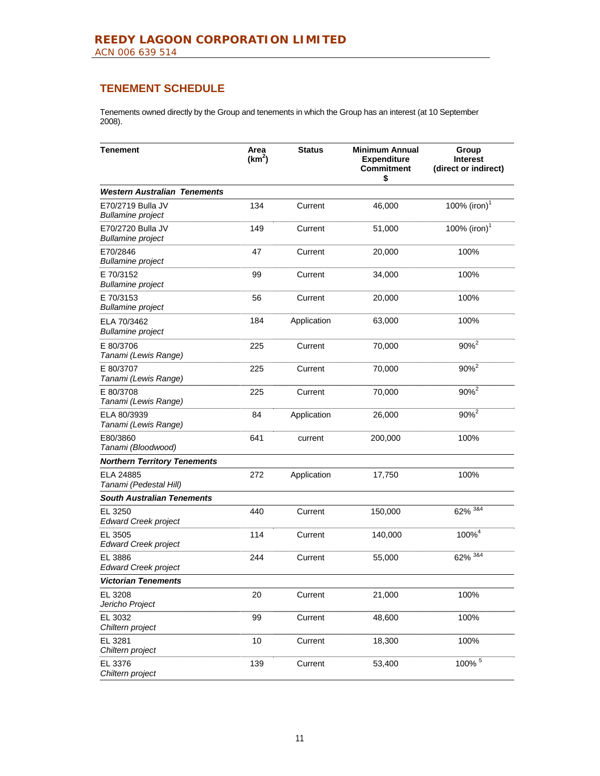# **TENEMENT SCHEDULE**

Tenements owned directly by the Group and tenements in which the Group has an interest (at 10 September 2008).

| <b>Tenement</b>                               | Area<br>(km <sup>2</sup> ) | <b>Status</b> | <b>Minimum Annual</b><br><b>Expenditure</b><br><b>Commitment</b><br>\$ | Group<br><b>Interest</b><br>(direct or indirect) |
|-----------------------------------------------|----------------------------|---------------|------------------------------------------------------------------------|--------------------------------------------------|
| <b>Western Australian Tenements</b>           |                            |               |                                                                        |                                                  |
| E70/2719 Bulla JV<br><b>Bullamine project</b> | 134                        | Current       | 46,000                                                                 | 100% (iron) $1$                                  |
| E70/2720 Bulla JV<br><b>Bullamine project</b> | 149                        | Current       | 51,000                                                                 | 100% (iron) <sup>1</sup>                         |
| E70/2846<br><b>Bullamine project</b>          | 47                         | Current       | 20,000                                                                 | 100%                                             |
| E 70/3152<br><b>Bullamine project</b>         | 99                         | Current       | 34,000                                                                 | 100%                                             |
| E 70/3153<br><b>Bullamine project</b>         | 56                         | Current       | 20,000                                                                 | 100%                                             |
| ELA 70/3462<br><b>Bullamine project</b>       | 184                        | Application   | 63,000                                                                 | 100%                                             |
| E 80/3706<br>Tanami (Lewis Range)             | 225                        | Current       | 70,000                                                                 | $90%^{2}$                                        |
| E 80/3707<br>Tanami (Lewis Range)             | 225                        | Current       | 70,000                                                                 | 90% <sup>2</sup>                                 |
| E 80/3708<br>Tanami (Lewis Range)             | 225                        | Current       | 70,000                                                                 | $90\%^{2}$                                       |
| ELA 80/3939<br>Tanami (Lewis Range)           | 84                         | Application   | 26,000                                                                 | $90\%^{2}$                                       |
| E80/3860<br>Tanami (Bloodwood)                | 641                        | current       | 200,000                                                                | 100%                                             |
| <b>Northern Territory Tenements</b>           |                            |               |                                                                        |                                                  |
| ELA 24885<br>Tanami (Pedestal Hill)           | 272                        | Application   | 17,750                                                                 | 100%                                             |
| <b>South Australian Tenements</b>             |                            |               |                                                                        |                                                  |
| EL 3250<br><b>Edward Creek project</b>        | 440                        | Current       | 150,000                                                                | $62\% \; \frac{384}{3}$                          |
| EL 3505<br><b>Edward Creek project</b>        | 114                        | Current       | 140,000                                                                | $100\%^{4}$                                      |
| EL 3886<br><b>Edward Creek project</b>        | 244                        | Current       | 55,000                                                                 | $62\%$ <sup>3&amp;4</sup>                        |
| <b>Victorian Tenements</b>                    |                            |               |                                                                        |                                                  |
| EL 3208<br>Jericho Project                    | 20                         | Current       | 21,000                                                                 | 100%                                             |
| EL 3032<br>Chiltern project                   | 99                         | Current       | 48,600                                                                 | 100%                                             |
| EL 3281<br>Chiltern project                   | 10                         | Current       | 18,300                                                                 | 100%                                             |
| EL 3376<br>Chiltern project                   | 139                        | Current       | 53,400                                                                 | $100\%$ <sup>5</sup>                             |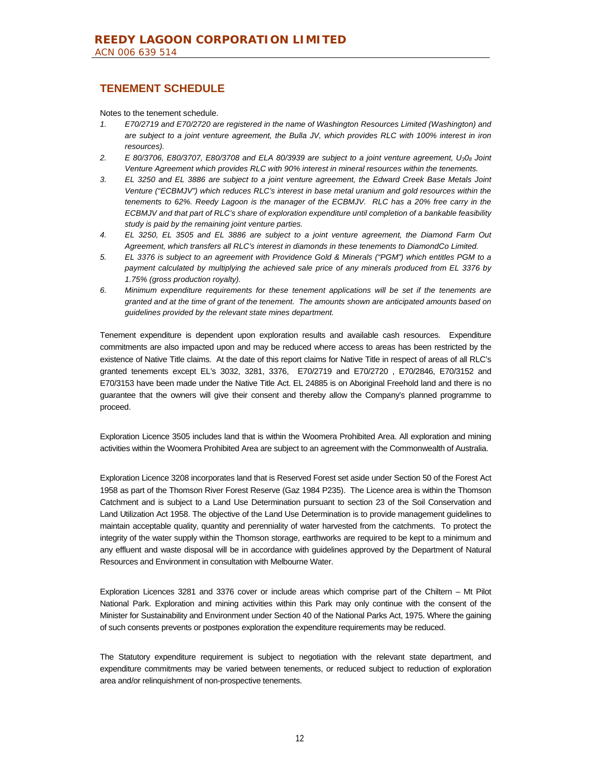# **TENEMENT SCHEDULE**

Notes to the tenement schedule.

- *1. E70/2719 and E70/2720 are registered in the name of Washington Resources Limited (Washington) and are subject to a joint venture agreement, the Bulla JV, which provides RLC with 100% interest in iron resources).*
- *2. E 80/3706, E80/3707, E80/3708 and ELA 80/3939 are subject to a joint venture agreement, U308 Joint Venture Agreement which provides RLC with 90% interest in mineral resources within the tenements.*
- *3. EL 3250 and EL 3886 are subject to a joint venture agreement, the Edward Creek Base Metals Joint Venture ("ECBMJV") which reduces RLC's interest in base metal uranium and gold resources within the tenements to 62%. Reedy Lagoon is the manager of the ECBMJV. RLC has a 20% free carry in the ECBMJV and that part of RLC's share of exploration expenditure until completion of a bankable feasibility study is paid by the remaining joint venture parties.*
- *4. EL 3250, EL 3505 and EL 3886 are subject to a joint venture agreement, the Diamond Farm Out Agreement, which transfers all RLC's interest in diamonds in these tenements to DiamondCo Limited.*
- *5. EL 3376 is subject to an agreement with Providence Gold & Minerals ("PGM") which entitles PGM to a*  payment calculated by multiplying the achieved sale price of any minerals produced from EL 3376 by *1.75% (gross production royalty).*
- *6. Minimum expenditure requirements for these tenement applications will be set if the tenements are granted and at the time of grant of the tenement. The amounts shown are anticipated amounts based on guidelines provided by the relevant state mines department.*

Tenement expenditure is dependent upon exploration results and available cash resources. Expenditure commitments are also impacted upon and may be reduced where access to areas has been restricted by the existence of Native Title claims. At the date of this report claims for Native Title in respect of areas of all RLC's granted tenements except EL's 3032, 3281, 3376, E70/2719 and E70/2720 , E70/2846, E70/3152 and E70/3153 have been made under the Native Title Act. EL 24885 is on Aboriginal Freehold land and there is no guarantee that the owners will give their consent and thereby allow the Company's planned programme to proceed.

Exploration Licence 3505 includes land that is within the Woomera Prohibited Area. All exploration and mining activities within the Woomera Prohibited Area are subject to an agreement with the Commonwealth of Australia.

Exploration Licence 3208 incorporates land that is Reserved Forest set aside under Section 50 of the Forest Act 1958 as part of the Thomson River Forest Reserve (Gaz 1984 P235). The Licence area is within the Thomson Catchment and is subject to a Land Use Determination pursuant to section 23 of the Soil Conservation and Land Utilization Act 1958. The objective of the Land Use Determination is to provide management guidelines to maintain acceptable quality, quantity and perenniality of water harvested from the catchments. To protect the integrity of the water supply within the Thomson storage, earthworks are required to be kept to a minimum and any effluent and waste disposal will be in accordance with guidelines approved by the Department of Natural Resources and Environment in consultation with Melbourne Water.

Exploration Licences 3281 and 3376 cover or include areas which comprise part of the Chiltern – Mt Pilot National Park. Exploration and mining activities within this Park may only continue with the consent of the Minister for Sustainability and Environment under Section 40 of the National Parks Act, 1975. Where the gaining of such consents prevents or postpones exploration the expenditure requirements may be reduced.

The Statutory expenditure requirement is subject to negotiation with the relevant state department, and expenditure commitments may be varied between tenements, or reduced subject to reduction of exploration area and/or relinquishment of non-prospective tenements.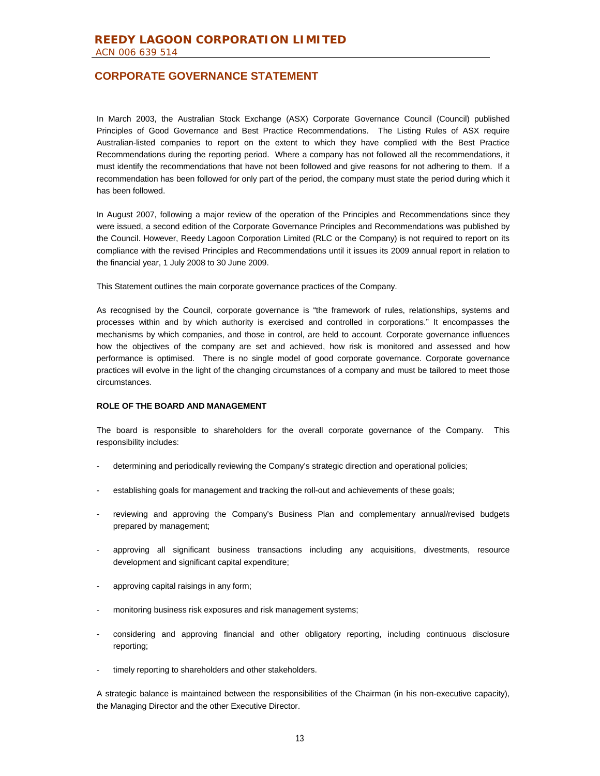In March 2003, the Australian Stock Exchange (ASX) Corporate Governance Council (Council) published Principles of Good Governance and Best Practice Recommendations. The Listing Rules of ASX require Australian-listed companies to report on the extent to which they have complied with the Best Practice Recommendations during the reporting period. Where a company has not followed all the recommendations, it must identify the recommendations that have not been followed and give reasons for not adhering to them. If a recommendation has been followed for only part of the period, the company must state the period during which it has been followed.

In August 2007, following a major review of the operation of the Principles and Recommendations since they were issued, a second edition of the Corporate Governance Principles and Recommendations was published by the Council. However, Reedy Lagoon Corporation Limited (RLC or the Company) is not required to report on its compliance with the revised Principles and Recommendations until it issues its 2009 annual report in relation to the financial year, 1 July 2008 to 30 June 2009.

This Statement outlines the main corporate governance practices of the Company.

As recognised by the Council, corporate governance is "the framework of rules, relationships, systems and processes within and by which authority is exercised and controlled in corporations." It encompasses the mechanisms by which companies, and those in control, are held to account. Corporate governance influences how the objectives of the company are set and achieved, how risk is monitored and assessed and how performance is optimised. There is no single model of good corporate governance. Corporate governance practices will evolve in the light of the changing circumstances of a company and must be tailored to meet those circumstances.

#### **ROLE OF THE BOARD AND MANAGEMENT**

The board is responsible to shareholders for the overall corporate governance of the Company. This responsibility includes:

- determining and periodically reviewing the Company's strategic direction and operational policies;
- establishing goals for management and tracking the roll-out and achievements of these goals;
- reviewing and approving the Company's Business Plan and complementary annual/revised budgets prepared by management;
- approving all significant business transactions including any acquisitions, divestments, resource development and significant capital expenditure;
- approving capital raisings in any form;
- monitoring business risk exposures and risk management systems;
- considering and approving financial and other obligatory reporting, including continuous disclosure reporting;
- timely reporting to shareholders and other stakeholders.

A strategic balance is maintained between the responsibilities of the Chairman (in his non-executive capacity), the Managing Director and the other Executive Director.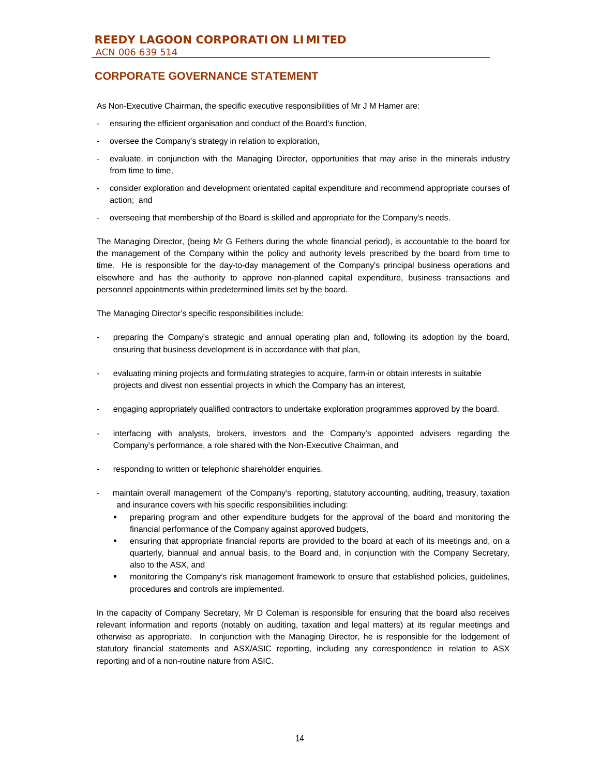As Non-Executive Chairman, the specific executive responsibilities of Mr J M Hamer are:

- ensuring the efficient organisation and conduct of the Board's function,
- oversee the Company's strategy in relation to exploration,
- evaluate, in conjunction with the Managing Director, opportunities that may arise in the minerals industry from time to time,
- consider exploration and development orientated capital expenditure and recommend appropriate courses of action; and
- overseeing that membership of the Board is skilled and appropriate for the Company's needs.

The Managing Director, (being Mr G Fethers during the whole financial period), is accountable to the board for the management of the Company within the policy and authority levels prescribed by the board from time to time. He is responsible for the day-to-day management of the Company's principal business operations and elsewhere and has the authority to approve non-planned capital expenditure, business transactions and personnel appointments within predetermined limits set by the board.

The Managing Director's specific responsibilities include:

- preparing the Company's strategic and annual operating plan and, following its adoption by the board, ensuring that business development is in accordance with that plan,
- evaluating mining projects and formulating strategies to acquire, farm-in or obtain interests in suitable projects and divest non essential projects in which the Company has an interest,
- engaging appropriately qualified contractors to undertake exploration programmes approved by the board.
- interfacing with analysts, brokers, investors and the Company's appointed advisers regarding the Company's performance, a role shared with the Non-Executive Chairman, and
- responding to written or telephonic shareholder enquiries.
- maintain overall management of the Company's reporting, statutory accounting, auditing, treasury, taxation and insurance covers with his specific responsibilities including:
	- preparing program and other expenditure budgets for the approval of the board and monitoring the financial performance of the Company against approved budgets,
	- ensuring that appropriate financial reports are provided to the board at each of its meetings and, on a quarterly, biannual and annual basis, to the Board and, in conjunction with the Company Secretary, also to the ASX, and
	- monitoring the Company's risk management framework to ensure that established policies, guidelines, procedures and controls are implemented.

In the capacity of Company Secretary, Mr D Coleman is responsible for ensuring that the board also receives relevant information and reports (notably on auditing, taxation and legal matters) at its regular meetings and otherwise as appropriate. In conjunction with the Managing Director, he is responsible for the lodgement of statutory financial statements and ASX/ASIC reporting, including any correspondence in relation to ASX reporting and of a non-routine nature from ASIC.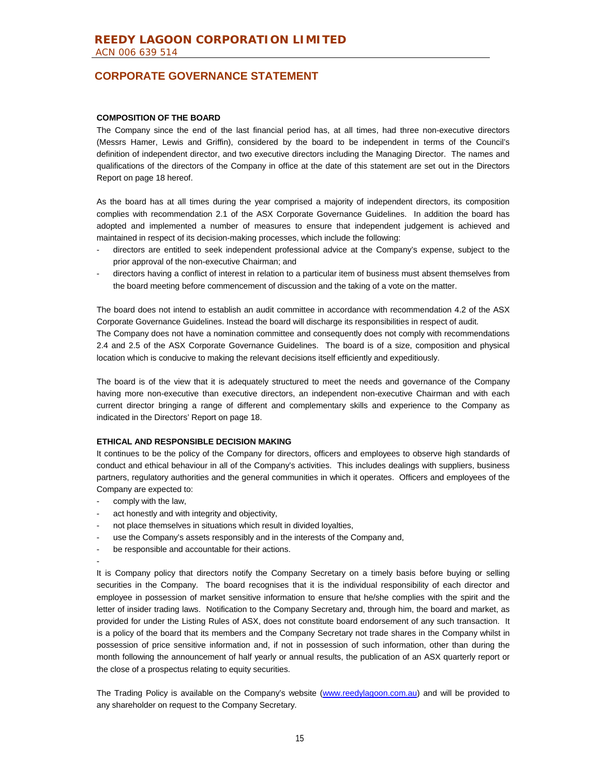#### **COMPOSITION OF THE BOARD**

The Company since the end of the last financial period has, at all times, had three non-executive directors (Messrs Hamer, Lewis and Griffin), considered by the board to be independent in terms of the Council's definition of independent director, and two executive directors including the Managing Director. The names and qualifications of the directors of the Company in office at the date of this statement are set out in the Directors Report on page 18 hereof.

As the board has at all times during the year comprised a majority of independent directors, its composition complies with recommendation 2.1 of the ASX Corporate Governance Guidelines. In addition the board has adopted and implemented a number of measures to ensure that independent judgement is achieved and maintained in respect of its decision-making processes, which include the following:

- directors are entitled to seek independent professional advice at the Company's expense, subject to the prior approval of the non-executive Chairman; and
- directors having a conflict of interest in relation to a particular item of business must absent themselves from the board meeting before commencement of discussion and the taking of a vote on the matter.

The board does not intend to establish an audit committee in accordance with recommendation 4.2 of the ASX Corporate Governance Guidelines. Instead the board will discharge its responsibilities in respect of audit. The Company does not have a nomination committee and consequently does not comply with recommendations 2.4 and 2.5 of the ASX Corporate Governance Guidelines. The board is of a size, composition and physical location which is conducive to making the relevant decisions itself efficiently and expeditiously.

The board is of the view that it is adequately structured to meet the needs and governance of the Company having more non-executive than executive directors, an independent non-executive Chairman and with each current director bringing a range of different and complementary skills and experience to the Company as indicated in the Directors' Report on page 18.

#### **ETHICAL AND RESPONSIBLE DECISION MAKING**

It continues to be the policy of the Company for directors, officers and employees to observe high standards of conduct and ethical behaviour in all of the Company's activities. This includes dealings with suppliers, business partners, regulatory authorities and the general communities in which it operates. Officers and employees of the Company are expected to:

- comply with the law,
- act honestly and with integrity and objectivity,
- not place themselves in situations which result in divided loyalties,
- use the Company's assets responsibly and in the interests of the Company and,
- be responsible and accountable for their actions.
- -

It is Company policy that directors notify the Company Secretary on a timely basis before buying or selling securities in the Company. The board recognises that it is the individual responsibility of each director and employee in possession of market sensitive information to ensure that he/she complies with the spirit and the letter of insider trading laws. Notification to the Company Secretary and, through him, the board and market, as provided for under the Listing Rules of ASX, does not constitute board endorsement of any such transaction. It is a policy of the board that its members and the Company Secretary not trade shares in the Company whilst in possession of price sensitive information and, if not in possession of such information, other than during the month following the announcement of half yearly or annual results, the publication of an ASX quarterly report or the close of a prospectus relating to equity securities.

The Trading Policy is available on the Company's website (www.reedylagoon.com.au) and will be provided to any shareholder on request to the Company Secretary.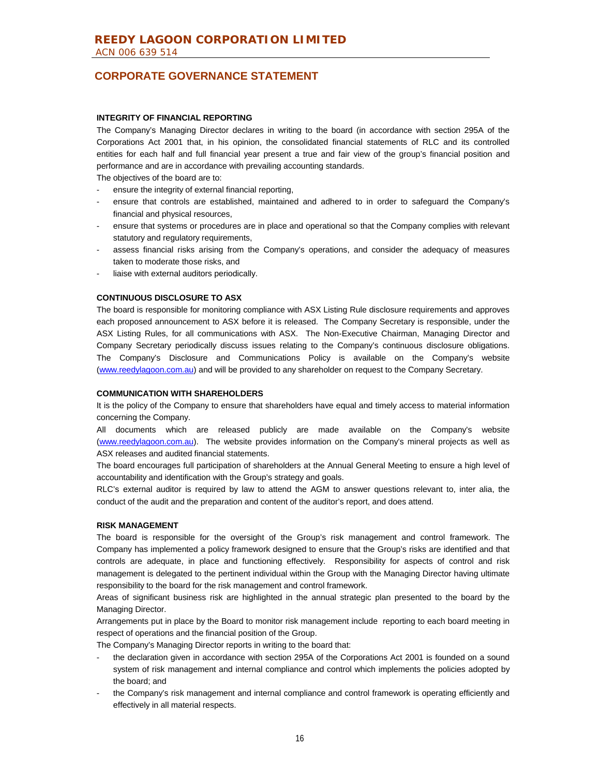#### **INTEGRITY OF FINANCIAL REPORTING**

The Company's Managing Director declares in writing to the board (in accordance with section 295A of the Corporations Act 2001 that, in his opinion, the consolidated financial statements of RLC and its controlled entities for each half and full financial year present a true and fair view of the group's financial position and performance and are in accordance with prevailing accounting standards.

The objectives of the board are to:

- ensure the integrity of external financial reporting,
- ensure that controls are established, maintained and adhered to in order to safeguard the Company's financial and physical resources,
- ensure that systems or procedures are in place and operational so that the Company complies with relevant statutory and regulatory requirements,
- assess financial risks arising from the Company's operations, and consider the adequacy of measures taken to moderate those risks, and
- liaise with external auditors periodically.

#### **CONTINUOUS DISCLOSURE TO ASX**

The board is responsible for monitoring compliance with ASX Listing Rule disclosure requirements and approves each proposed announcement to ASX before it is released. The Company Secretary is responsible, under the ASX Listing Rules, for all communications with ASX. The Non-Executive Chairman, Managing Director and Company Secretary periodically discuss issues relating to the Company's continuous disclosure obligations. The Company's Disclosure and Communications Policy is available on the Company's website (www.reedylagoon.com.au) and will be provided to any shareholder on request to the Company Secretary.

#### **COMMUNICATION WITH SHAREHOLDERS**

It is the policy of the Company to ensure that shareholders have equal and timely access to material information concerning the Company.

All documents which are released publicly are made available on the Company's website (www.reedylagoon.com.au). The website provides information on the Company's mineral projects as well as ASX releases and audited financial statements.

The board encourages full participation of shareholders at the Annual General Meeting to ensure a high level of accountability and identification with the Group's strategy and goals.

RLC's external auditor is required by law to attend the AGM to answer questions relevant to, inter alia, the conduct of the audit and the preparation and content of the auditor's report, and does attend.

#### **RISK MANAGEMENT**

The board is responsible for the oversight of the Group's risk management and control framework. The Company has implemented a policy framework designed to ensure that the Group's risks are identified and that controls are adequate, in place and functioning effectively. Responsibility for aspects of control and risk management is delegated to the pertinent individual within the Group with the Managing Director having ultimate responsibility to the board for the risk management and control framework.

Areas of significant business risk are highlighted in the annual strategic plan presented to the board by the Managing Director.

Arrangements put in place by the Board to monitor risk management include reporting to each board meeting in respect of operations and the financial position of the Group.

The Company's Managing Director reports in writing to the board that:

- the declaration given in accordance with section 295A of the Corporations Act 2001 is founded on a sound system of risk management and internal compliance and control which implements the policies adopted by the board; and
- the Company's risk management and internal compliance and control framework is operating efficiently and effectively in all material respects.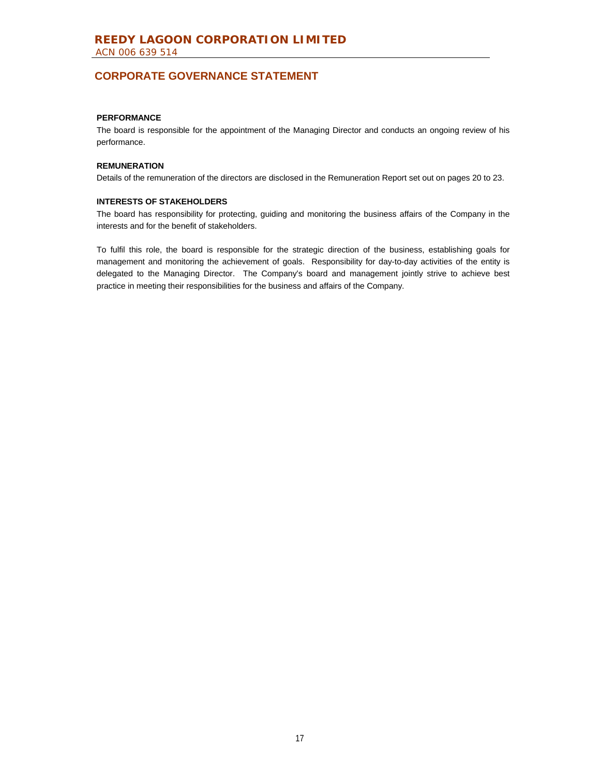### **PERFORMANCE**

The board is responsible for the appointment of the Managing Director and conducts an ongoing review of his performance.

#### **REMUNERATION**

Details of the remuneration of the directors are disclosed in the Remuneration Report set out on pages 20 to 23.

#### **INTERESTS OF STAKEHOLDERS**

The board has responsibility for protecting, guiding and monitoring the business affairs of the Company in the interests and for the benefit of stakeholders.

To fulfil this role, the board is responsible for the strategic direction of the business, establishing goals for management and monitoring the achievement of goals. Responsibility for day-to-day activities of the entity is delegated to the Managing Director. The Company's board and management jointly strive to achieve best practice in meeting their responsibilities for the business and affairs of the Company.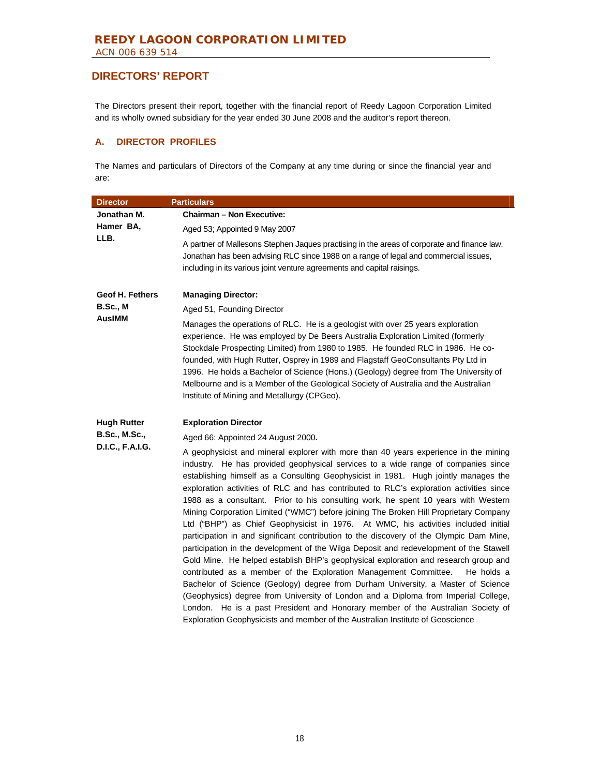The Directors present their report, together with the financial report of Reedy Lagoon Corporation Limited and its wholly owned subsidiary for the year ended 30 June 2008 and the auditor's report thereon.

### **A. DIRECTOR PROFILES**

The Names and particulars of Directors of the Company at any time during or since the financial year and are:

| <b>Director</b>        | <b>Particulars</b>                                                                                                                                                                                                                                                                                                                                                                                                                                                                                                                                                                                                                                                                                                                                                                                                                                                                                                                                                                                                                                                                                                                                                                                                                                                                                                                            |
|------------------------|-----------------------------------------------------------------------------------------------------------------------------------------------------------------------------------------------------------------------------------------------------------------------------------------------------------------------------------------------------------------------------------------------------------------------------------------------------------------------------------------------------------------------------------------------------------------------------------------------------------------------------------------------------------------------------------------------------------------------------------------------------------------------------------------------------------------------------------------------------------------------------------------------------------------------------------------------------------------------------------------------------------------------------------------------------------------------------------------------------------------------------------------------------------------------------------------------------------------------------------------------------------------------------------------------------------------------------------------------|
| Jonathan M.            | <b>Chairman - Non Executive:</b>                                                                                                                                                                                                                                                                                                                                                                                                                                                                                                                                                                                                                                                                                                                                                                                                                                                                                                                                                                                                                                                                                                                                                                                                                                                                                                              |
| Hamer BA,              | Aged 53; Appointed 9 May 2007                                                                                                                                                                                                                                                                                                                                                                                                                                                                                                                                                                                                                                                                                                                                                                                                                                                                                                                                                                                                                                                                                                                                                                                                                                                                                                                 |
| LLB.                   | A partner of Mallesons Stephen Jaques practising in the areas of corporate and finance law.<br>Jonathan has been advising RLC since 1988 on a range of legal and commercial issues,<br>including in its various joint venture agreements and capital raisings.                                                                                                                                                                                                                                                                                                                                                                                                                                                                                                                                                                                                                                                                                                                                                                                                                                                                                                                                                                                                                                                                                |
| <b>Geof H. Fethers</b> | <b>Managing Director:</b>                                                                                                                                                                                                                                                                                                                                                                                                                                                                                                                                                                                                                                                                                                                                                                                                                                                                                                                                                                                                                                                                                                                                                                                                                                                                                                                     |
| <b>B.Sc., M</b>        | Aged 51, Founding Director                                                                                                                                                                                                                                                                                                                                                                                                                                                                                                                                                                                                                                                                                                                                                                                                                                                                                                                                                                                                                                                                                                                                                                                                                                                                                                                    |
| <b>AusIMM</b>          | Manages the operations of RLC. He is a geologist with over 25 years exploration<br>experience. He was employed by De Beers Australia Exploration Limited (formerly<br>Stockdale Prospecting Limited) from 1980 to 1985. He founded RLC in 1986. He co-<br>founded, with Hugh Rutter, Osprey in 1989 and Flagstaff GeoConsultants Pty Ltd in<br>1996. He holds a Bachelor of Science (Hons.) (Geology) degree from The University of<br>Melbourne and is a Member of the Geological Society of Australia and the Australian<br>Institute of Mining and Metallurgy (CPGeo).                                                                                                                                                                                                                                                                                                                                                                                                                                                                                                                                                                                                                                                                                                                                                                     |
| <b>Hugh Rutter</b>     | <b>Exploration Director</b>                                                                                                                                                                                                                                                                                                                                                                                                                                                                                                                                                                                                                                                                                                                                                                                                                                                                                                                                                                                                                                                                                                                                                                                                                                                                                                                   |
| <b>B.Sc., M.Sc.,</b>   | Aged 66: Appointed 24 August 2000.                                                                                                                                                                                                                                                                                                                                                                                                                                                                                                                                                                                                                                                                                                                                                                                                                                                                                                                                                                                                                                                                                                                                                                                                                                                                                                            |
| D.I.C., F.A.I.G.       | A geophysicist and mineral explorer with more than 40 years experience in the mining<br>industry. He has provided geophysical services to a wide range of companies since<br>establishing himself as a Consulting Geophysicist in 1981. Hugh jointly manages the<br>exploration activities of RLC and has contributed to RLC's exploration activities since<br>1988 as a consultant. Prior to his consulting work, he spent 10 years with Western<br>Mining Corporation Limited ("WMC") before joining The Broken Hill Proprietary Company<br>Ltd ("BHP") as Chief Geophysicist in 1976. At WMC, his activities included initial<br>participation in and significant contribution to the discovery of the Olympic Dam Mine,<br>participation in the development of the Wilga Deposit and redevelopment of the Stawell<br>Gold Mine. He helped establish BHP's geophysical exploration and research group and<br>contributed as a member of the Exploration Management Committee.<br>He holds a<br>Bachelor of Science (Geology) degree from Durham University, a Master of Science<br>(Geophysics) degree from University of London and a Diploma from Imperial College,<br>London. He is a past President and Honorary member of the Australian Society of<br>Exploration Geophysicists and member of the Australian Institute of Geoscience |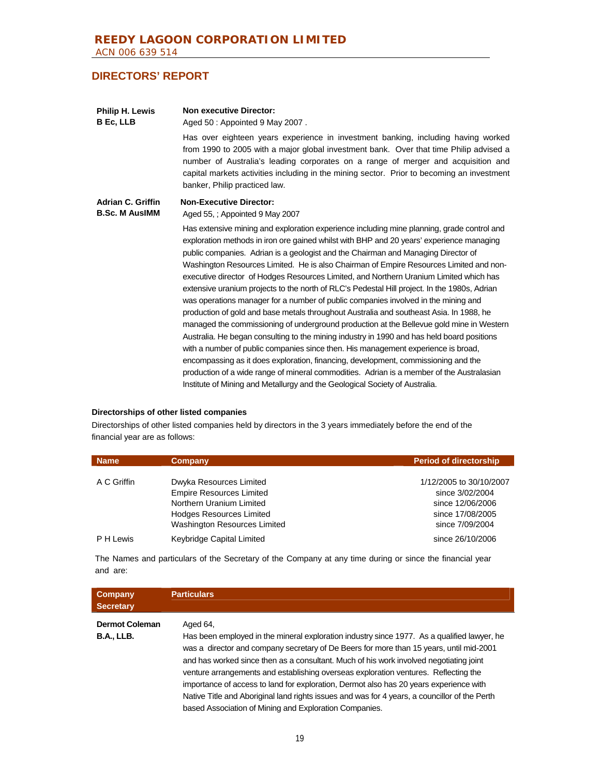| <b>Philip H. Lewis</b><br><b>B</b> Ec, LLB        | <b>Non executive Director:</b><br>Aged 50 : Appointed 9 May 2007.<br>Has over eighteen years experience in investment banking, including having worked<br>from 1990 to 2005 with a major global investment bank. Over that time Philip advised a<br>number of Australia's leading corporates on a range of merger and acquisition and<br>capital markets activities including in the mining sector. Prior to becoming an investment<br>banker, Philip practiced law.                                                                                                                                                                                                                                                                                                                                                                                                                                                                                                                                                                                                                                                                                                                                                                                                                    |
|---------------------------------------------------|-----------------------------------------------------------------------------------------------------------------------------------------------------------------------------------------------------------------------------------------------------------------------------------------------------------------------------------------------------------------------------------------------------------------------------------------------------------------------------------------------------------------------------------------------------------------------------------------------------------------------------------------------------------------------------------------------------------------------------------------------------------------------------------------------------------------------------------------------------------------------------------------------------------------------------------------------------------------------------------------------------------------------------------------------------------------------------------------------------------------------------------------------------------------------------------------------------------------------------------------------------------------------------------------|
| <b>Adrian C. Griffin</b><br><b>B.Sc. M AusIMM</b> | <b>Non-Executive Director:</b><br>Aged 55, ; Appointed 9 May 2007<br>Has extensive mining and exploration experience including mine planning, grade control and<br>exploration methods in iron ore gained whilst with BHP and 20 years' experience managing<br>public companies. Adrian is a geologist and the Chairman and Managing Director of<br>Washington Resources Limited. He is also Chairman of Empire Resources Limited and non-<br>executive director of Hodges Resources Limited, and Northern Uranium Limited which has<br>extensive uranium projects to the north of RLC's Pedestal Hill project. In the 1980s, Adrian<br>was operations manager for a number of public companies involved in the mining and<br>production of gold and base metals throughout Australia and southeast Asia. In 1988, he<br>managed the commissioning of underground production at the Bellevue gold mine in Western<br>Australia. He began consulting to the mining industry in 1990 and has held board positions<br>with a number of public companies since then. His management experience is broad,<br>encompassing as it does exploration, financing, development, commissioning and the<br>production of a wide range of mineral commodities. Adrian is a member of the Australasian |
|                                                   | Institute of Mining and Metallurgy and the Geological Society of Australia.                                                                                                                                                                                                                                                                                                                                                                                                                                                                                                                                                                                                                                                                                                                                                                                                                                                                                                                                                                                                                                                                                                                                                                                                             |

### **Directorships of other listed companies**

Directorships of other listed companies held by directors in the 3 years immediately before the end of the financial year are as follows:

| <b>Name</b> | Company                         | <b>Period of directorship</b> |
|-------------|---------------------------------|-------------------------------|
| A C Griffin | Dwyka Resources Limited         | 1/12/2005 to 30/10/2007       |
|             | <b>Empire Resources Limited</b> | since 3/02/2004               |
|             | Northern Uranium Limited        | since 12/06/2006              |
|             | <b>Hodges Resources Limited</b> | since 17/08/2005              |
|             | Washington Resources Limited    | since 7/09/2004               |
| P H Lewis   | Keybridge Capital Limited       | since 26/10/2006              |

The Names and particulars of the Secretary of the Company at any time during or since the financial year and are:

| Company<br><b>Secretary</b> | <b>Particulars</b>                                                                                                                                                                                                                                                                                                                                                                                                                                                                                                                                                                                                           |
|-----------------------------|------------------------------------------------------------------------------------------------------------------------------------------------------------------------------------------------------------------------------------------------------------------------------------------------------------------------------------------------------------------------------------------------------------------------------------------------------------------------------------------------------------------------------------------------------------------------------------------------------------------------------|
| <b>Dermot Coleman</b>       | Aged 64,                                                                                                                                                                                                                                                                                                                                                                                                                                                                                                                                                                                                                     |
| <b>B.A., LLB.</b>           | Has been employed in the mineral exploration industry since 1977. As a qualified lawyer, he<br>was a director and company secretary of De Beers for more than 15 years, until mid-2001<br>and has worked since then as a consultant. Much of his work involved negotiating joint<br>venture arrangements and establishing overseas exploration ventures. Reflecting the<br>importance of access to land for exploration, Dermot also has 20 years experience with<br>Native Title and Aboriginal land rights issues and was for 4 years, a councillor of the Perth<br>based Association of Mining and Exploration Companies. |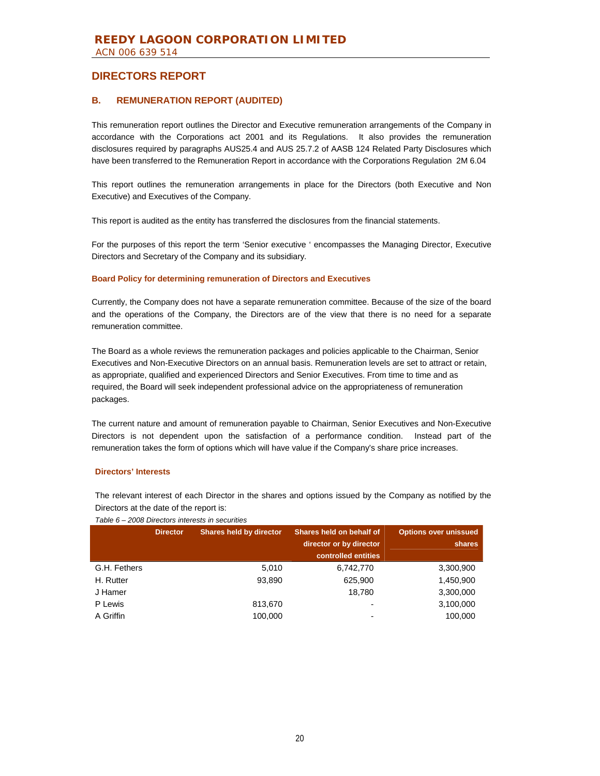### **B. REMUNERATION REPORT (AUDITED)**

This remuneration report outlines the Director and Executive remuneration arrangements of the Company in accordance with the Corporations act 2001 and its Regulations. It also provides the remuneration disclosures required by paragraphs AUS25.4 and AUS 25.7.2 of AASB 124 Related Party Disclosures which have been transferred to the Remuneration Report in accordance with the Corporations Regulation 2M 6.04

This report outlines the remuneration arrangements in place for the Directors (both Executive and Non Executive) and Executives of the Company.

This report is audited as the entity has transferred the disclosures from the financial statements.

For the purposes of this report the term 'Senior executive ' encompasses the Managing Director, Executive Directors and Secretary of the Company and its subsidiary.

#### **Board Policy for determining remuneration of Directors and Executives**

Currently, the Company does not have a separate remuneration committee. Because of the size of the board and the operations of the Company, the Directors are of the view that there is no need for a separate remuneration committee.

The Board as a whole reviews the remuneration packages and policies applicable to the Chairman, Senior Executives and Non-Executive Directors on an annual basis. Remuneration levels are set to attract or retain, as appropriate, qualified and experienced Directors and Senior Executives. From time to time and as required, the Board will seek independent professional advice on the appropriateness of remuneration packages.

The current nature and amount of remuneration payable to Chairman, Senior Executives and Non-Executive Directors is not dependent upon the satisfaction of a performance condition. Instead part of the remuneration takes the form of options which will have value if the Company's share price increases.

### **Directors' Interests**

The relevant interest of each Director in the shares and options issued by the Company as notified by the Directors at the date of the report is:

| Table 6 – 2008 Directors interests in securities |  |  |
|--------------------------------------------------|--|--|

|              | <b>Director</b> | <b>Shares held by director</b> | Shares held on behalf of<br>director or by director<br>controlled entities | <b>Options over unissued</b><br>shares |
|--------------|-----------------|--------------------------------|----------------------------------------------------------------------------|----------------------------------------|
| G.H. Fethers |                 | 5,010                          | 6,742,770                                                                  | 3,300,900                              |
| H. Rutter    |                 | 93,890                         | 625,900                                                                    | 1,450,900                              |
| J Hamer      |                 |                                | 18.780                                                                     | 3,300,000                              |
| P Lewis      |                 | 813.670                        | $\overline{\phantom{0}}$                                                   | 3,100,000                              |
| A Griffin    |                 | 100.000                        | $\overline{\phantom{0}}$                                                   | 100,000                                |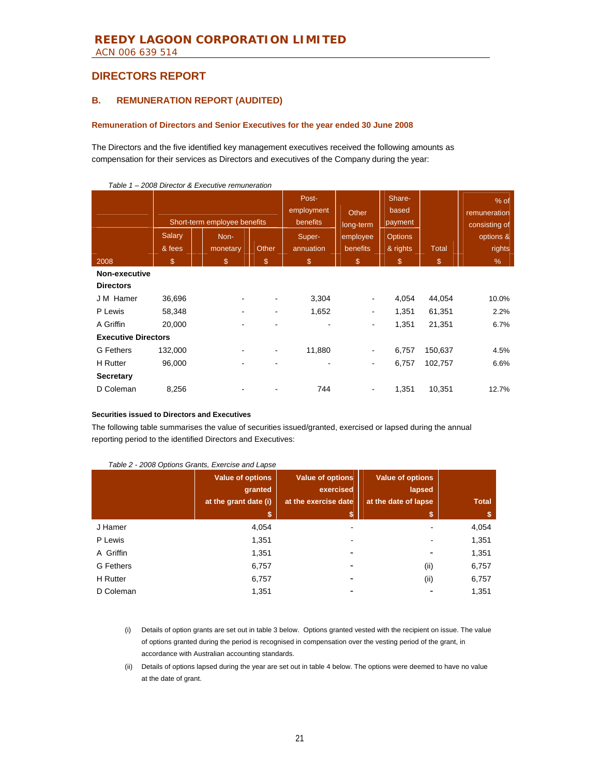### **B. REMUNERATION REPORT (AUDITED)**

#### **Remuneration of Directors and Senior Executives for the year ended 30 June 2008**

The Directors and the five identified key management executives received the following amounts as compensation for their services as Directors and executives of the Company during the year:

| , avit i                   |                              | $\sim$ 2000 Director & Executive remaineration |              |                                 |                    |                            |              |                                         |
|----------------------------|------------------------------|------------------------------------------------|--------------|---------------------------------|--------------------|----------------------------|--------------|-----------------------------------------|
|                            | Short-term employee benefits |                                                |              | Post-<br>employment<br>benefits | Other<br>long-term | Share-<br>based<br>payment |              | $%$ of<br>remuneration<br>consisting of |
|                            | Salary                       | Non-                                           |              | Super-                          | employee           | <b>Options</b>             |              | options &                               |
|                            | & fees                       | monetary                                       | <b>Other</b> | annuation                       | benefits           | & rights                   | <b>Total</b> | rights                                  |
| 2008                       | $\mathcal{L}$                | $\mathbb{S}$                                   | \$           | $\$\$                           | $\mathbb{S}$       | \$                         | \$           | %                                       |
| Non-executive              |                              |                                                |              |                                 |                    |                            |              |                                         |
| <b>Directors</b>           |                              |                                                |              |                                 |                    |                            |              |                                         |
| J M Hamer                  | 36,696                       |                                                |              | 3,304                           |                    | 4,054                      | 44,054       | 10.0%                                   |
| P Lewis                    | 58,348                       |                                                |              | 1,652                           | -                  | 1,351                      | 61,351       | 2.2%                                    |
| A Griffin                  | 20,000                       |                                                |              |                                 | ۰                  | 1,351                      | 21,351       | 6.7%                                    |
| <b>Executive Directors</b> |                              |                                                |              |                                 |                    |                            |              |                                         |
| <b>G</b> Fethers           | 132,000                      |                                                |              | 11,880                          | ۰.                 | 6,757                      | 150,637      | 4.5%                                    |
| <b>H</b> Rutter            | 96,000                       |                                                |              | $\qquad \qquad \blacksquare$    | -                  | 6,757                      | 102,757      | 6.6%                                    |
| <b>Secretary</b>           |                              |                                                |              |                                 |                    |                            |              |                                         |
| D Coleman                  | 8,256                        |                                                |              | 744                             | ۰.                 | 1,351                      | 10,351       | 12.7%                                   |
|                            |                              |                                                |              |                                 |                    |                            |              |                                         |

*Table 1 – 2008 Director & Executive remuneration* 

#### **Securities issued to Directors and Executives**

The following table summarises the value of securities issued/granted, exercised or lapsed during the annual reporting period to the identified Directors and Executives:

|           | <b>Value of options</b><br>granted<br>at the grant date (i) | <b>Value of options</b><br>exercised<br>at the exercise date | <b>Value of options</b><br>lapsed<br>at the date of lapse | <b>Total</b> |
|-----------|-------------------------------------------------------------|--------------------------------------------------------------|-----------------------------------------------------------|--------------|
|           | S                                                           | \$                                                           |                                                           | \$           |
| J Hamer   | 4,054                                                       | $\blacksquare$                                               |                                                           | 4,054        |
| P Lewis   | 1,351                                                       |                                                              |                                                           | 1,351        |
| A Griffin | 1,351                                                       |                                                              |                                                           | 1,351        |
| G Fethers | 6,757                                                       |                                                              | (ii)                                                      | 6,757        |
| H Rutter  | 6,757                                                       | ۰                                                            | (ii)                                                      | 6,757        |
| D Coleman | 1,351                                                       |                                                              |                                                           | 1,351        |

#### *Table 2 - 2008 Options Grants, Exercise and Lapse*

(i) Details of option grants are set out in table 3 below. Options granted vested with the recipient on issue. The value of options granted during the period is recognised in compensation over the vesting period of the grant, in accordance with Australian accounting standards.

(ii) Details of options lapsed during the year are set out in table 4 below. The options were deemed to have no value at the date of grant.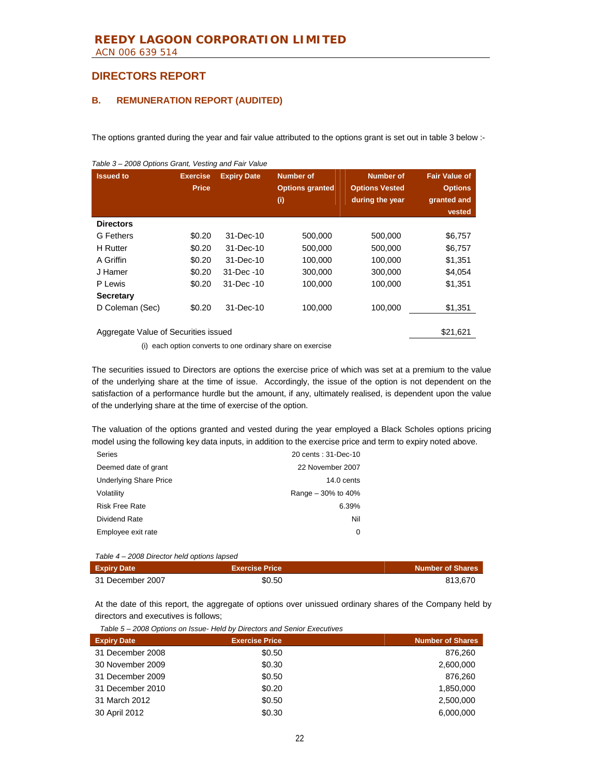### **B. REMUNERATION REPORT (AUDITED)**

The options granted during the year and fair value attributed to the options grant is set out in table 3 below :-

| <b>Issued to</b>                                 | <b>Exercise</b><br><b>Price</b> | <b>Expiry Date</b> | <b>Number of</b><br><b>Options granted</b><br>(i) | <b>Number of</b><br><b>Options Vested</b><br>during the year | <b>Fair Value of</b><br><b>Options</b><br>granted and<br>vested |  |  |  |
|--------------------------------------------------|---------------------------------|--------------------|---------------------------------------------------|--------------------------------------------------------------|-----------------------------------------------------------------|--|--|--|
| <b>Directors</b>                                 |                                 |                    |                                                   |                                                              |                                                                 |  |  |  |
| G Fethers                                        | \$0.20                          | 31-Dec-10          | 500,000                                           | 500,000                                                      | \$6,757                                                         |  |  |  |
| <b>H</b> Rutter                                  | \$0.20                          | 31-Dec-10          | 500,000                                           | 500,000                                                      | \$6,757                                                         |  |  |  |
| A Griffin                                        | \$0.20                          | 31-Dec-10          | 100,000                                           | 100,000                                                      | \$1,351                                                         |  |  |  |
| J Hamer                                          | \$0.20                          | 31-Dec -10         | 300,000                                           | 300,000                                                      | \$4,054                                                         |  |  |  |
| P Lewis                                          | \$0.20                          | $31 - Dec -10$     | 100,000                                           | 100,000                                                      | \$1,351                                                         |  |  |  |
| <b>Secretary</b>                                 |                                 |                    |                                                   |                                                              |                                                                 |  |  |  |
| D Coleman (Sec)                                  | \$0.20                          | 31-Dec-10          | 100.000                                           | 100.000                                                      | \$1,351                                                         |  |  |  |
| \$21.621<br>Aggregate Value of Securities issued |                                 |                    |                                                   |                                                              |                                                                 |  |  |  |

*Table 3 – 2008 Options Grant, Vesting and Fair Value* 

(i) each option converts to one ordinary share on exercise

The securities issued to Directors are options the exercise price of which was set at a premium to the value of the underlying share at the time of issue. Accordingly, the issue of the option is not dependent on the satisfaction of a performance hurdle but the amount, if any, ultimately realised, is dependent upon the value of the underlying share at the time of exercise of the option.

The valuation of the options granted and vested during the year employed a Black Scholes options pricing model using the following key data inputs, in addition to the exercise price and term to expiry noted above.

| <b>Series</b>                 | 20 cents: 31-Dec-10  |
|-------------------------------|----------------------|
| Deemed date of grant          | 22 November 2007     |
| <b>Underlying Share Price</b> | $14.0 \text{ cents}$ |
| Volatility                    | Range $-30\%$ to 40% |
| <b>Risk Free Rate</b>         | 6.39%                |
| Dividend Rate                 | Nil                  |
| Employee exit rate            | 0                    |
|                               |                      |

*Table 4 – 2008 Director held options lapsed* 

| <b>Expiry Date</b> | <b>Exercise Price</b> | <b>Number of Shares</b> |
|--------------------|-----------------------|-------------------------|
| 31 December 2007   | \$0.50                | 813.670                 |

At the date of this report, the aggregate of options over unissued ordinary shares of the Company held by directors and executives is follows;

| <b>Expiry Date</b> | <b>Exercise Price</b> | <b>Number of Shares</b> |
|--------------------|-----------------------|-------------------------|
| 31 December 2008   | \$0.50                | 876,260                 |
| 30 November 2009   | \$0.30                | 2,600,000               |
| 31 December 2009   | \$0.50                | 876.260                 |
| 31 December 2010   | \$0.20                | 1,850,000               |
| 31 March 2012      | \$0.50                | 2.500.000               |
| 30 April 2012      | \$0.30                | 6,000,000               |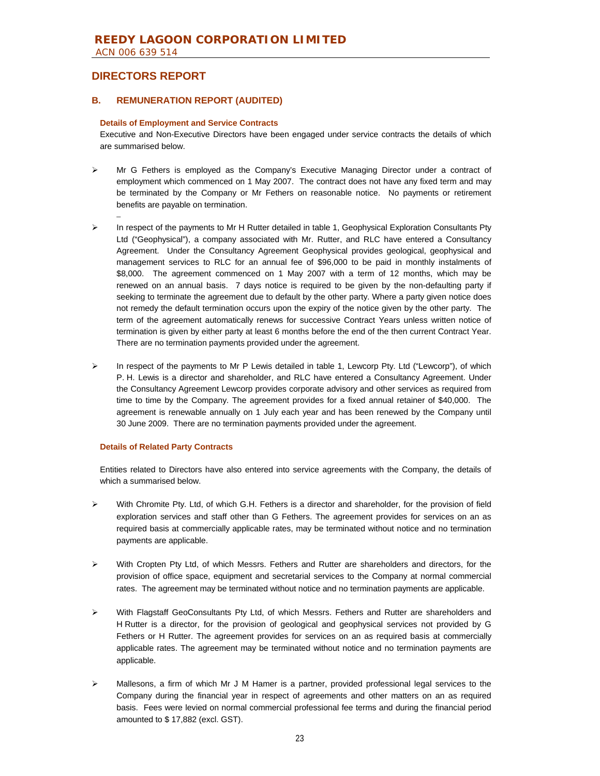–

### **B. REMUNERATION REPORT (AUDITED)**

#### **Details of Employment and Service Contracts**

Executive and Non-Executive Directors have been engaged under service contracts the details of which are summarised below.

- ¾ Mr G Fethers is employed as the Company's Executive Managing Director under a contract of employment which commenced on 1 May 2007. The contract does not have any fixed term and may be terminated by the Company or Mr Fethers on reasonable notice. No payments or retirement benefits are payable on termination.
- $\triangleright$  In respect of the payments to Mr H Rutter detailed in table 1, Geophysical Exploration Consultants Pty Ltd ("Geophysical"), a company associated with Mr. Rutter, and RLC have entered a Consultancy Agreement. Under the Consultancy Agreement Geophysical provides geological, geophysical and management services to RLC for an annual fee of \$96,000 to be paid in monthly instalments of \$8,000. The agreement commenced on 1 May 2007 with a term of 12 months, which may be renewed on an annual basis. 7 days notice is required to be given by the non-defaulting party if seeking to terminate the agreement due to default by the other party. Where a party given notice does not remedy the default termination occurs upon the expiry of the notice given by the other party. The term of the agreement automatically renews for successive Contract Years unless written notice of termination is given by either party at least 6 months before the end of the then current Contract Year. There are no termination payments provided under the agreement.
- ¾ In respect of the payments to Mr P Lewis detailed in table 1, Lewcorp Pty. Ltd ("Lewcorp"), of which P. H. Lewis is a director and shareholder, and RLC have entered a Consultancy Agreement. Under the Consultancy Agreement Lewcorp provides corporate advisory and other services as required from time to time by the Company. The agreement provides for a fixed annual retainer of \$40,000. The agreement is renewable annually on 1 July each year and has been renewed by the Company until 30 June 2009. There are no termination payments provided under the agreement.

#### **Details of Related Party Contracts**

Entities related to Directors have also entered into service agreements with the Company, the details of which a summarised below.

- $\triangleright$  With Chromite Pty. Ltd, of which G.H. Fethers is a director and shareholder, for the provision of field exploration services and staff other than G Fethers. The agreement provides for services on an as required basis at commercially applicable rates, may be terminated without notice and no termination payments are applicable.
- $\triangleright$  With Cropten Pty Ltd, of which Messrs. Fethers and Rutter are shareholders and directors, for the provision of office space, equipment and secretarial services to the Company at normal commercial rates. The agreement may be terminated without notice and no termination payments are applicable.
- ¾ With Flagstaff GeoConsultants Pty Ltd, of which Messrs. Fethers and Rutter are shareholders and H Rutter is a director, for the provision of geological and geophysical services not provided by G Fethers or H Rutter. The agreement provides for services on an as required basis at commercially applicable rates. The agreement may be terminated without notice and no termination payments are applicable.
- Mallesons, a firm of which Mr J M Hamer is a partner, provided professional legal services to the Company during the financial year in respect of agreements and other matters on an as required basis. Fees were levied on normal commercial professional fee terms and during the financial period amounted to \$ 17,882 (excl. GST).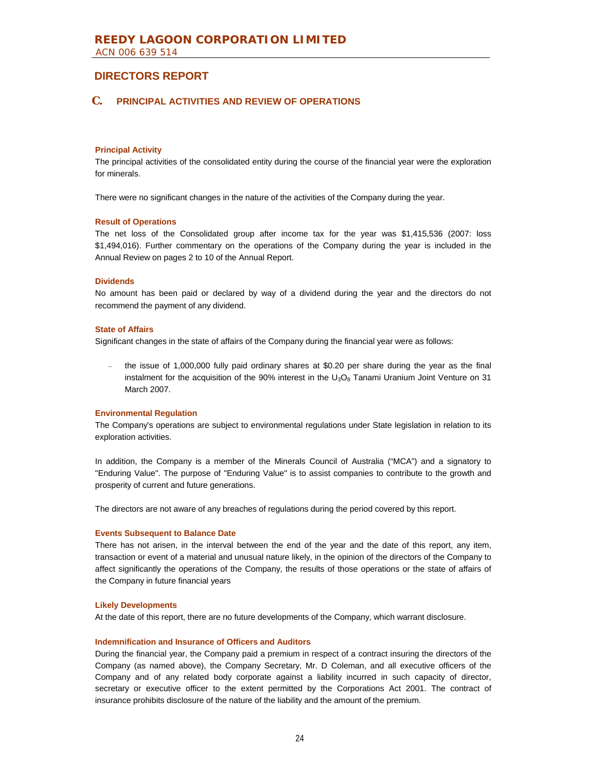### **C. PRINCIPAL ACTIVITIES AND REVIEW OF OPERATIONS**

#### **Principal Activity**

The principal activities of the consolidated entity during the course of the financial year were the exploration for minerals.

There were no significant changes in the nature of the activities of the Company during the year.

#### **Result of Operations**

The net loss of the Consolidated group after income tax for the year was \$1,415,536 (2007: loss \$1,494,016). Further commentary on the operations of the Company during the year is included in the Annual Review on pages 2 to 10 of the Annual Report.

### **Dividends**

No amount has been paid or declared by way of a dividend during the year and the directors do not recommend the payment of any dividend.

#### **State of Affairs**

Significant changes in the state of affairs of the Company during the financial year were as follows:

the issue of 1,000,000 fully paid ordinary shares at \$0.20 per share during the year as the final instalment for the acquisition of the 90% interest in the  $U_3O_8$  Tanami Uranium Joint Venture on 31 March 2007.

#### **Environmental Regulation**

The Company's operations are subject to environmental regulations under State legislation in relation to its exploration activities.

In addition, the Company is a member of the Minerals Council of Australia ("MCA") and a signatory to "Enduring Value". The purpose of "Enduring Value" is to assist companies to contribute to the growth and prosperity of current and future generations.

The directors are not aware of any breaches of regulations during the period covered by this report.

#### **Events Subsequent to Balance Date**

There has not arisen, in the interval between the end of the year and the date of this report, any item, transaction or event of a material and unusual nature likely, in the opinion of the directors of the Company to affect significantly the operations of the Company, the results of those operations or the state of affairs of the Company in future financial years

#### **Likely Developments**

At the date of this report, there are no future developments of the Company, which warrant disclosure.

#### **Indemnification and Insurance of Officers and Auditors**

During the financial year, the Company paid a premium in respect of a contract insuring the directors of the Company (as named above), the Company Secretary, Mr. D Coleman, and all executive officers of the Company and of any related body corporate against a liability incurred in such capacity of director, secretary or executive officer to the extent permitted by the Corporations Act 2001. The contract of insurance prohibits disclosure of the nature of the liability and the amount of the premium.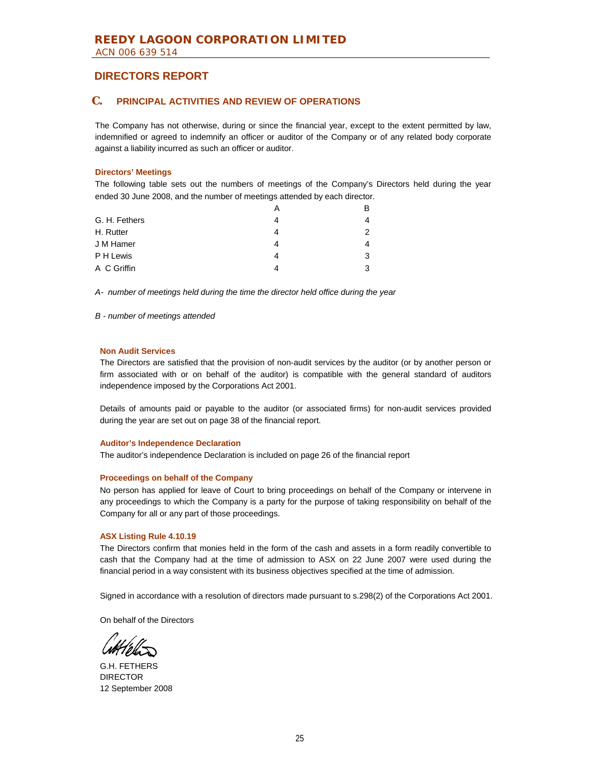### **C. PRINCIPAL ACTIVITIES AND REVIEW OF OPERATIONS**

The Company has not otherwise, during or since the financial year, except to the extent permitted by law, indemnified or agreed to indemnify an officer or auditor of the Company or of any related body corporate against a liability incurred as such an officer or auditor.

### **Directors' Meetings**

The following table sets out the numbers of meetings of the Company's Directors held during the year ended 30 June 2008, and the number of meetings attended by each director.

|               | А |   |
|---------------|---|---|
| G. H. Fethers | 4 |   |
| H. Rutter     | 4 |   |
| J M Hamer     | 4 |   |
| P H Lewis     | 4 | 3 |
| A C Griffin   | 4 | 3 |

*A- number of meetings held during the time the director held office during the year*

#### *B - number of meetings attended*

#### **Non Audit Services**

The Directors are satisfied that the provision of non-audit services by the auditor (or by another person or firm associated with or on behalf of the auditor) is compatible with the general standard of auditors independence imposed by the Corporations Act 2001.

Details of amounts paid or payable to the auditor (or associated firms) for non-audit services provided during the year are set out on page 38 of the financial report.

#### **Auditor's Independence Declaration**

The auditor's independence Declaration is included on page 26 of the financial report

#### **Proceedings on behalf of the Company**

No person has applied for leave of Court to bring proceedings on behalf of the Company or intervene in any proceedings to which the Company is a party for the purpose of taking responsibility on behalf of the Company for all or any part of those proceedings.

#### **ASX Listing Rule 4.10.19**

The Directors confirm that monies held in the form of the cash and assets in a form readily convertible to cash that the Company had at the time of admission to ASX on 22 June 2007 were used during the financial period in a way consistent with its business objectives specified at the time of admission.

Signed in accordance with a resolution of directors made pursuant to s.298(2) of the Corporations Act 2001.

On behalf of the Directors

G.H. FETHERS DIRECTOR 12 September 2008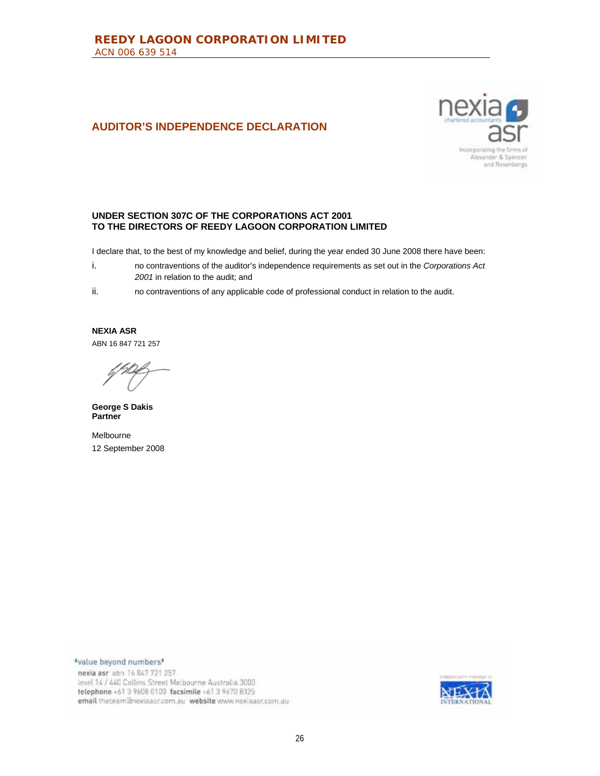# **AUDITOR'S INDEPENDENCE DECLARATION**



### **UNDER SECTION 307C OF THE CORPORATIONS ACT 2001 TO THE DIRECTORS OF REEDY LAGOON CORPORATION LIMITED**

I declare that, to the best of my knowledge and belief, during the year ended 30 June 2008 there have been:

- i. no contraventions of the auditor's independence requirements as set out in the *Corporations Act 2001* in relation to the audit; and
- ii. no contraventions of any applicable code of professional conduct in relation to the audit.

**NEXIA ASR**  ABN 16 847 721 257

**George S Dakis Partner** 

Melbourne 12 September 2008

"value beyond numbers" nexia asr abn 16 847 721 257 level 14 / 440 Collins Street Melbourne Australia 3000 telephone +61 3 9608 0100 facsimile +61 3 9670 8325 email theteam@nexiaasr.com.au website www.nexiaasr.com.au

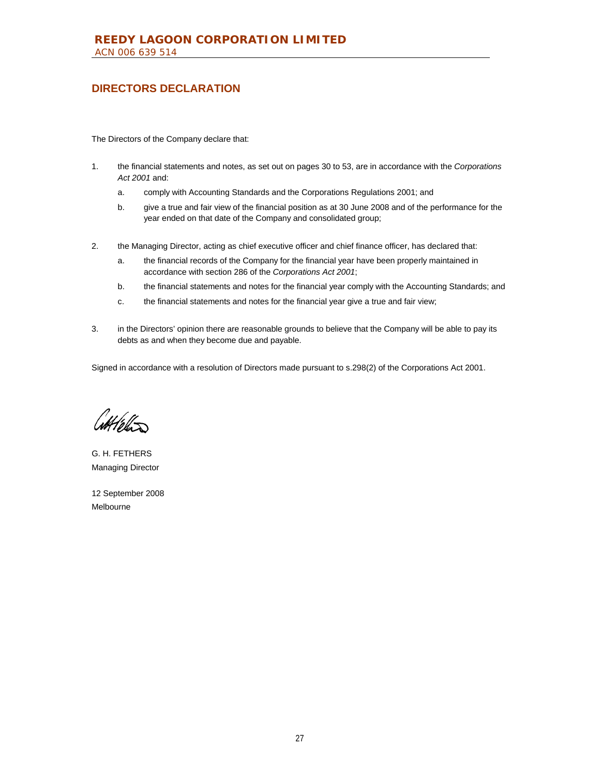# **DIRECTORS DECLARATION**

The Directors of the Company declare that:

- 1. the financial statements and notes, as set out on pages 30 to 53, are in accordance with the *Corporations Act 2001* and:
	- a. comply with Accounting Standards and the Corporations Regulations 2001; and
	- b. give a true and fair view of the financial position as at 30 June 2008 and of the performance for the year ended on that date of the Company and consolidated group;
- 2. the Managing Director, acting as chief executive officer and chief finance officer, has declared that:
	- a. the financial records of the Company for the financial year have been properly maintained in accordance with section 286 of the *Corporations Act 2001*;
	- b. the financial statements and notes for the financial year comply with the Accounting Standards; and
	- c. the financial statements and notes for the financial year give a true and fair view;
- 3. in the Directors' opinion there are reasonable grounds to believe that the Company will be able to pay its debts as and when they become due and payable.

Signed in accordance with a resolution of Directors made pursuant to s.298(2) of the Corporations Act 2001.

Cottleton

G. H. FETHERS Managing Director

12 September 2008 Melbourne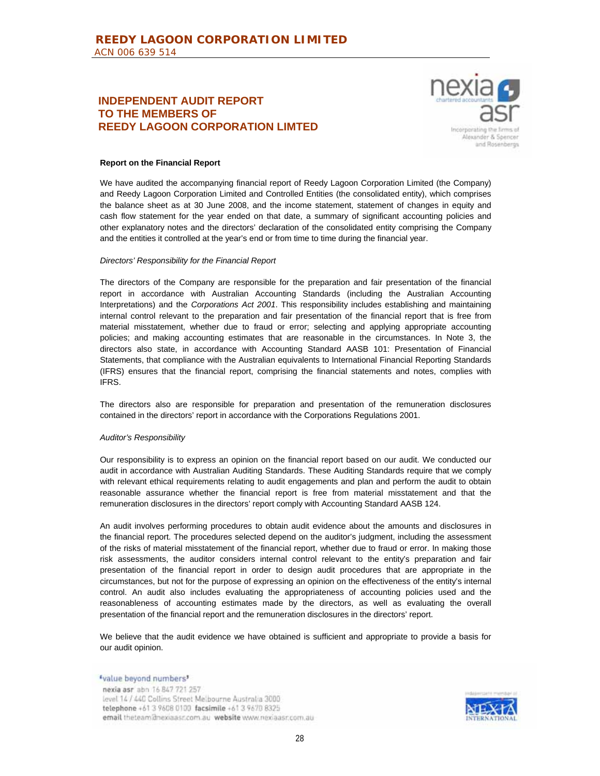### **INDEPENDENT AUDIT REPORT TO THE MEMBERS OF REEDY LAGOON CORPORATION LIMTED**



#### **Report on the Financial Report**

We have audited the accompanying financial report of Reedy Lagoon Corporation Limited (the Company) and Reedy Lagoon Corporation Limited and Controlled Entities (the consolidated entity), which comprises the balance sheet as at 30 June 2008, and the income statement, statement of changes in equity and cash flow statement for the year ended on that date, a summary of significant accounting policies and other explanatory notes and the directors' declaration of the consolidated entity comprising the Company and the entities it controlled at the year's end or from time to time during the financial year.

#### *Directors' Responsibility for the Financial Report*

The directors of the Company are responsible for the preparation and fair presentation of the financial report in accordance with Australian Accounting Standards (including the Australian Accounting Interpretations) and the *Corporations Act 2001*. This responsibility includes establishing and maintaining internal control relevant to the preparation and fair presentation of the financial report that is free from material misstatement, whether due to fraud or error; selecting and applying appropriate accounting policies; and making accounting estimates that are reasonable in the circumstances. In Note 3, the directors also state, in accordance with Accounting Standard AASB 101: Presentation of Financial Statements, that compliance with the Australian equivalents to International Financial Reporting Standards (IFRS) ensures that the financial report, comprising the financial statements and notes, complies with IFRS.

The directors also are responsible for preparation and presentation of the remuneration disclosures contained in the directors' report in accordance with the Corporations Regulations 2001.

#### *Auditor's Responsibility*

Our responsibility is to express an opinion on the financial report based on our audit. We conducted our audit in accordance with Australian Auditing Standards. These Auditing Standards require that we comply with relevant ethical requirements relating to audit engagements and plan and perform the audit to obtain reasonable assurance whether the financial report is free from material misstatement and that the remuneration disclosures in the directors' report comply with Accounting Standard AASB 124.

An audit involves performing procedures to obtain audit evidence about the amounts and disclosures in the financial report. The procedures selected depend on the auditor's judgment, including the assessment of the risks of material misstatement of the financial report, whether due to fraud or error. In making those risk assessments, the auditor considers internal control relevant to the entity's preparation and fair presentation of the financial report in order to design audit procedures that are appropriate in the circumstances, but not for the purpose of expressing an opinion on the effectiveness of the entity's internal control. An audit also includes evaluating the appropriateness of accounting policies used and the reasonableness of accounting estimates made by the directors, as well as evaluating the overall presentation of the financial report and the remuneration disclosures in the directors' report.

We believe that the audit evidence we have obtained is sufficient and appropriate to provide a basis for our audit opinion.

"value beyond numbers" nexia asr abn 16 847 721 257 level 14 / 440 Collins Street Melbourne Australia 3000 telephone +61 3 9608 0100 facsimile +61 3 9670 8325 email theteam@nexiaasr.com.au website www.nexiaasr.com.au

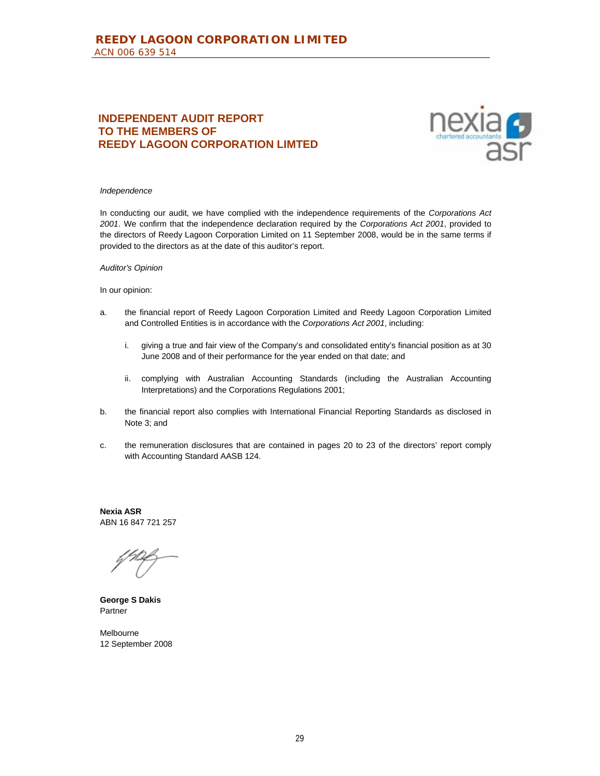# **INDEPENDENT AUDIT REPORT TO THE MEMBERS OF REEDY LAGOON CORPORATION LIMTED**



#### *Independence*

In conducting our audit, we have complied with the independence requirements of the *Corporations Act 2001*. We confirm that the independence declaration required by the *Corporations Act 2001*, provided to the directors of Reedy Lagoon Corporation Limited on 11 September 2008, would be in the same terms if provided to the directors as at the date of this auditor's report.

#### *Auditor's Opinion*

#### In our opinion:

- a. the financial report of Reedy Lagoon Corporation Limited and Reedy Lagoon Corporation Limited and Controlled Entities is in accordance with the *Corporations Act 2001*, including:
	- i. giving a true and fair view of the Company's and consolidated entity's financial position as at 30 June 2008 and of their performance for the year ended on that date; and
	- ii. complying with Australian Accounting Standards (including the Australian Accounting Interpretations) and the Corporations Regulations 2001;
- b. the financial report also complies with International Financial Reporting Standards as disclosed in Note 3; and
- c. the remuneration disclosures that are contained in pages 20 to 23 of the directors' report comply with Accounting Standard AASB 124.

**Nexia ASR**  ABN 16 847 721 257

**George S Dakis**  Partner

Melbourne 12 September 2008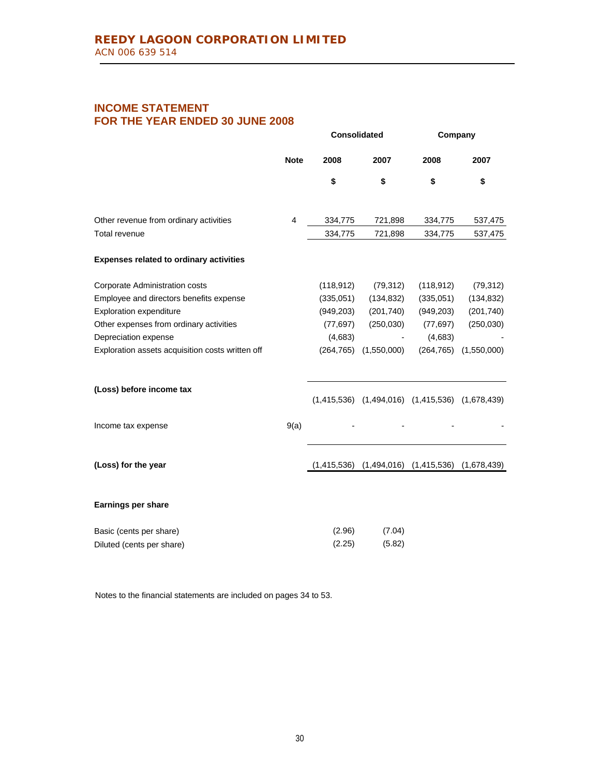# **INCOME STATEMENT FOR THE YEAR ENDED 30 JUNE 2008**

|                                                  |                | <b>Consolidated</b> |             | Company                     |             |  |
|--------------------------------------------------|----------------|---------------------|-------------|-----------------------------|-------------|--|
|                                                  | <b>Note</b>    | 2008                | 2007        | 2008                        | 2007        |  |
|                                                  |                | \$                  | \$          | \$                          | \$          |  |
| Other revenue from ordinary activities           | $\overline{4}$ | 334,775             | 721,898     | 334,775                     | 537,475     |  |
| Total revenue                                    |                | 334,775             | 721,898     | 334,775                     | 537,475     |  |
| <b>Expenses related to ordinary activities</b>   |                |                     |             |                             |             |  |
| Corporate Administration costs                   |                | (118, 912)          | (79, 312)   | (118, 912)                  | (79, 312)   |  |
| Employee and directors benefits expense          |                | (335,051)           | (134, 832)  | (335,051)                   | (134, 832)  |  |
| <b>Exploration expenditure</b>                   |                | (949, 203)          | (201, 740)  | (949, 203)                  | (201, 740)  |  |
| Other expenses from ordinary activities          |                | (77, 697)           | (250,030)   | (77, 697)                   | (250, 030)  |  |
| Depreciation expense                             |                | (4,683)             |             | (4,683)                     |             |  |
| Exploration assets acquisition costs written off |                | (264, 765)          | (1,550,000) | (264, 765)                  | (1,550,000) |  |
| (Loss) before income tax                         |                | (1,415,536)         |             | $(1,494,016)$ $(1,415,536)$ | (1,678,439) |  |
| Income tax expense                               | 9(a)           |                     |             |                             |             |  |
| (Loss) for the year                              |                | (1,415,536)         | (1,494,016) | (1,415,536)                 | (1,678,439) |  |
| <b>Earnings per share</b>                        |                |                     |             |                             |             |  |
| Basic (cents per share)                          |                | (2.96)              | (7.04)      |                             |             |  |
| Diluted (cents per share)                        |                | (2.25)              | (5.82)      |                             |             |  |

Notes to the financial statements are included on pages 34 to 53.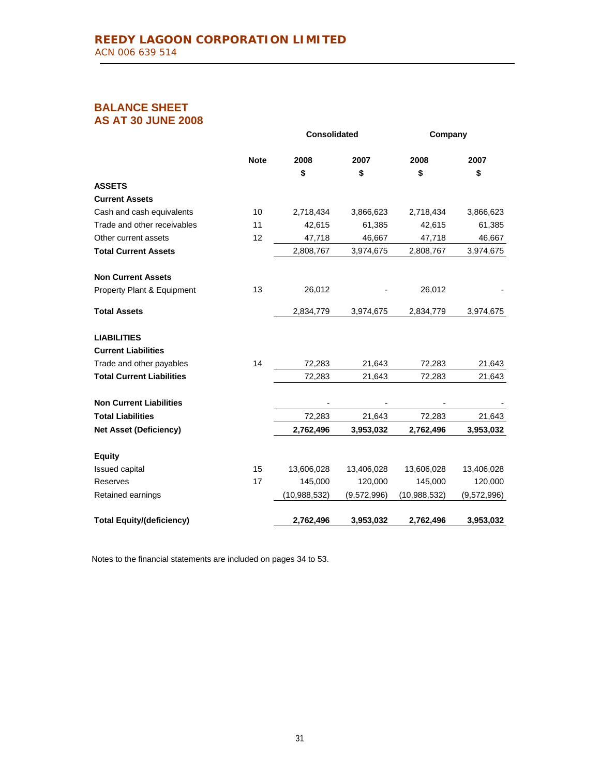# **BALANCE SHEET AS AT 30 JUNE 2008**

|                                  |             | <b>Consolidated</b> |             | Company        |             |
|----------------------------------|-------------|---------------------|-------------|----------------|-------------|
|                                  | <b>Note</b> | 2008                | 2007        | 2008           | 2007        |
|                                  |             | \$                  | \$          | \$             | \$          |
| <b>ASSETS</b>                    |             |                     |             |                |             |
| <b>Current Assets</b>            |             |                     |             |                |             |
| Cash and cash equivalents        | 10          | 2,718,434           | 3,866,623   | 2,718,434      | 3,866,623   |
| Trade and other receivables      | 11          | 42,615              | 61,385      | 42,615         | 61,385      |
| Other current assets             | 12          | 47,718              | 46,667      | 47,718         | 46,667      |
| <b>Total Current Assets</b>      |             | 2,808,767           | 3,974,675   | 2,808,767      | 3,974,675   |
| <b>Non Current Assets</b>        |             |                     |             |                |             |
| Property Plant & Equipment       | 13          | 26,012              |             | 26,012         |             |
| <b>Total Assets</b>              |             | 2,834,779           | 3,974,675   | 2,834,779      | 3,974,675   |
| <b>LIABILITIES</b>               |             |                     |             |                |             |
| <b>Current Liabilities</b>       |             |                     |             |                |             |
| Trade and other payables         | 14          | 72,283              | 21,643      | 72,283         | 21,643      |
| <b>Total Current Liabilities</b> |             | 72,283              | 21,643      | 72,283         | 21,643      |
| <b>Non Current Liabilities</b>   |             |                     |             |                |             |
| <b>Total Liabilities</b>         |             | 72,283              | 21,643      | 72,283         | 21,643      |
| <b>Net Asset (Deficiency)</b>    |             | 2,762,496           | 3,953,032   | 2,762,496      | 3,953,032   |
| <b>Equity</b>                    |             |                     |             |                |             |
| Issued capital                   | 15          | 13,606,028          | 13,406,028  | 13,606,028     | 13,406,028  |
| Reserves                         | 17          | 145,000             | 120,000     | 145,000        | 120,000     |
| Retained earnings                |             | (10, 988, 532)      | (9,572,996) | (10, 988, 532) | (9,572,996) |
| <b>Total Equity/(deficiency)</b> |             | 2,762,496           | 3,953,032   | 2,762,496      | 3,953,032   |

Notes to the financial statements are included on pages 34 to 53.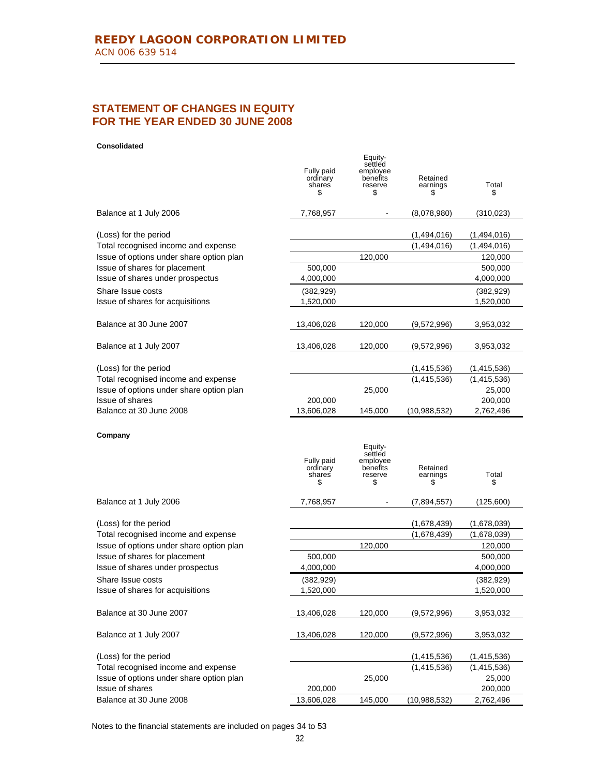# **STATEMENT OF CHANGES IN EQUITY FOR THE YEAR ENDED 30 JUNE 2008**

#### **Consolidated**

|                                            | Fully paid<br>ordinary<br>shares<br>\$ | Equity-<br>settled<br>employee<br>benefits<br>reserve<br>\$ | Retained<br>earnings<br>\$ | Total<br>S           |
|--------------------------------------------|----------------------------------------|-------------------------------------------------------------|----------------------------|----------------------|
| Balance at 1 July 2006                     | 7,768,957                              |                                                             | (8,078,980)                | (310, 023)           |
| (Loss) for the period                      |                                        |                                                             | (1,494,016)                | (1,494,016)          |
| Total recognised income and expense        |                                        |                                                             | (1,494,016)                | (1,494,016)          |
| Issue of options under share option plan   |                                        | 120,000                                                     |                            | 120,000              |
| Issue of shares for placement              | 500,000                                |                                                             |                            | 500,000              |
| Issue of shares under prospectus           | 4,000,000                              |                                                             |                            | 4,000,000            |
| Share Issue costs                          | (382, 929)                             |                                                             |                            | (382, 929)           |
| Issue of shares for acquisitions           | 1,520,000                              |                                                             |                            | 1,520,000            |
| Balance at 30 June 2007                    | 13,406,028                             | 120,000                                                     | (9,572,996)                | 3,953,032            |
| Balance at 1 July 2007                     | 13,406,028                             | 120,000                                                     | (9,572,996)                | 3,953,032            |
| (Loss) for the period                      |                                        |                                                             | (1,415,536)                | (1, 415, 536)        |
| Total recognised income and expense        |                                        |                                                             | (1,415,536)                | (1,415,536)          |
| Issue of options under share option plan   |                                        | 25,000                                                      |                            | 25,000               |
| Issue of shares                            | 200,000                                |                                                             |                            | 200,000              |
| Balance at 30 June 2008                    | 13,606,028                             | 145,000                                                     | (10,988,532)               | 2,762,496            |
| Company                                    | Fully paid<br>ordinary<br>shares<br>\$ | Equity-<br>settled<br>employee<br>benefits<br>reserve<br>\$ | Retained<br>earnings<br>\$ | Total<br>\$          |
| Balance at 1 July 2006                     | 7,768,957                              |                                                             | (7,894,557)                | (125,600)            |
| (Loss) for the period                      |                                        |                                                             | (1,678,439)                | (1,678,039)          |
| Total recognised income and expense        |                                        |                                                             | (1,678,439)                | (1,678,039)          |
| Issue of options under share option plan   |                                        | 120,000                                                     |                            | 120,000              |
| Issue of shares for placement              | 500,000                                |                                                             |                            | 500,000              |
| Issue of shares under prospectus           | 4,000,000                              |                                                             |                            | 4,000,000            |
| Share Issue costs                          | (382, 929)                             |                                                             |                            | (382, 929)           |
| Issue of shares for acquisitions           | 1,520,000                              |                                                             |                            | 1,520,000            |
| Balance at 30 June 2007                    | 13,406,028                             | 120,000                                                     | (9,572,996)                | 3,953,032            |
| Balance at 1 July 2007                     | 13,406,028                             | 120,000                                                     | (9,572,996)                | 3,953,032            |
| (Loss) for the period                      |                                        |                                                             | (1,415,536)                | (1,415,536)          |
| Total recognised income and expense        |                                        |                                                             | (1,415,536)                | (1,415,536)          |
| Issue of options under share option plan   |                                        |                                                             |                            |                      |
|                                            |                                        | 25,000                                                      |                            | 25,000               |
| Issue of shares<br>Balance at 30 June 2008 | 200,000<br>13,606,028                  | 145,000                                                     | (10,988,532)               | 200,000<br>2,762,496 |

Notes to the financial statements are included on pages 34 to 53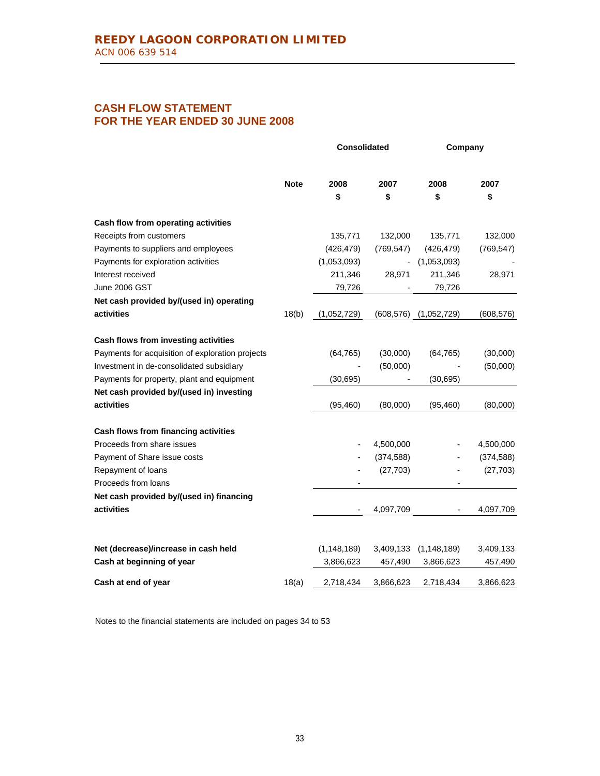# **CASH FLOW STATEMENT FOR THE YEAR ENDED 30 JUNE 2008**

|                                                  |             |               | <b>Consolidated</b> | Company       |            |
|--------------------------------------------------|-------------|---------------|---------------------|---------------|------------|
|                                                  | <b>Note</b> | 2008          | 2007                | 2008          | 2007       |
|                                                  |             | \$            | \$                  | \$            | \$         |
| Cash flow from operating activities              |             |               |                     |               |            |
| Receipts from customers                          |             | 135,771       | 132,000             | 135,771       | 132,000    |
| Payments to suppliers and employees              |             | (426, 479)    | (769, 547)          | (426, 479)    | (769, 547) |
| Payments for exploration activities              |             | (1,053,093)   |                     | (1,053,093)   |            |
| Interest received                                |             | 211,346       | 28,971              | 211,346       | 28,971     |
| June 2006 GST                                    |             | 79,726        |                     | 79,726        |            |
| Net cash provided by/(used in) operating         |             |               |                     |               |            |
| activities                                       | 18(b)       | (1,052,729)   | (608, 576)          | (1,052,729)   | (608, 576) |
| Cash flows from investing activities             |             |               |                     |               |            |
| Payments for acquisition of exploration projects |             | (64, 765)     | (30,000)            | (64, 765)     | (30,000)   |
| Investment in de-consolidated subsidiary         |             |               | (50,000)            |               | (50,000)   |
| Payments for property, plant and equipment       |             | (30, 695)     |                     | (30, 695)     |            |
| Net cash provided by/(used in) investing         |             |               |                     |               |            |
| activities                                       |             | (95, 460)     | (80,000)            | (95, 460)     | (80,000)   |
| Cash flows from financing activities             |             |               |                     |               |            |
| Proceeds from share issues                       |             |               | 4,500,000           |               | 4,500,000  |
| Payment of Share issue costs                     |             |               | (374, 588)          |               | (374, 588) |
| Repayment of loans                               |             |               | (27, 703)           |               | (27, 703)  |
| Proceeds from loans                              |             |               |                     |               |            |
| Net cash provided by/(used in) financing         |             |               |                     |               |            |
| activities                                       |             |               | 4,097,709           |               | 4,097,709  |
|                                                  |             |               |                     |               |            |
| Net (decrease)/increase in cash held             |             | (1, 148, 189) | 3,409,133           | (1, 148, 189) | 3,409,133  |
| Cash at beginning of year                        |             | 3,866,623     | 457,490             | 3,866,623     | 457,490    |
| Cash at end of year                              | 18(a)       | 2,718,434     | 3,866,623           | 2,718,434     | 3,866,623  |

Notes to the financial statements are included on pages 34 to 53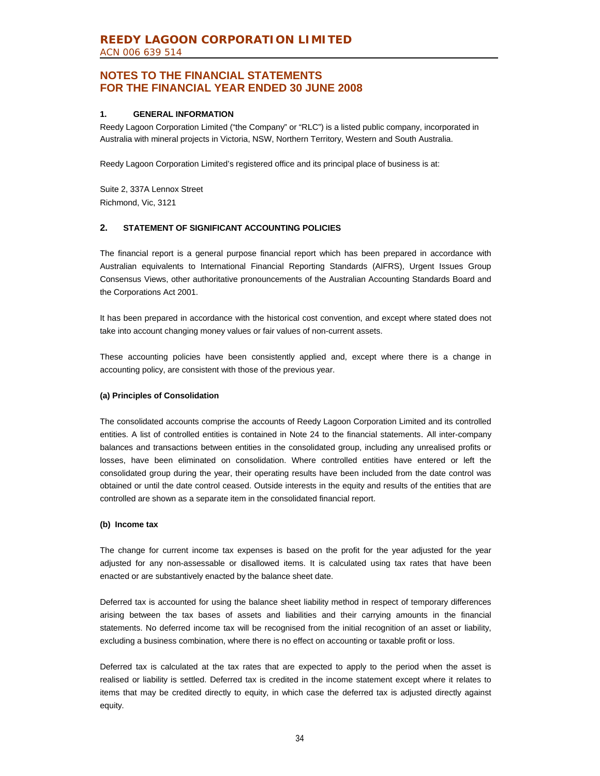### **1. GENERAL INFORMATION**

Reedy Lagoon Corporation Limited ("the Company" or "RLC") is a listed public company, incorporated in Australia with mineral projects in Victoria, NSW, Northern Territory, Western and South Australia.

Reedy Lagoon Corporation Limited's registered office and its principal place of business is at:

Suite 2, 337A Lennox Street Richmond, Vic, 3121

### **2. STATEMENT OF SIGNIFICANT ACCOUNTING POLICIES**

The financial report is a general purpose financial report which has been prepared in accordance with Australian equivalents to International Financial Reporting Standards (AIFRS), Urgent Issues Group Consensus Views, other authoritative pronouncements of the Australian Accounting Standards Board and the Corporations Act 2001.

It has been prepared in accordance with the historical cost convention, and except where stated does not take into account changing money values or fair values of non-current assets.

These accounting policies have been consistently applied and, except where there is a change in accounting policy, are consistent with those of the previous year.

### **(a) Principles of Consolidation**

The consolidated accounts comprise the accounts of Reedy Lagoon Corporation Limited and its controlled entities. A list of controlled entities is contained in Note 24 to the financial statements. All inter-company balances and transactions between entities in the consolidated group, including any unrealised profits or losses, have been eliminated on consolidation. Where controlled entities have entered or left the consolidated group during the year, their operating results have been included from the date control was obtained or until the date control ceased. Outside interests in the equity and results of the entities that are controlled are shown as a separate item in the consolidated financial report.

#### **(b) Income tax**

The change for current income tax expenses is based on the profit for the year adjusted for the year adjusted for any non-assessable or disallowed items. It is calculated using tax rates that have been enacted or are substantively enacted by the balance sheet date.

Deferred tax is accounted for using the balance sheet liability method in respect of temporary differences arising between the tax bases of assets and liabilities and their carrying amounts in the financial statements. No deferred income tax will be recognised from the initial recognition of an asset or liability, excluding a business combination, where there is no effect on accounting or taxable profit or loss.

Deferred tax is calculated at the tax rates that are expected to apply to the period when the asset is realised or liability is settled. Deferred tax is credited in the income statement except where it relates to items that may be credited directly to equity, in which case the deferred tax is adjusted directly against equity.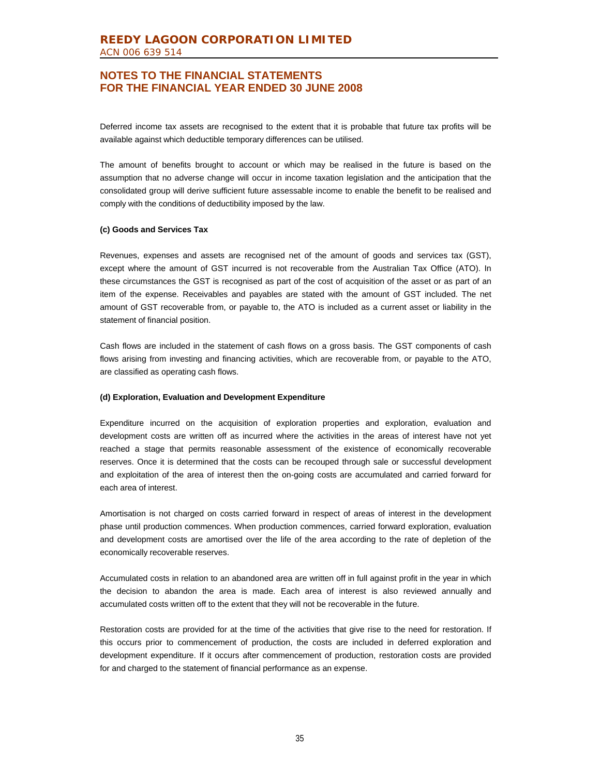Deferred income tax assets are recognised to the extent that it is probable that future tax profits will be available against which deductible temporary differences can be utilised.

The amount of benefits brought to account or which may be realised in the future is based on the assumption that no adverse change will occur in income taxation legislation and the anticipation that the consolidated group will derive sufficient future assessable income to enable the benefit to be realised and comply with the conditions of deductibility imposed by the law.

#### **(c) Goods and Services Tax**

Revenues, expenses and assets are recognised net of the amount of goods and services tax (GST), except where the amount of GST incurred is not recoverable from the Australian Tax Office (ATO). In these circumstances the GST is recognised as part of the cost of acquisition of the asset or as part of an item of the expense. Receivables and payables are stated with the amount of GST included. The net amount of GST recoverable from, or payable to, the ATO is included as a current asset or liability in the statement of financial position.

Cash flows are included in the statement of cash flows on a gross basis. The GST components of cash flows arising from investing and financing activities, which are recoverable from, or payable to the ATO, are classified as operating cash flows.

#### **(d) Exploration, Evaluation and Development Expenditure**

Expenditure incurred on the acquisition of exploration properties and exploration, evaluation and development costs are written off as incurred where the activities in the areas of interest have not yet reached a stage that permits reasonable assessment of the existence of economically recoverable reserves. Once it is determined that the costs can be recouped through sale or successful development and exploitation of the area of interest then the on-going costs are accumulated and carried forward for each area of interest.

Amortisation is not charged on costs carried forward in respect of areas of interest in the development phase until production commences. When production commences, carried forward exploration, evaluation and development costs are amortised over the life of the area according to the rate of depletion of the economically recoverable reserves.

Accumulated costs in relation to an abandoned area are written off in full against profit in the year in which the decision to abandon the area is made. Each area of interest is also reviewed annually and accumulated costs written off to the extent that they will not be recoverable in the future.

Restoration costs are provided for at the time of the activities that give rise to the need for restoration. If this occurs prior to commencement of production, the costs are included in deferred exploration and development expenditure. If it occurs after commencement of production, restoration costs are provided for and charged to the statement of financial performance as an expense.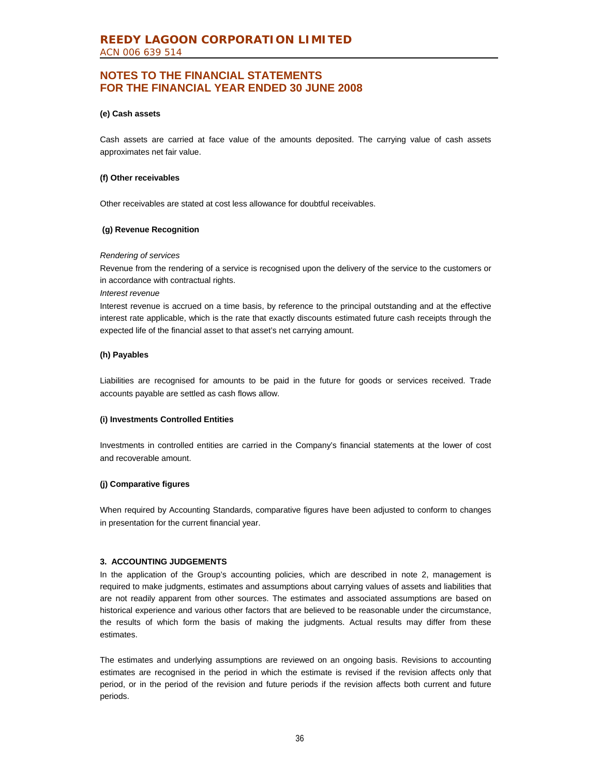#### **(e) Cash assets**

Cash assets are carried at face value of the amounts deposited. The carrying value of cash assets approximates net fair value.

#### **(f) Other receivables**

Other receivables are stated at cost less allowance for doubtful receivables.

#### **(g) Revenue Recognition**

#### *Rendering of services*

Revenue from the rendering of a service is recognised upon the delivery of the service to the customers or in accordance with contractual rights.

#### *Interest revenue*

Interest revenue is accrued on a time basis, by reference to the principal outstanding and at the effective interest rate applicable, which is the rate that exactly discounts estimated future cash receipts through the expected life of the financial asset to that asset's net carrying amount.

#### **(h) Payables**

Liabilities are recognised for amounts to be paid in the future for goods or services received. Trade accounts payable are settled as cash flows allow.

#### **(i) Investments Controlled Entities**

Investments in controlled entities are carried in the Company's financial statements at the lower of cost and recoverable amount.

#### **(j) Comparative figures**

When required by Accounting Standards, comparative figures have been adjusted to conform to changes in presentation for the current financial year.

#### **3. ACCOUNTING JUDGEMENTS**

In the application of the Group's accounting policies, which are described in note 2, management is required to make judgments, estimates and assumptions about carrying values of assets and liabilities that are not readily apparent from other sources. The estimates and associated assumptions are based on historical experience and various other factors that are believed to be reasonable under the circumstance, the results of which form the basis of making the judgments. Actual results may differ from these estimates.

The estimates and underlying assumptions are reviewed on an ongoing basis. Revisions to accounting estimates are recognised in the period in which the estimate is revised if the revision affects only that period, or in the period of the revision and future periods if the revision affects both current and future periods.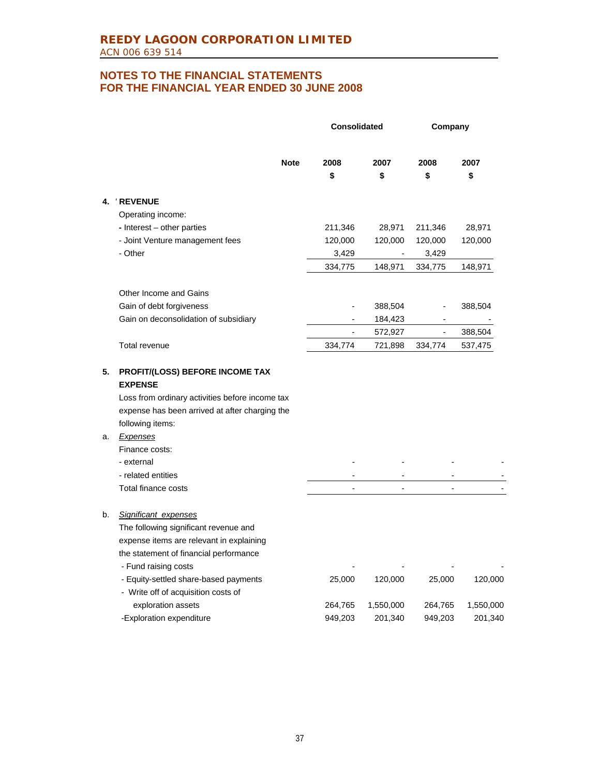|          |                                                                                                                                                                                                                                                                                   | <b>Consolidated</b> |            | Company        |            |
|----------|-----------------------------------------------------------------------------------------------------------------------------------------------------------------------------------------------------------------------------------------------------------------------------------|---------------------|------------|----------------|------------|
|          | <b>Note</b>                                                                                                                                                                                                                                                                       | 2008<br>\$          | 2007<br>\$ | 2008<br>\$     | 2007<br>\$ |
| 4.       | <b>REVENUE</b>                                                                                                                                                                                                                                                                    |                     |            |                |            |
|          | Operating income:                                                                                                                                                                                                                                                                 |                     |            |                |            |
|          | - Interest - other parties                                                                                                                                                                                                                                                        | 211,346             | 28,971     | 211,346        | 28,971     |
|          | - Joint Venture management fees                                                                                                                                                                                                                                                   | 120,000             | 120,000    | 120,000        | 120,000    |
|          | - Other                                                                                                                                                                                                                                                                           | 3,429               |            | 3,429          |            |
|          |                                                                                                                                                                                                                                                                                   | 334,775             | 148,971    | 334,775        | 148,971    |
|          | Other Income and Gains                                                                                                                                                                                                                                                            |                     |            |                |            |
|          | Gain of debt forgiveness                                                                                                                                                                                                                                                          |                     | 388,504    |                | 388,504    |
|          | Gain on deconsolidation of subsidiary                                                                                                                                                                                                                                             |                     | 184,423    |                |            |
|          |                                                                                                                                                                                                                                                                                   | $\overline{a}$      | 572,927    | $\overline{a}$ | 388,504    |
|          | Total revenue                                                                                                                                                                                                                                                                     | 334,774             | 721,898    | 334,774        | 537,475    |
| 5.<br>a. | <b>PROFIT/(LOSS) BEFORE INCOME TAX</b><br><b>EXPENSE</b><br>Loss from ordinary activities before income tax<br>expense has been arrived at after charging the<br>following items:<br><b>Expenses</b><br>Finance costs:<br>- external<br>- related entities<br>Total finance costs |                     |            |                |            |
|          |                                                                                                                                                                                                                                                                                   |                     |            |                |            |
| b.       | Significant expenses<br>The following significant revenue and<br>expense items are relevant in explaining<br>the statement of financial performance<br>- Fund raising costs                                                                                                       |                     |            |                |            |
|          | - Equity-settled share-based payments<br>- Write off of acquisition costs of                                                                                                                                                                                                      | 25,000              | 120,000    | 25,000         | 120,000    |
|          | exploration assets                                                                                                                                                                                                                                                                | 264,765             | 1,550,000  | 264,765        | 1,550,000  |
|          | -Exploration expenditure                                                                                                                                                                                                                                                          | 949,203             | 201,340    | 949,203        | 201,340    |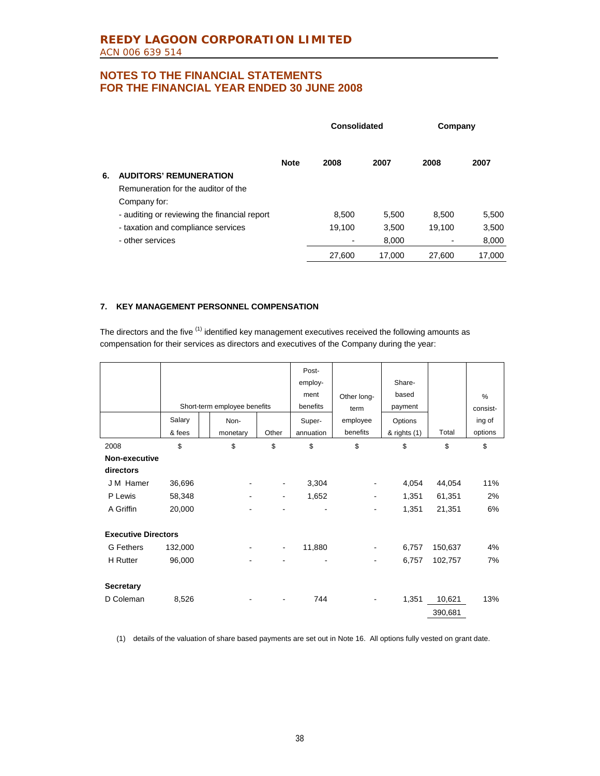|    |                                              | Consolidated |        |        |        | Company |  |
|----|----------------------------------------------|--------------|--------|--------|--------|---------|--|
|    |                                              | <b>Note</b>  | 2008   | 2007   | 2008   | 2007    |  |
| 6. | <b>AUDITORS' REMUNERATION</b>                |              |        |        |        |         |  |
|    | Remuneration for the auditor of the          |              |        |        |        |         |  |
|    | Company for:                                 |              |        |        |        |         |  |
|    | - auditing or reviewing the financial report |              | 8,500  | 5,500  | 8,500  | 5,500   |  |
|    | - taxation and compliance services           |              | 19,100 | 3.500  | 19.100 | 3,500   |  |
|    | - other services                             |              |        | 8,000  |        | 8,000   |  |
|    |                                              |              | 27,600 | 17.000 | 27.600 | 17.000  |  |

### **7. KEY MANAGEMENT PERSONNEL COMPENSATION**

The directors and the five  $(1)$  identified key management executives received the following amounts as compensation for their services as directors and executives of the Company during the year:

|                            |         |                              |                | Post-<br>employ-<br>ment | Other long- | Share-<br>based |         | $\%$     |
|----------------------------|---------|------------------------------|----------------|--------------------------|-------------|-----------------|---------|----------|
|                            |         | Short-term employee benefits |                | benefits                 | term        | payment         |         | consist- |
|                            | Salary  | Non-                         |                | Super-                   | employee    | Options         |         | ing of   |
|                            | & fees  | monetary                     | Other          | annuation                | benefits    | & rights (1)    | Total   | options  |
| 2008                       | \$      | \$                           | \$             | \$                       | \$          | \$              | \$      | \$       |
| Non-executive              |         |                              |                |                          |             |                 |         |          |
| directors                  |         |                              |                |                          |             |                 |         |          |
| J M Hamer                  | 36,696  |                              | ۰              | 3,304                    |             | 4,054           | 44,054  | 11%      |
| P Lewis                    | 58,348  |                              | $\blacksquare$ | 1,652                    |             | 1,351           | 61,351  | 2%       |
| A Griffin                  | 20,000  |                              |                |                          |             | 1,351           | 21,351  | 6%       |
| <b>Executive Directors</b> |         |                              |                |                          |             |                 |         |          |
| G Fethers                  | 132,000 |                              | $\blacksquare$ | 11,880                   | -           | 6,757           | 150,637 | 4%       |
| <b>H</b> Rutter            | 96,000  |                              |                |                          |             | 6,757           | 102,757 | 7%       |
| <b>Secretary</b>           |         |                              |                |                          |             |                 |         |          |
| D Coleman                  | 8,526   |                              | ٠              | 744                      |             | 1,351           | 10,621  | 13%      |
|                            |         |                              |                |                          |             |                 | 390,681 |          |

(1) details of the valuation of share based payments are set out in Note 16. All options fully vested on grant date.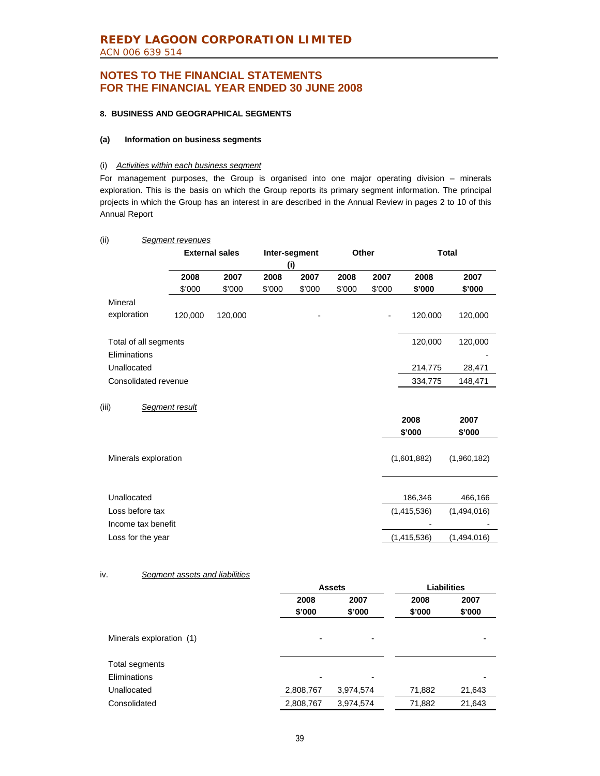### **8. BUSINESS AND GEOGRAPHICAL SEGMENTS**

#### **(a) Information on business segments**

#### (i) *Activities within each business segment*

For management purposes, the Group is organised into one major operating division – minerals exploration. This is the basis on which the Group reports its primary segment information. The principal projects in which the Group has an interest in are described in the Annual Review in pages 2 to 10 of this Annual Report

| (ii)                                  | Segment revenues |                       |        |               |        |                |                |                |
|---------------------------------------|------------------|-----------------------|--------|---------------|--------|----------------|----------------|----------------|
|                                       |                  | <b>External sales</b> |        | Inter-segment | Other  |                | <b>Total</b>   |                |
|                                       |                  |                       |        | (i)           |        |                |                |                |
|                                       | 2008             | 2007                  | 2008   | 2007          | 2008   | 2007           | 2008           | 2007           |
|                                       | \$'000           | \$'000                | \$'000 | \$'000        | \$'000 | \$'000         | \$'000         | \$'000         |
| Mineral                               |                  |                       |        |               |        |                |                |                |
| exploration                           | 120,000          | 120,000               |        |               |        | $\overline{a}$ | 120,000        | 120,000        |
| Total of all segments                 |                  |                       |        |               |        |                | 120,000        | 120,000        |
| Eliminations                          |                  |                       |        |               |        |                |                |                |
| Unallocated                           |                  |                       |        |               |        |                | 214,775        | 28,471         |
| Consolidated revenue                  |                  |                       |        |               |        |                | 334,775        | 148,471        |
| (iii)                                 | Segment result   |                       |        |               |        |                |                |                |
|                                       |                  |                       |        |               |        |                | 2008<br>\$'000 | 2007<br>\$'000 |
| Minerals exploration                  |                  |                       |        |               |        |                | (1,601,882)    | (1,960,182)    |
| Unallocated                           |                  |                       |        |               |        |                | 186,346        | 466,166        |
| Loss before tax<br>Income tax benefit |                  |                       |        |               |        |                | (1,415,536)    | (1,494,016)    |
| Loss for the year                     |                  |                       |        |               |        |                | (1,415,536)    | (1,494,016)    |

#### iv. *Segment assets and liabilities*

|                          |                          | <b>Assets</b>            | <b>Liabilities</b> |        |  |
|--------------------------|--------------------------|--------------------------|--------------------|--------|--|
|                          | 2008                     | 2007                     | 2008               | 2007   |  |
|                          | \$'000                   | \$'000                   | \$'000             | \$'000 |  |
| Minerals exploration (1) | -                        | -                        |                    |        |  |
| Total segments           |                          |                          |                    |        |  |
| Eliminations             | $\overline{\phantom{0}}$ | $\overline{\phantom{0}}$ |                    |        |  |
| Unallocated              | 2,808,767                | 3,974,574                | 71,882             | 21,643 |  |
| Consolidated             | 2,808,767                | 3,974,574                | 71,882             | 21,643 |  |
|                          |                          |                          |                    |        |  |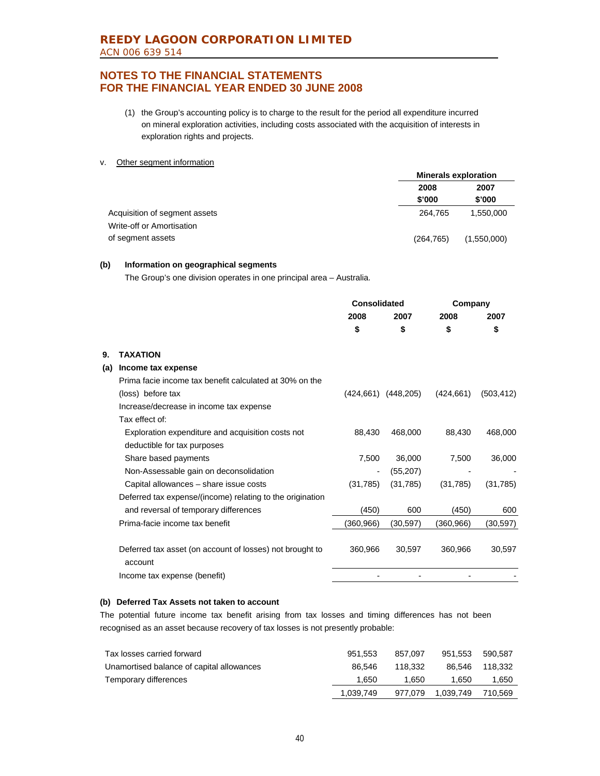(1) the Group's accounting policy is to charge to the result for the period all expenditure incurred on mineral exploration activities, including costs associated with the acquisition of interests in exploration rights and projects.

#### v. Other segment information

|                               | <b>Minerals exploration</b> |             |
|-------------------------------|-----------------------------|-------------|
|                               | 2008                        | 2007        |
|                               | \$'000                      | \$'000      |
| Acquisition of segment assets | 264.765                     | 1.550.000   |
| Write-off or Amortisation     |                             |             |
| of segment assets             | (264, 765)                  | (1,550,000) |

#### **(b) Information on geographical segments**

The Group's one division operates in one principal area – Australia.

|     |                                                                     | Consolidated             |                         | Company    |            |
|-----|---------------------------------------------------------------------|--------------------------|-------------------------|------------|------------|
|     |                                                                     | 2008                     | 2007                    | 2008       | 2007       |
|     |                                                                     | \$                       | \$                      | \$         | \$         |
| 9.  | <b>TAXATION</b>                                                     |                          |                         |            |            |
| (a) | Income tax expense                                                  |                          |                         |            |            |
|     | Prima facie income tax benefit calculated at 30% on the             |                          |                         |            |            |
|     | (loss) before tax                                                   |                          | $(424,661)$ $(448,205)$ | (424, 661) | (503, 412) |
|     | Increase/decrease in income tax expense                             |                          |                         |            |            |
|     | Tax effect of:                                                      |                          |                         |            |            |
|     | Exploration expenditure and acquisition costs not                   | 88,430                   | 468,000                 | 88,430     | 468,000    |
|     | deductible for tax purposes                                         |                          |                         |            |            |
|     | Share based payments                                                | 7,500                    | 36,000                  | 7,500      | 36,000     |
|     | Non-Assessable gain on deconsolidation                              | $\overline{\phantom{a}}$ | (55, 207)               |            |            |
|     | Capital allowances - share issue costs                              | (31,785)                 | (31,785)                | (31, 785)  | (31, 785)  |
|     | Deferred tax expense/(income) relating to the origination           |                          |                         |            |            |
|     | and reversal of temporary differences                               | (450)                    | 600                     | (450)      | 600        |
|     | Prima-facie income tax benefit                                      | (360,966)                | (30, 597)               | (360, 966) | (30,597)   |
|     | Deferred tax asset (on account of losses) not brought to<br>account | 360,966                  | 30,597                  | 360.966    | 30,597     |
|     | Income tax expense (benefit)                                        |                          |                         |            |            |

### **(b) Deferred Tax Assets not taken to account**

The potential future income tax benefit arising from tax losses and timing differences has not been recognised as an asset because recovery of tax losses is not presently probable:

| Tax losses carried forward                | 951.553   | 857.097 | 951.553   | 590.587 |
|-------------------------------------------|-----------|---------|-----------|---------|
| Unamortised balance of capital allowances | 86.546    | 118.332 | 86.546    | 118.332 |
| Temporary differences                     | 1.650     | 1.650   | 1.650     | 1,650   |
|                                           | 1,039,749 | 977.079 | 1.039.749 | 710.569 |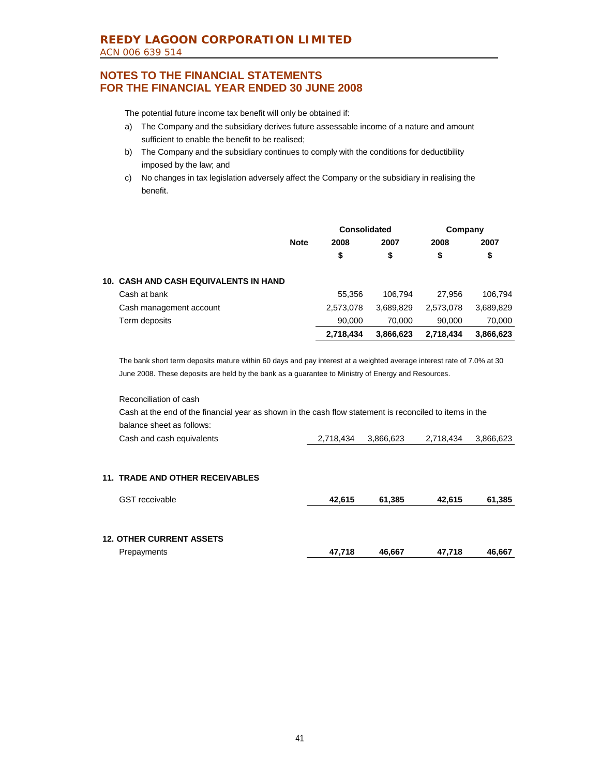The potential future income tax benefit will only be obtained if:

- a) The Company and the subsidiary derives future assessable income of a nature and amount sufficient to enable the benefit to be realised;
- b) The Company and the subsidiary continues to comply with the conditions for deductibility imposed by the law; and
- c) No changes in tax legislation adversely affect the Company or the subsidiary in realising the benefit.

|                                              |             | Consolidated |           | Company   |           |
|----------------------------------------------|-------------|--------------|-----------|-----------|-----------|
|                                              | <b>Note</b> | 2008         | 2007      | 2008      | 2007      |
|                                              |             | \$           | \$        | \$        | \$        |
| <b>10. CASH AND CASH EQUIVALENTS IN HAND</b> |             |              |           |           |           |
| Cash at bank                                 |             | 55.356       | 106.794   | 27.956    | 106,794   |
| Cash management account                      |             | 2,573,078    | 3,689,829 | 2,573,078 | 3,689,829 |
| Term deposits                                |             | 90.000       | 70.000    | 90.000    | 70.000    |
|                                              |             | 2,718,434    | 3,866,623 | 2.718.434 | 3,866,623 |

The bank short term deposits mature within 60 days and pay interest at a weighted average interest rate of 7.0% at 30 June 2008. These deposits are held by the bank as a guarantee to Ministry of Energy and Resources.

Reconciliation of cash Cash at the end of the financial year as shown in the cash flow statement is reconciled to items in the balance sheet as follows:

|--|

### **11. TRADE AND OTHER RECEIVABLES**

| <b>GST</b> receivable           | 42.615 | 61.385 | 42.615 | 61,385 |
|---------------------------------|--------|--------|--------|--------|
|                                 |        |        |        |        |
| <b>12. OTHER CURRENT ASSETS</b> |        |        |        |        |
| Prepayments                     | 47.718 | 46.667 | 47.718 | 46,667 |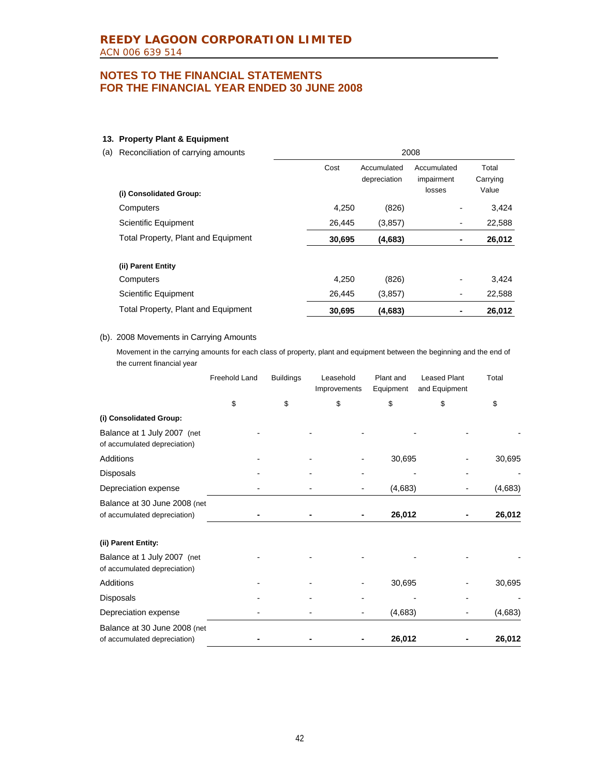### **13. Property Plant & Equipment**

(a) Reconciliation of carrying amounts 2008

| (i) Consolidated Group:             | Cost   | Accumulated<br>depreciation | Accumulated<br>impairment<br>losses | Total<br>Carrying<br>Value |
|-------------------------------------|--------|-----------------------------|-------------------------------------|----------------------------|
| Computers                           | 4.250  | (826)                       |                                     | 3,424                      |
| Scientific Equipment                | 26,445 | (3,857)                     | $\overline{\phantom{a}}$            | 22,588                     |
| Total Property, Plant and Equipment | 30,695 | (4,683)                     | $\blacksquare$                      | 26,012                     |
| (ii) Parent Entity                  |        |                             |                                     |                            |
| Computers                           | 4.250  | (826)                       | $\overline{\phantom{0}}$            | 3,424                      |
| <b>Scientific Equipment</b>         | 26,445 | (3,857)                     | $\overline{\phantom{a}}$            | 22,588                     |
| Total Property, Plant and Equipment | 30,695 | (4,683)                     | ۰                                   | 26,012                     |

#### (b). 2008 Movements in Carrying Amounts

Movement in the carrying amounts for each class of property, plant and equipment between the beginning and the end of the current financial year

|                                                              | Freehold Land | <b>Buildings</b> | Leasehold<br>Improvements | Plant and<br>Equipment | <b>Leased Plant</b><br>and Equipment | Total   |
|--------------------------------------------------------------|---------------|------------------|---------------------------|------------------------|--------------------------------------|---------|
|                                                              | \$            | \$               | \$                        | \$                     | \$                                   | \$      |
| (i) Consolidated Group:                                      |               |                  |                           |                        |                                      |         |
| Balance at 1 July 2007 (net<br>of accumulated depreciation)  |               |                  |                           |                        |                                      |         |
| Additions                                                    |               |                  |                           | 30,695                 |                                      | 30,695  |
| Disposals                                                    |               |                  |                           |                        |                                      |         |
| Depreciation expense                                         |               |                  |                           | (4,683)                |                                      | (4,683) |
| Balance at 30 June 2008 (net<br>of accumulated depreciation) |               |                  |                           | 26,012                 |                                      | 26,012  |
| (ii) Parent Entity:                                          |               |                  |                           |                        |                                      |         |
| Balance at 1 July 2007 (net<br>of accumulated depreciation)  |               |                  |                           |                        |                                      |         |
| Additions                                                    |               |                  |                           | 30,695                 |                                      | 30,695  |
| Disposals                                                    |               |                  |                           |                        |                                      |         |
| Depreciation expense                                         |               |                  |                           | (4,683)                |                                      | (4,683) |
| Balance at 30 June 2008 (net<br>of accumulated depreciation) |               |                  |                           | 26,012                 |                                      | 26,012  |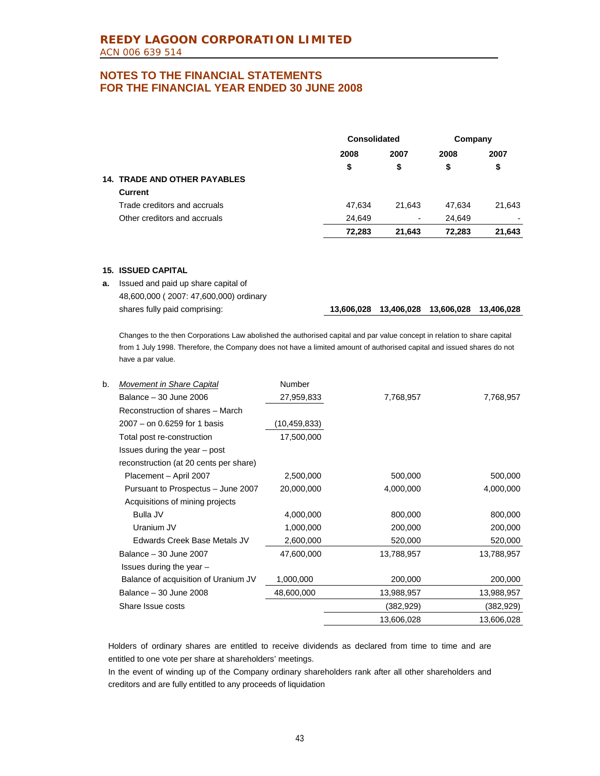|                                     | Consolidated |        | Company |                          |
|-------------------------------------|--------------|--------|---------|--------------------------|
|                                     | 2008         | 2007   | 2008    | 2007                     |
|                                     | \$           | \$     | \$      | \$                       |
| <b>14. TRADE AND OTHER PAYABLES</b> |              |        |         |                          |
| Current                             |              |        |         |                          |
| Trade creditors and accruals        | 47.634       | 21.643 | 47.634  | 21,643                   |
| Other creditors and accruals        | 24,649       | ۰.     | 24,649  | $\overline{\phantom{0}}$ |
|                                     | 72,283       | 21,643 | 72.283  | 21,643                   |

### **15. ISSUED CAPITAL**

**a.** Issued and paid up share capital of 48,600,000 ( 2007: 47,600,000) ordinary

shares fully paid comprising: **13,606,028 13,406,028 13,606,028 13,406,028**

Changes to the then Corporations Law abolished the authorised capital and par value concept in relation to share capital from 1 July 1998. Therefore, the Company does not have a limited amount of authorised capital and issued shares do not have a par value.

| b. | Movement in Share Capital              | Number       |            |            |
|----|----------------------------------------|--------------|------------|------------|
|    | Balance - 30 June 2006                 | 27,959,833   | 7,768,957  | 7,768,957  |
|    | Reconstruction of shares - March       |              |            |            |
|    | 2007 – on 0.6259 for 1 basis           | (10,459,833) |            |            |
|    | Total post re-construction             | 17,500,000   |            |            |
|    | Issues during the year $-$ post        |              |            |            |
|    | reconstruction (at 20 cents per share) |              |            |            |
|    | Placement - April 2007                 | 2,500,000    | 500,000    | 500,000    |
|    | Pursuant to Prospectus - June 2007     | 20,000,000   | 4,000,000  | 4,000,000  |
|    | Acquisitions of mining projects        |              |            |            |
|    | Bulla JV                               | 4,000,000    | 800,000    | 800,000    |
|    | Uranium JV                             | 1,000,000    | 200,000    | 200,000    |
|    | Edwards Creek Base Metals JV           | 2,600,000    | 520,000    | 520,000    |
|    | Balance - 30 June 2007                 | 47,600,000   | 13,788,957 | 13,788,957 |
|    | Issues during the year $-$             |              |            |            |
|    | Balance of acquisition of Uranium JV   | 1,000,000    | 200,000    | 200,000    |
|    | Balance - 30 June 2008                 | 48,600,000   | 13,988,957 | 13,988,957 |
|    | Share Issue costs                      |              | (382,929)  | (382, 929) |
|    |                                        |              | 13,606,028 | 13,606,028 |

Holders of ordinary shares are entitled to receive dividends as declared from time to time and are entitled to one vote per share at shareholders' meetings.

In the event of winding up of the Company ordinary shareholders rank after all other shareholders and creditors and are fully entitled to any proceeds of liquidation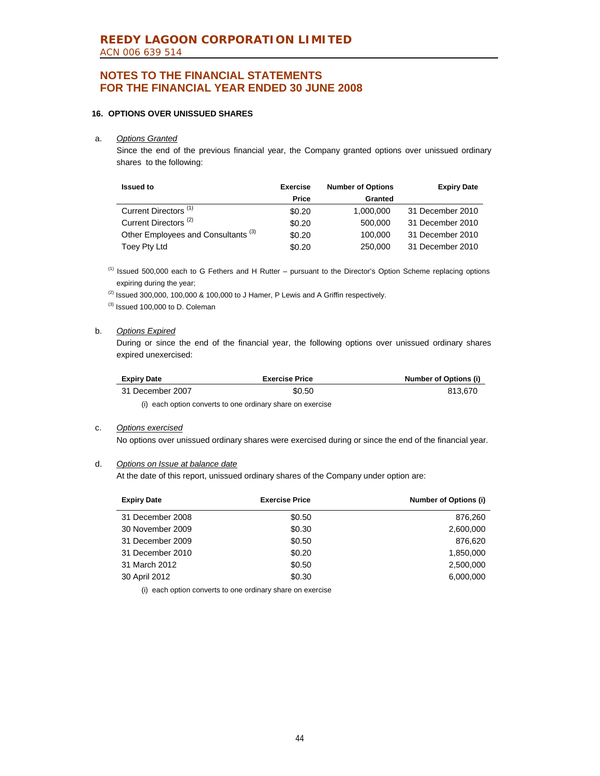### **16. OPTIONS OVER UNISSUED SHARES**

#### a. *Options Granted*

 Since the end of the previous financial year, the Company granted options over unissued ordinary shares to the following:

| <b>Issued to</b>                               | <b>Exercise</b> | <b>Number of Options</b> | <b>Expiry Date</b> |
|------------------------------------------------|-----------------|--------------------------|--------------------|
|                                                | Price           | Granted                  |                    |
| Current Directors <sup>(1)</sup>               | \$0.20          | 1,000,000                | 31 December 2010   |
| Current Directors <sup>(2)</sup>               | \$0.20          | 500,000                  | 31 December 2010   |
| Other Employees and Consultants <sup>(3)</sup> | \$0.20          | 100,000                  | 31 December 2010   |
| Toey Pty Ltd                                   | \$0.20          | 250,000                  | 31 December 2010   |

(1) Issued 500,000 each to G Fethers and H Rutter – pursuant to the Director's Option Scheme replacing options expiring during the year;

 $(2)$  Issued 300,000, 100,000 & 100,000 to J Hamer, P Lewis and A Griffin respectively.

(3) Issued 100,000 to D. Coleman

#### b. *Options Expired*

 During or since the end of the financial year, the following options over unissued ordinary shares expired unexercised:

| <b>Expiry Date</b> | <b>Exercise Price</b> | Number of Options (i) |
|--------------------|-----------------------|-----------------------|
| 31 December 2007   | \$0.50                | 813.670               |

(i) each option converts to one ordinary share on exercise

### c. *Options exercised*

No options over unissued ordinary shares were exercised during or since the end of the financial year.

### d. *Options on Issue at balance date*

At the date of this report, unissued ordinary shares of the Company under option are:

| <b>Expiry Date</b> | <b>Exercise Price</b> | <b>Number of Options (i)</b> |
|--------------------|-----------------------|------------------------------|
| 31 December 2008   | \$0.50                | 876.260                      |
| 30 November 2009   | \$0.30                | 2,600,000                    |
| 31 December 2009   | \$0.50                | 876.620                      |
| 31 December 2010   | \$0.20                | 1,850,000                    |
| 31 March 2012      | \$0.50                | 2,500,000                    |
| 30 April 2012      | \$0.30                | 6,000,000                    |

(i) each option converts to one ordinary share on exercise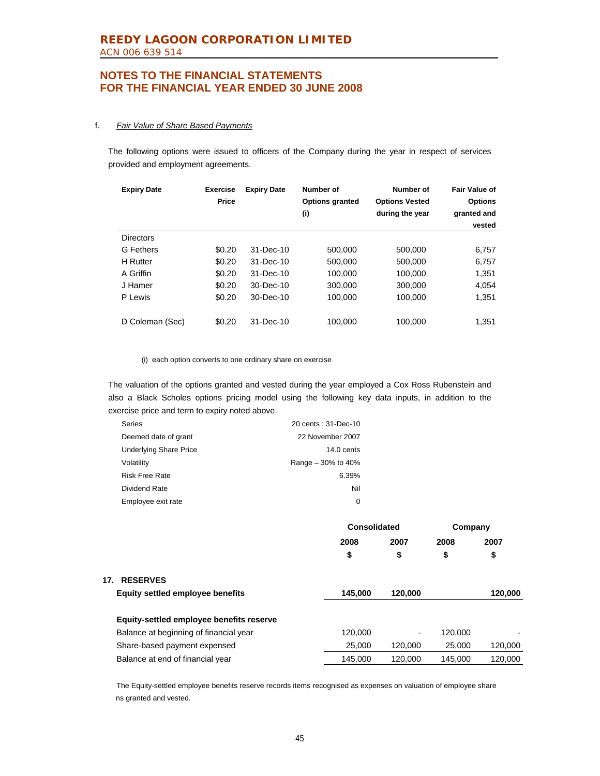#### f. *Fair Value of Share Based Payments*

The following options were issued to officers of the Company during the year in respect of services provided and employment agreements.

| <b>Expiry Date</b> | <b>Exercise</b><br><b>Price</b> | <b>Expiry Date</b> | Number of<br><b>Options granted</b><br>(i) | Number of<br><b>Options Vested</b><br>during the year | Fair Value of<br><b>Options</b><br>granted and<br>vested |
|--------------------|---------------------------------|--------------------|--------------------------------------------|-------------------------------------------------------|----------------------------------------------------------|
| <b>Directors</b>   |                                 |                    |                                            |                                                       |                                                          |
| G Fethers          | \$0.20                          | 31-Dec-10          | 500,000                                    | 500.000                                               | 6,757                                                    |
| <b>H</b> Rutter    | \$0.20                          | $31 - Dec-10$      | 500,000                                    | 500,000                                               | 6,757                                                    |
| A Griffin          | \$0.20                          | $31 - Dec-10$      | 100,000                                    | 100.000                                               | 1,351                                                    |
| J Hamer            | \$0.20                          | $30 - Dec - 10$    | 300,000                                    | 300,000                                               | 4,054                                                    |
| P Lewis            | \$0.20                          | 30-Dec-10          | 100.000                                    | 100.000                                               | 1,351                                                    |
|                    |                                 |                    |                                            |                                                       |                                                          |
| D Coleman (Sec)    | \$0.20                          | $31 - Dec-10$      | 100.000                                    | 100.000                                               | 1.351                                                    |

(i) each option converts to one ordinary share on exercise

The valuation of the options granted and vested during the year employed a Cox Ross Rubenstein and also a Black Scholes options pricing model using the following key data inputs, in addition to the exercise price and term to expiry noted above.

| <b>Series</b>                 | 20 cents: 31-Dec-10  |
|-------------------------------|----------------------|
| Deemed date of grant          | 22 November 2007     |
| <b>Underlying Share Price</b> | $14.0$ cents         |
| Volatility                    | Range $-30\%$ to 40% |
| <b>Risk Free Rate</b>         | 6.39%                |
| Dividend Rate                 | Nil                  |
| Employee exit rate            | 0                    |

|                                          | Consolidated |         | Company |         |  |
|------------------------------------------|--------------|---------|---------|---------|--|
|                                          | 2008         | 2007    | 2008    | 2007    |  |
|                                          | \$           | \$      | \$      | \$      |  |
| <b>RESERVES</b><br>17.                   |              |         |         |         |  |
| <b>Equity settled employee benefits</b>  | 145,000      | 120,000 |         | 120,000 |  |
| Equity-settled employee benefits reserve |              |         |         |         |  |
| Balance at beginning of financial year   | 120,000      | ٠       | 120,000 |         |  |
| Share-based payment expensed             | 25,000       | 120,000 | 25,000  | 120,000 |  |
| Balance at end of financial year         | 145.000      | 120,000 | 145.000 | 120.000 |  |

The Equity-settled employee benefits reserve records items recognised as expenses on valuation of employee share ns granted and vested.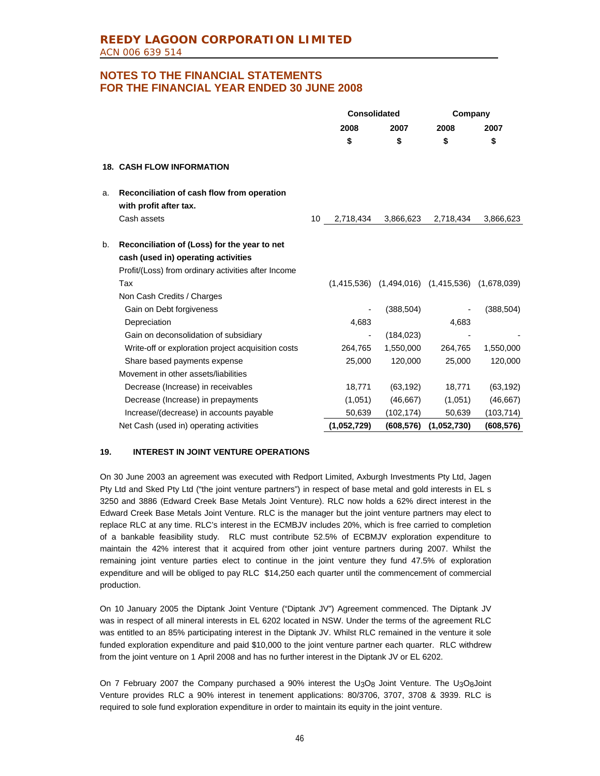|    |                                                                                                                                            |    | <b>Consolidated</b>      |                                                         | Company     |            |
|----|--------------------------------------------------------------------------------------------------------------------------------------------|----|--------------------------|---------------------------------------------------------|-------------|------------|
|    |                                                                                                                                            |    | 2008                     | 2007                                                    | 2008        | 2007       |
|    |                                                                                                                                            |    | \$                       | \$                                                      | \$          | \$         |
|    | <b>18. CASH FLOW INFORMATION</b>                                                                                                           |    |                          |                                                         |             |            |
| a. | Reconciliation of cash flow from operation<br>with profit after tax.                                                                       |    |                          |                                                         |             |            |
|    | Cash assets                                                                                                                                | 10 | 2,718,434                | 3,866,623                                               | 2,718,434   | 3,866,623  |
| b. | Reconciliation of (Loss) for the year to net<br>cash (used in) operating activities<br>Profit/(Loss) from ordinary activities after Income |    |                          |                                                         |             |            |
|    | Tax                                                                                                                                        |    |                          | $(1,415,536)$ $(1,494,016)$ $(1,415,536)$ $(1,678,039)$ |             |            |
|    | Non Cash Credits / Charges                                                                                                                 |    |                          |                                                         |             |            |
|    | Gain on Debt forgiveness                                                                                                                   |    |                          | (388, 504)                                              |             | (388, 504) |
|    | Depreciation                                                                                                                               |    | 4,683                    |                                                         | 4,683       |            |
|    | Gain on deconsolidation of subsidiary                                                                                                      |    | $\overline{\phantom{a}}$ | (184, 023)                                              |             |            |
|    | Write-off or exploration project acquisition costs                                                                                         |    | 264,765                  | 1,550,000                                               | 264,765     | 1,550,000  |
|    | Share based payments expense                                                                                                               |    | 25,000                   | 120,000                                                 | 25,000      | 120,000    |
|    | Movement in other assets/liabilities                                                                                                       |    |                          |                                                         |             |            |
|    | Decrease (Increase) in receivables                                                                                                         |    | 18,771                   | (63, 192)                                               | 18,771      | (63, 192)  |
|    | Decrease (Increase) in prepayments                                                                                                         |    | (1,051)                  | (46, 667)                                               | (1,051)     | (46, 667)  |
|    | Increase/(decrease) in accounts payable                                                                                                    |    | 50,639                   | (102,174)                                               | 50,639      | (103, 714) |
|    | Net Cash (used in) operating activities                                                                                                    |    | (1,052,729)              | (608, 576)                                              | (1,052,730) | (608, 576) |

### **19. INTEREST IN JOINT VENTURE OPERATIONS**

On 30 June 2003 an agreement was executed with Redport Limited, Axburgh Investments Pty Ltd, Jagen Pty Ltd and Sked Pty Ltd ("the joint venture partners") in respect of base metal and gold interests in EL s 3250 and 3886 (Edward Creek Base Metals Joint Venture). RLC now holds a 62% direct interest in the Edward Creek Base Metals Joint Venture. RLC is the manager but the joint venture partners may elect to replace RLC at any time. RLC's interest in the ECMBJV includes 20%, which is free carried to completion of a bankable feasibility study. RLC must contribute 52.5% of ECBMJV exploration expenditure to maintain the 42% interest that it acquired from other joint venture partners during 2007. Whilst the remaining joint venture parties elect to continue in the joint venture they fund 47.5% of exploration expenditure and will be obliged to pay RLC \$14,250 each quarter until the commencement of commercial production.

On 10 January 2005 the Diptank Joint Venture ("Diptank JV") Agreement commenced. The Diptank JV was in respect of all mineral interests in EL 6202 located in NSW. Under the terms of the agreement RLC was entitled to an 85% participating interest in the Diptank JV. Whilst RLC remained in the venture it sole funded exploration expenditure and paid \$10,000 to the joint venture partner each quarter. RLC withdrew from the joint venture on 1 April 2008 and has no further interest in the Diptank JV or EL 6202.

On 7 February 2007 the Company purchased a 90% interest the U<sub>3</sub>O<sub>8</sub> Joint Venture. The U<sub>3</sub>O<sub>8</sub>Joint Venture provides RLC a 90% interest in tenement applications: 80/3706, 3707, 3708 & 3939. RLC is required to sole fund exploration expenditure in order to maintain its equity in the joint venture.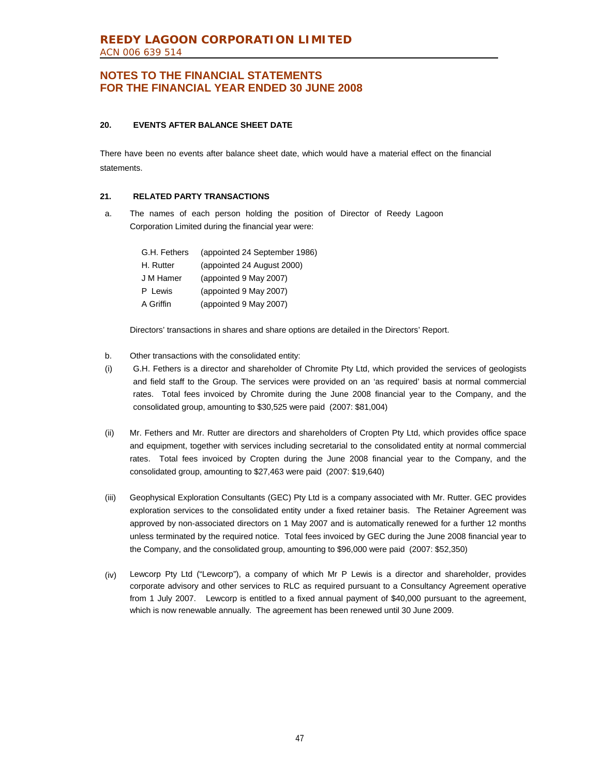### **20. EVENTS AFTER BALANCE SHEET DATE**

There have been no events after balance sheet date, which would have a material effect on the financial statements.

### **21. RELATED PARTY TRANSACTIONS**

a. The names of each person holding the position of Director of Reedy Lagoon Corporation Limited during the financial year were:

| G.H. Fethers | (appointed 24 September 1986) |
|--------------|-------------------------------|
| H. Rutter    | (appointed 24 August 2000)    |
| J M Hamer    | (appointed 9 May 2007)        |
| P Lewis      | (appointed 9 May 2007)        |
| A Griffin    | (appointed 9 May 2007)        |

Directors' transactions in shares and share options are detailed in the Directors' Report.

- b. Other transactions with the consolidated entity:
- (i) G.H. Fethers is a director and shareholder of Chromite Pty Ltd, which provided the services of geologists and field staff to the Group. The services were provided on an 'as required' basis at normal commercial rates. Total fees invoiced by Chromite during the June 2008 financial year to the Company, and the consolidated group, amounting to \$30,525 were paid (2007: \$81,004)
- (ii) Mr. Fethers and Mr. Rutter are directors and shareholders of Cropten Pty Ltd, which provides office space and equipment, together with services including secretarial to the consolidated entity at normal commercial rates. Total fees invoiced by Cropten during the June 2008 financial year to the Company, and the consolidated group, amounting to \$27,463 were paid (2007: \$19,640)
- (iii) Geophysical Exploration Consultants (GEC) Pty Ltd is a company associated with Mr. Rutter. GEC provides exploration services to the consolidated entity under a fixed retainer basis. The Retainer Agreement was approved by non-associated directors on 1 May 2007 and is automatically renewed for a further 12 months unless terminated by the required notice. Total fees invoiced by GEC during the June 2008 financial year to the Company, and the consolidated group, amounting to \$96,000 were paid (2007: \$52,350)
- (iv) Lewcorp Pty Ltd ("Lewcorp"), a company of which Mr P Lewis is a director and shareholder, provides corporate advisory and other services to RLC as required pursuant to a Consultancy Agreement operative from 1 July 2007. Lewcorp is entitled to a fixed annual payment of \$40,000 pursuant to the agreement, which is now renewable annually. The agreement has been renewed until 30 June 2009.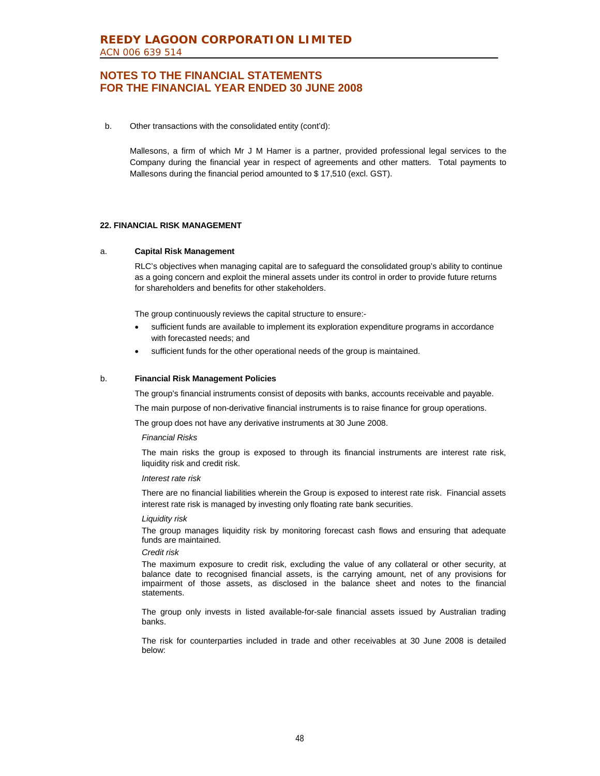b. Other transactions with the consolidated entity (cont'd):

Mallesons, a firm of which Mr J M Hamer is a partner, provided professional legal services to the Company during the financial year in respect of agreements and other matters. Total payments to Mallesons during the financial period amounted to \$ 17,510 (excl. GST).

#### **22. FINANCIAL RISK MANAGEMENT**

#### a. **Capital Risk Management**

 RLC's objectives when managing capital are to safeguard the consolidated group's ability to continue as a going concern and exploit the mineral assets under its control in order to provide future returns for shareholders and benefits for other stakeholders.

The group continuously reviews the capital structure to ensure:-

- sufficient funds are available to implement its exploration expenditure programs in accordance with forecasted needs; and
- sufficient funds for the other operational needs of the group is maintained.

#### b. **Financial Risk Management Policies**

The group's financial instruments consist of deposits with banks, accounts receivable and payable.

The main purpose of non-derivative financial instruments is to raise finance for group operations.

The group does not have any derivative instruments at 30 June 2008.

#### *Financial Risks*

 The main risks the group is exposed to through its financial instruments are interest rate risk, liquidity risk and credit risk.

#### *Interest rate risk*

 There are no financial liabilities wherein the Group is exposed to interest rate risk. Financial assets interest rate risk is managed by investing only floating rate bank securities.

#### *Liquidity risk*

 The group manages liquidity risk by monitoring forecast cash flows and ensuring that adequate funds are maintained.

#### *Credit risk*

 The maximum exposure to credit risk, excluding the value of any collateral or other security, at balance date to recognised financial assets, is the carrying amount, net of any provisions for impairment of those assets, as disclosed in the balance sheet and notes to the financial statements.

The group only invests in listed available-for-sale financial assets issued by Australian trading banks.

The risk for counterparties included in trade and other receivables at 30 June 2008 is detailed below: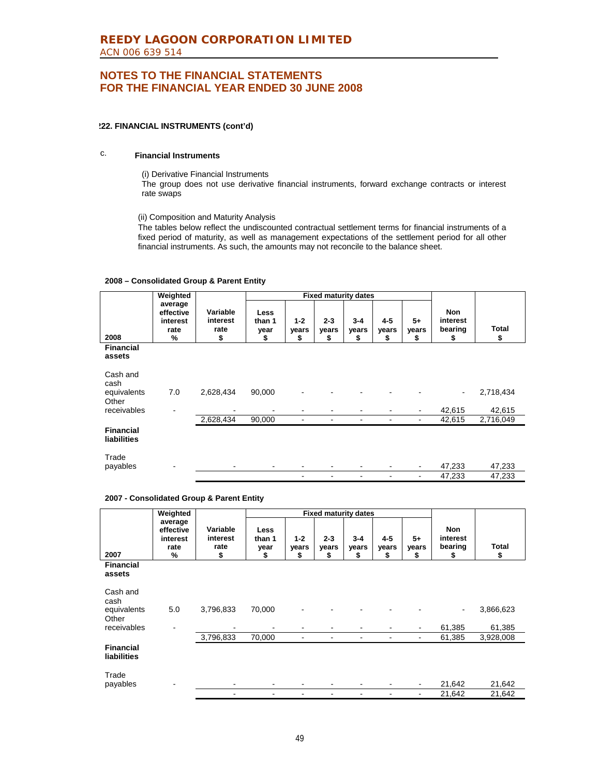#### **222. FINANCIAL INSTRUMENTS (cont'd)**

### c. **Financial Instruments**

(i) Derivative Financial Instruments

The group does not use derivative financial instruments, forward exchange contracts or interest rate swaps

(ii) Composition and Maturity Analysis

The tables below reflect the undiscounted contractual settlement terms for financial instruments of a fixed period of maturity, as well as management expectations of the settlement period for all other financial instruments. As such, the amounts may not reconcile to the balance sheet.

#### **2008 – Consolidated Group & Parent Entity**

|                                        | Weighted                                      |                                    |                              | <b>Fixed maturity dates</b> |                        |                        |                        |                     |                                         |             |
|----------------------------------------|-----------------------------------------------|------------------------------------|------------------------------|-----------------------------|------------------------|------------------------|------------------------|---------------------|-----------------------------------------|-------------|
| 2008                                   | average<br>effective<br>interest<br>rate<br>% | Variable<br>interest<br>rate<br>\$ | Less<br>than 1<br>year<br>\$ | $1 - 2$<br>years<br>S       | $2 - 3$<br>vears<br>\$ | $3 - 4$<br>years<br>\$ | $4 - 5$<br>years<br>\$ | $5+$<br>years<br>\$ | <b>Non</b><br>interest<br>bearing<br>\$ | Total<br>\$ |
| <b>Financial</b><br>assets             |                                               |                                    |                              |                             |                        |                        |                        |                     |                                         |             |
| Cash and<br>cash                       |                                               |                                    |                              |                             |                        |                        |                        |                     |                                         |             |
| equivalents<br>Other                   | 7.0                                           | 2,628,434                          | 90,000                       |                             |                        |                        |                        |                     |                                         | 2,718,434   |
| receivables                            |                                               |                                    |                              |                             |                        |                        |                        |                     | 42,615                                  | 42,615      |
|                                        |                                               | 2,628,434                          | 90,000                       |                             | ۰                      |                        |                        | ۰                   | 42,615                                  | 2,716,049   |
| <b>Financial</b><br><b>liabilities</b> |                                               |                                    |                              |                             |                        |                        |                        |                     |                                         |             |
| Trade<br>payables                      |                                               |                                    |                              |                             |                        |                        |                        |                     | 47,233                                  | 47,233      |
|                                        |                                               |                                    |                              |                             |                        |                        |                        |                     | 47,233                                  | 47,233      |

#### **2007 - Consolidated Group & Parent Entity**

|                                        | Weighted                                      |                                    |                                     | <b>Fixed maturity dates</b> |                        |                        |                        |                    |                                         |             |
|----------------------------------------|-----------------------------------------------|------------------------------------|-------------------------------------|-----------------------------|------------------------|------------------------|------------------------|--------------------|-----------------------------------------|-------------|
| 2007                                   | average<br>effective<br>interest<br>rate<br>% | Variable<br>interest<br>rate<br>\$ | <b>Less</b><br>than 1<br>year<br>\$ | $1 - 2$<br>vears<br>\$      | $2 - 3$<br>vears<br>\$ | $3 - 4$<br>vears<br>\$ | $4 - 5$<br>years<br>\$ | $5+$<br>vears<br>S | <b>Non</b><br>interest<br>bearing<br>\$ | Total<br>\$ |
| <b>Financial</b><br>assets             |                                               |                                    |                                     |                             |                        |                        |                        |                    |                                         |             |
| Cash and<br>cash<br>equivalents        | 5.0                                           | 3,796,833                          | 70,000                              |                             |                        |                        |                        |                    |                                         | 3,866,623   |
| Other<br>receivables                   |                                               | ۰                                  |                                     | ۰                           |                        |                        | ۰                      | ٠                  | 61,385                                  | 61,385      |
|                                        |                                               | 3,796,833                          | 70,000                              |                             |                        |                        | ۰                      | ٠                  | 61,385                                  | 3,928,008   |
| <b>Financial</b><br><b>liabilities</b> |                                               |                                    |                                     |                             |                        |                        |                        |                    |                                         |             |
| Trade<br>payables                      |                                               |                                    | ٠                                   |                             |                        |                        |                        |                    | 21,642                                  | 21,642      |
|                                        |                                               |                                    |                                     |                             |                        |                        |                        | $\blacksquare$     | 21,642                                  | 21,642      |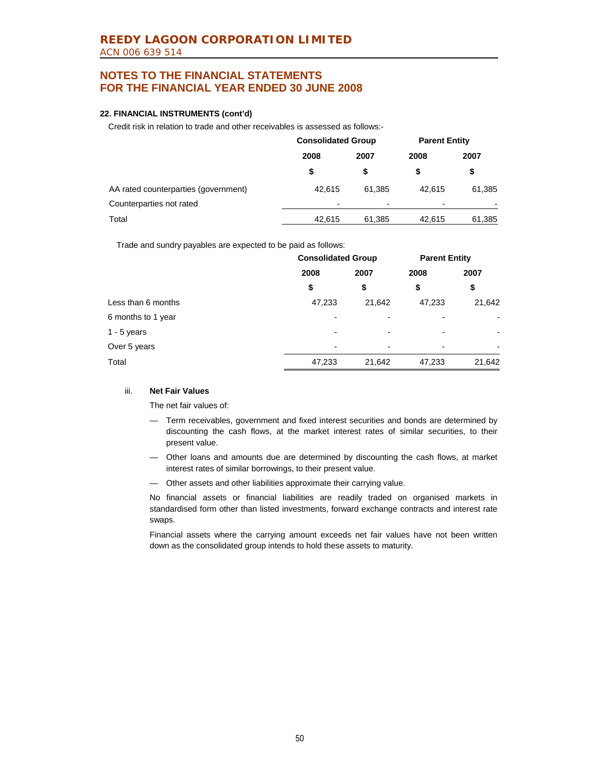### **22. FINANCIAL INSTRUMENTS (cont'd)**

Credit risk in relation to trade and other receivables is assessed as follows:-

|                                      | <b>Consolidated Group</b> |                | <b>Parent Entity</b> |            |  |
|--------------------------------------|---------------------------|----------------|----------------------|------------|--|
|                                      | 2008                      | 2007           | 2008                 | 2007<br>\$ |  |
|                                      | \$                        |                |                      |            |  |
| AA rated counterparties (government) | 42.615                    | 61.385         | 42.615               | 61,385     |  |
| Counterparties not rated             | -                         | $\blacksquare$ |                      |            |  |
| Total                                | 42,615                    | 61,385         | 42.615               | 61,385     |  |

Trade and sundry payables are expected to be paid as follows:

|                    | <b>Consolidated Group</b> |                          | <b>Parent Entity</b> |        |
|--------------------|---------------------------|--------------------------|----------------------|--------|
|                    | 2008                      | 2007                     | 2008                 | 2007   |
|                    | \$                        | \$                       | \$                   | \$     |
| Less than 6 months | 47,233                    | 21,642                   | 47,233               | 21,642 |
| 6 months to 1 year | $\overline{\phantom{0}}$  | $\overline{\phantom{0}}$ | -                    |        |
| 1 - $5$ years      | $\overline{\phantom{0}}$  | $\overline{\phantom{0}}$ | ۰                    | ٠      |
| Over 5 years       | $\overline{\phantom{0}}$  | -                        | -                    |        |
| Total              | 47,233                    | 21,642                   | 47,233               | 21,642 |

#### iii. **Net Fair Values**

The net fair values of:

- Term receivables, government and fixed interest securities and bonds are determined by discounting the cash flows, at the market interest rates of similar securities, to their present value.
- Other loans and amounts due are determined by discounting the cash flows, at market interest rates of similar borrowings, to their present value.
- Other assets and other liabilities approximate their carrying value.

 No financial assets or financial liabilities are readily traded on organised markets in standardised form other than listed investments, forward exchange contracts and interest rate swaps.

 Financial assets where the carrying amount exceeds net fair values have not been written down as the consolidated group intends to hold these assets to maturity.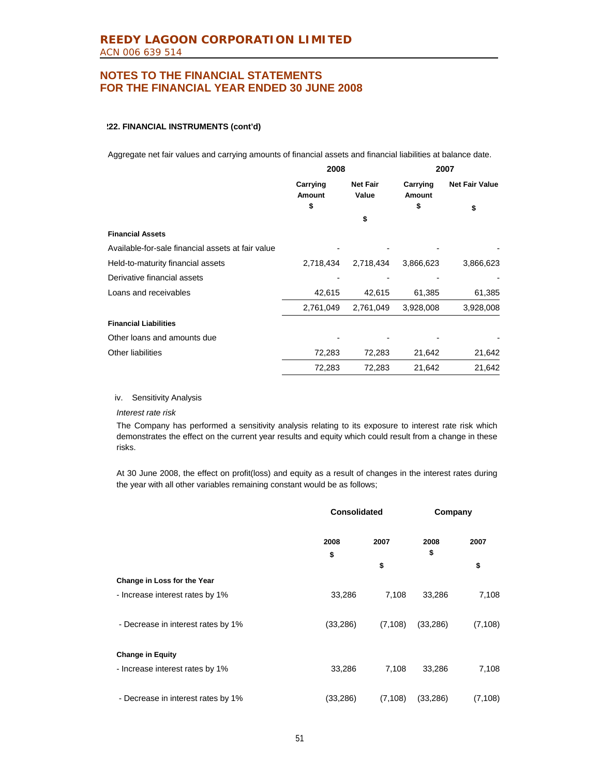#### **222. FINANCIAL INSTRUMENTS (cont'd)**

Aggregate net fair values and carrying amounts of financial assets and financial liabilities at balance date.

|                                                   | 2008                      |                          | 2007                      |                       |
|---------------------------------------------------|---------------------------|--------------------------|---------------------------|-----------------------|
|                                                   | Carrying<br><b>Amount</b> | <b>Net Fair</b><br>Value | Carrying<br><b>Amount</b> | <b>Net Fair Value</b> |
|                                                   | \$                        |                          | \$                        | \$                    |
|                                                   |                           | \$                       |                           |                       |
| <b>Financial Assets</b>                           |                           |                          |                           |                       |
| Available-for-sale financial assets at fair value |                           |                          |                           |                       |
| Held-to-maturity financial assets                 | 2,718,434                 | 2,718,434                | 3,866,623                 | 3,866,623             |
| Derivative financial assets                       |                           |                          |                           |                       |
| Loans and receivables                             | 42,615                    | 42,615                   | 61,385                    | 61,385                |
|                                                   | 2,761,049                 | 2,761,049                | 3,928,008                 | 3,928,008             |
| <b>Financial Liabilities</b>                      |                           |                          |                           |                       |
| Other loans and amounts due                       |                           |                          |                           |                       |
| Other liabilities                                 | 72,283                    | 72,283                   | 21,642                    | 21,642                |
|                                                   | 72,283                    | 72,283                   | 21,642                    | 21,642                |

#### iv. Sensitivity Analysis

*Interest rate risk*

The Company has performed a sensitivity analysis relating to its exposure to interest rate risk which demonstrates the effect on the current year results and equity which could result from a change in these risks.

At 30 June 2008, the effect on profit(loss) and equity as a result of changes in the interest rates during the year with all other variables remaining constant would be as follows;

|                                    | <b>Consolidated</b> |          | Company    |          |
|------------------------------------|---------------------|----------|------------|----------|
|                                    | 2008<br>\$          | 2007     | 2008<br>\$ | 2007     |
|                                    |                     | \$       |            | \$       |
| Change in Loss for the Year        |                     |          |            |          |
| - Increase interest rates by 1%    | 33,286              | 7,108    | 33,286     | 7,108    |
|                                    |                     |          |            |          |
| - Decrease in interest rates by 1% | (33, 286)           | (7, 108) | (33, 286)  | (7, 108) |
|                                    |                     |          |            |          |
| <b>Change in Equity</b>            |                     |          |            |          |
| - Increase interest rates by 1%    | 33,286              | 7,108    | 33,286     | 7,108    |
|                                    |                     |          |            |          |
| - Decrease in interest rates by 1% | (33,286)            | (7, 108) | (33, 286)  | (7, 108) |
|                                    |                     |          |            |          |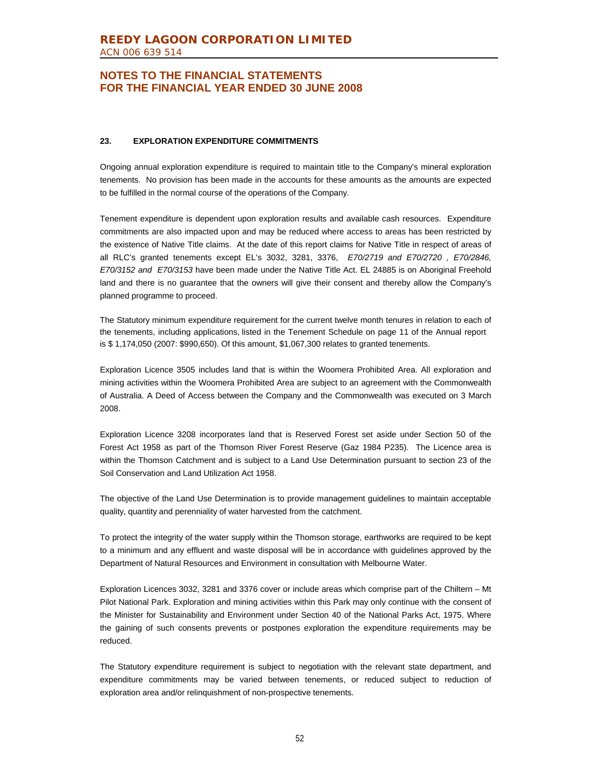### **23. EXPLORATION EXPENDITURE COMMITMENTS**

Ongoing annual exploration expenditure is required to maintain title to the Company's mineral exploration tenements. No provision has been made in the accounts for these amounts as the amounts are expected to be fulfilled in the normal course of the operations of the Company.

Tenement expenditure is dependent upon exploration results and available cash resources. Expenditure commitments are also impacted upon and may be reduced where access to areas has been restricted by the existence of Native Title claims. At the date of this report claims for Native Title in respect of areas of all RLC's granted tenements except EL's 3032, 3281, 3376, *E70/2719 and E70/2720 , E70/2846, E70/3152 and E70/3153* have been made under the Native Title Act. EL 24885 is on Aboriginal Freehold land and there is no guarantee that the owners will give their consent and thereby allow the Company's planned programme to proceed.

The Statutory minimum expenditure requirement for the current twelve month tenures in relation to each of the tenements, including applications, listed in the Tenement Schedule on page 11 of the Annual report is \$ 1,174,050 (2007: \$990,650). Of this amount, \$1,067,300 relates to granted tenements.

Exploration Licence 3505 includes land that is within the Woomera Prohibited Area. All exploration and mining activities within the Woomera Prohibited Area are subject to an agreement with the Commonwealth of Australia. A Deed of Access between the Company and the Commonwealth was executed on 3 March 2008.

Exploration Licence 3208 incorporates land that is Reserved Forest set aside under Section 50 of the Forest Act 1958 as part of the Thomson River Forest Reserve (Gaz 1984 P235). The Licence area is within the Thomson Catchment and is subject to a Land Use Determination pursuant to section 23 of the Soil Conservation and Land Utilization Act 1958.

The objective of the Land Use Determination is to provide management guidelines to maintain acceptable quality, quantity and perenniality of water harvested from the catchment.

To protect the integrity of the water supply within the Thomson storage, earthworks are required to be kept to a minimum and any effluent and waste disposal will be in accordance with guidelines approved by the Department of Natural Resources and Environment in consultation with Melbourne Water.

Exploration Licences 3032, 3281 and 3376 cover or include areas which comprise part of the Chiltern – Mt Pilot National Park. Exploration and mining activities within this Park may only continue with the consent of the Minister for Sustainability and Environment under Section 40 of the National Parks Act, 1975. Where the gaining of such consents prevents or postpones exploration the expenditure requirements may be reduced.

The Statutory expenditure requirement is subject to negotiation with the relevant state department, and expenditure commitments may be varied between tenements, or reduced subject to reduction of exploration area and/or relinquishment of non-prospective tenements.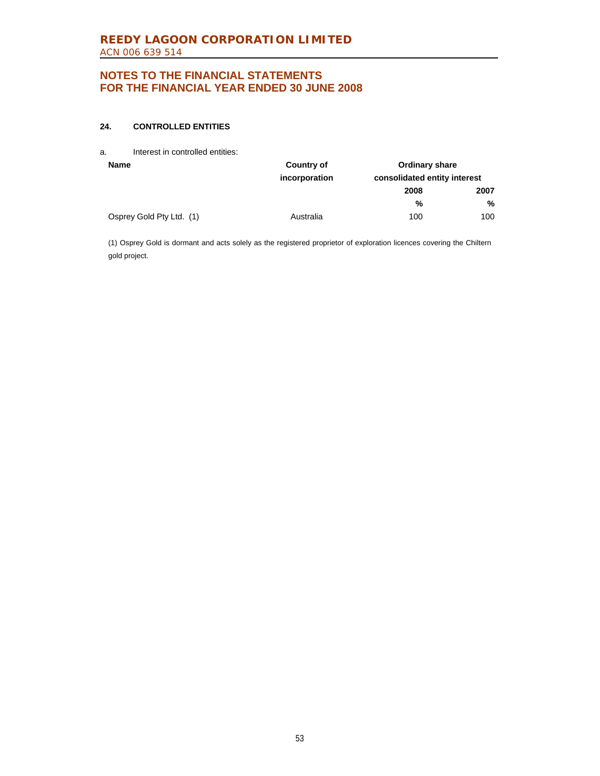### **24. CONTROLLED ENTITIES**

a. Interest in controlled entities:

| <b>Name</b>              | Country of    | <b>Ordinary share</b>        |      |
|--------------------------|---------------|------------------------------|------|
|                          | incorporation | consolidated entity interest |      |
|                          |               | 2008                         | 2007 |
|                          |               | %                            | %    |
| Osprey Gold Pty Ltd. (1) | Australia     | 100                          | 100  |

(1) Osprey Gold is dormant and acts solely as the registered proprietor of exploration licences covering the Chiltern gold project.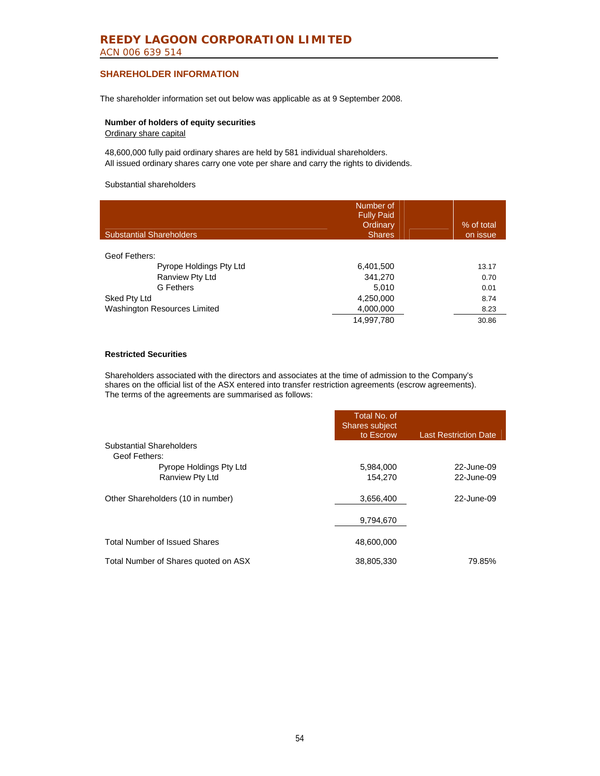### **REEDY LAGOON CORPORATION LIMITED**  ACN 006 639 514

### **SHAREHOLDER INFORMATION**

The shareholder information set out below was applicable as at 9 September 2008.

#### **Number of holders of equity securities**  Ordinary share capital

48,600,000 fully paid ordinary shares are held by 581 individual shareholders. All issued ordinary shares carry one vote per share and carry the rights to dividends.

#### Substantial shareholders

| <b>Substantial Shareholders</b>     | Number of<br><b>Fully Paid</b><br>Ordinary<br><b>Shares</b> | % of total<br>on issue |
|-------------------------------------|-------------------------------------------------------------|------------------------|
|                                     |                                                             |                        |
| Geof Fethers:                       |                                                             |                        |
| Pyrope Holdings Pty Ltd             | 6,401,500                                                   | 13.17                  |
| Ranview Pty Ltd                     | 341,270                                                     | 0.70                   |
| G Fethers                           | 5.010                                                       | 0.01                   |
| Sked Pty Ltd                        | 4,250,000                                                   | 8.74                   |
| <b>Washington Resources Limited</b> | 4,000,000                                                   | 8.23                   |
|                                     | 14.997.780                                                  | 30.86                  |

#### **Restricted Securities**

Shareholders associated with the directors and associates at the time of admission to the Company's shares on the official list of the ASX entered into transfer restriction agreements (escrow agreements). The terms of the agreements are summarised as follows:

|                                      | Total No. of<br><b>Shares subject</b><br>to Escrow | <b>Last Restriction Date</b> |
|--------------------------------------|----------------------------------------------------|------------------------------|
| <b>Substantial Shareholders</b>      |                                                    |                              |
| Geof Fethers:                        |                                                    |                              |
| Pyrope Holdings Pty Ltd              | 5,984,000                                          | 22-June-09                   |
| Ranview Pty Ltd                      | 154,270                                            | 22-June-09                   |
| Other Shareholders (10 in number)    | 3,656,400                                          | 22-June-09                   |
|                                      | 9,794,670                                          |                              |
| <b>Total Number of Issued Shares</b> | 48.600.000                                         |                              |
| Total Number of Shares quoted on ASX | 38,805,330                                         | 79.85%                       |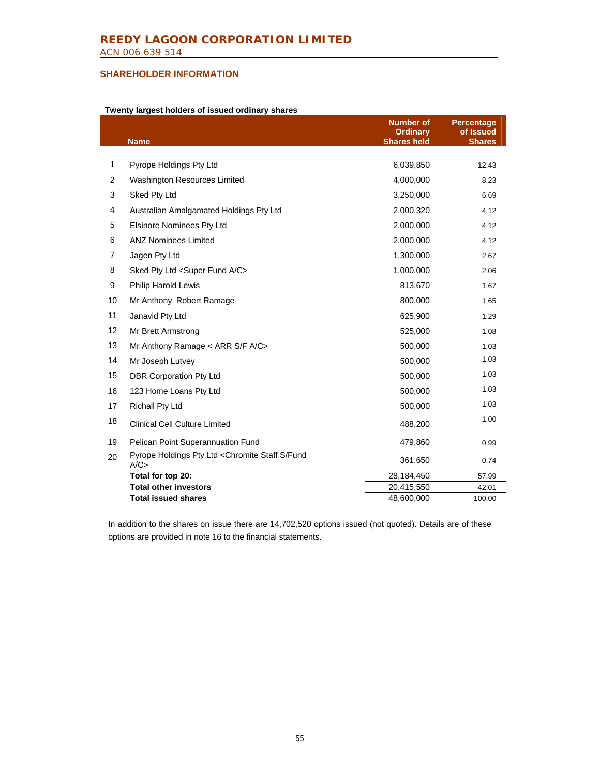### **SHAREHOLDER INFORMATION**

#### **Twenty largest holders of issued ordinary shares**

|                | <b>Name</b>                                            | <b>Number of</b><br><b>Ordinary</b><br><b>Shares held</b> | <b>Percentage</b><br>of Issued<br><b>Shares</b> |
|----------------|--------------------------------------------------------|-----------------------------------------------------------|-------------------------------------------------|
|                |                                                        |                                                           |                                                 |
| 1              | Pyrope Holdings Pty Ltd                                | 6,039,850                                                 | 12.43                                           |
| 2              | <b>Washington Resources Limited</b>                    | 4,000,000                                                 | 8.23                                            |
| 3              | Sked Pty Ltd                                           | 3,250,000                                                 | 6.69                                            |
| $\overline{4}$ | Australian Amalgamated Holdings Pty Ltd                | 2,000,320                                                 | 4.12                                            |
| 5              | <b>Elsinore Nominees Pty Ltd</b>                       | 2,000,000                                                 | 4.12                                            |
| 6              | <b>ANZ Nominees Limited</b>                            | 2,000,000                                                 | 4.12                                            |
| $\overline{7}$ | Jagen Pty Ltd                                          | 1,300,000                                                 | 2.67                                            |
| 8              | Sked Pty Ltd <super a="" c="" fund=""></super>         | 1,000,000                                                 | 2.06                                            |
| 9              | <b>Philip Harold Lewis</b>                             | 813,670                                                   | 1.67                                            |
| 10             | Mr Anthony Robert Ramage                               | 800,000                                                   | 1.65                                            |
| 11             | Janavid Pty Ltd                                        | 625,900                                                   | 1.29                                            |
| 12             | Mr Brett Armstrong                                     | 525,000                                                   | 1.08                                            |
| 13             | Mr Anthony Ramage $\lt$ ARR S/F A/C $\gt$              | 500,000                                                   | 1.03                                            |
| 14             | Mr Joseph Lutvey                                       | 500,000                                                   | 1.03                                            |
| 15             | <b>DBR Corporation Pty Ltd</b>                         | 500,000                                                   | 1.03                                            |
| 16             | 123 Home Loans Pty Ltd                                 | 500,000                                                   | 1.03                                            |
| 17             | Richall Pty Ltd                                        | 500,000                                                   | 1.03                                            |
| 18             | <b>Clinical Cell Culture Limited</b>                   | 488,200                                                   | 1.00                                            |
| 19             | Pelican Point Superannuation Fund                      | 479,860                                                   | 0.99                                            |
| 20             | Pyrope Holdings Pty Ltd < Chromite Staff S/Fund<br>A/C | 361,650                                                   | 0.74                                            |
|                | Total for top 20:                                      | 28,184,450                                                | 57.99                                           |
|                | <b>Total other investors</b>                           | 20,415,550                                                | 42.01                                           |
|                | <b>Total issued shares</b>                             | 48,600,000                                                | 100.00                                          |

In addition to the shares on issue there are 14,702,520 options issued (not quoted). Details are of these options are provided in note 16 to the financial statements.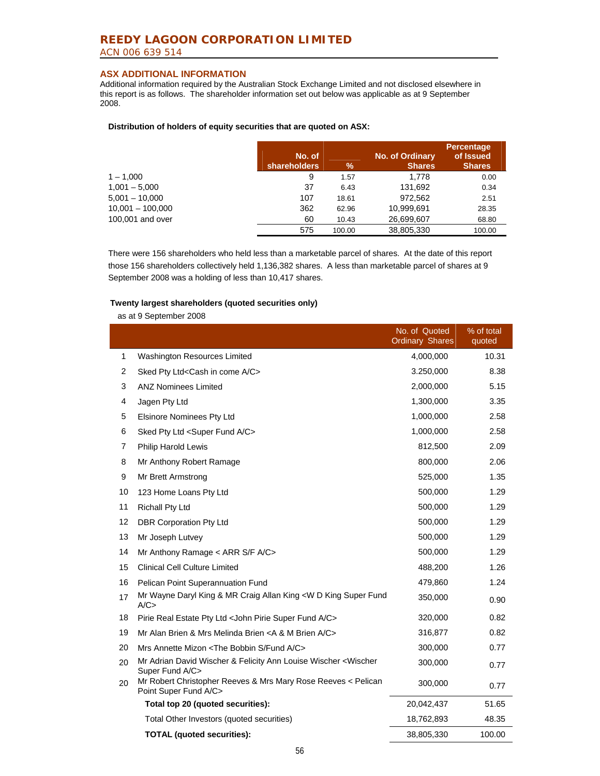### **REEDY LAGOON CORPORATION LIMITED**  ACN 006 639 514

### **ASX ADDITIONAL INFORMATION**

Additional information required by the Australian Stock Exchange Limited and not disclosed elsewhere in this report is as follows. The shareholder information set out below was applicable as at 9 September 2008.

#### **Distribution of holders of equity securities that are quoted on ASX:**

|                    | No. of<br>shareholders | $\%$   | <b>No. of Ordinary</b><br><b>Shares</b> | <b>Percentage</b><br>of Issued<br><b>Shares</b> |
|--------------------|------------------------|--------|-----------------------------------------|-------------------------------------------------|
| $1 - 1.000$        | 9                      | 1.57   | 1.778                                   | 0.00                                            |
| $1,001 - 5,000$    | 37                     | 6.43   | 131.692                                 | 0.34                                            |
| $5,001 - 10,000$   | 107                    | 18.61  | 972.562                                 | 2.51                                            |
| $10,001 - 100,000$ | 362                    | 62.96  | 10,999,691                              | 28.35                                           |
| 100,001 and over   | 60                     | 10.43  | 26,699,607                              | 68.80                                           |
|                    | 575                    | 100.00 | 38,805,330                              | 100.00                                          |

There were 156 shareholders who held less than a marketable parcel of shares. At the date of this report those 156 shareholders collectively held 1,136,382 shares. A less than marketable parcel of shares at 9 September 2008 was a holding of less than 10,417 shares.

#### **Twenty largest shareholders (quoted securities only)**

as at 9 September 2008

|    |                                                                                        | No. of Quoted<br><b>Ordinary Shares</b> | % of total<br>quoted |
|----|----------------------------------------------------------------------------------------|-----------------------------------------|----------------------|
| 1  | <b>Washington Resources Limited</b>                                                    | 4,000,000                               | 10.31                |
| 2  | Sked Pty Ltd <cash a="" c="" come="" in=""></cash>                                     | 3.250,000                               | 8.38                 |
| 3  | <b>ANZ Nominees Limited</b>                                                            | 2,000,000                               | 5.15                 |
| 4  | Jagen Pty Ltd                                                                          | 1,300,000                               | 3.35                 |
| 5  | <b>Elsinore Nominees Pty Ltd</b>                                                       | 1,000,000                               | 2.58                 |
| 6  | Sked Pty Ltd <super a="" c="" fund=""></super>                                         | 1,000,000                               | 2.58                 |
| 7  | <b>Philip Harold Lewis</b>                                                             | 812,500                                 | 2.09                 |
| 8  | Mr Anthony Robert Ramage                                                               | 800,000                                 | 2.06                 |
| 9  | Mr Brett Armstrong                                                                     | 525,000                                 | 1.35                 |
| 10 | 123 Home Loans Pty Ltd                                                                 | 500,000                                 | 1.29                 |
| 11 | <b>Richall Pty Ltd</b>                                                                 | 500,000                                 | 1.29                 |
| 12 | DBR Corporation Pty Ltd                                                                | 500,000                                 | 1.29                 |
| 13 | Mr Joseph Lutvey                                                                       | 500,000                                 | 1.29                 |
| 14 | Mr Anthony Ramage < ARR S/F A/C>                                                       | 500,000                                 | 1.29                 |
| 15 | <b>Clinical Cell Culture Limited</b>                                                   | 488,200                                 | 1.26                 |
| 16 | Pelican Point Superannuation Fund                                                      | 479,860                                 | 1.24                 |
| 17 | Mr Wayne Daryl King & MR Craig Allan King <w d="" fund<br="" king="" super="">A/C</w>  | 350,000                                 | 0.90                 |
| 18 | Pirie Real Estate Pty Ltd < John Pirie Super Fund A/C>                                 | 320,000                                 | 0.82                 |
| 19 | Mr Alan Brien & Mrs Melinda Brien < A & M Brien A/C>                                   | 316,877                                 | 0.82                 |
| 20 | Mrs Annette Mizon <the a="" bobbin="" c="" fund="" s=""></the>                         | 300,000                                 | 0.77                 |
| 20 | Mr Adrian David Wischer & Felicity Ann Louise Wischer < Wischer<br>Super Fund A/C>     | 300,000                                 | 0.77                 |
| 20 | Mr Robert Christopher Reeves & Mrs Mary Rose Reeves < Pelican<br>Point Super Fund A/C> | 300,000                                 | 0.77                 |
|    | Total top 20 (quoted securities):                                                      | 20,042,437                              | 51.65                |
|    | Total Other Investors (quoted securities)                                              | 18,762,893                              | 48.35                |
|    | <b>TOTAL (quoted securities):</b>                                                      | 38,805,330                              | 100.00               |